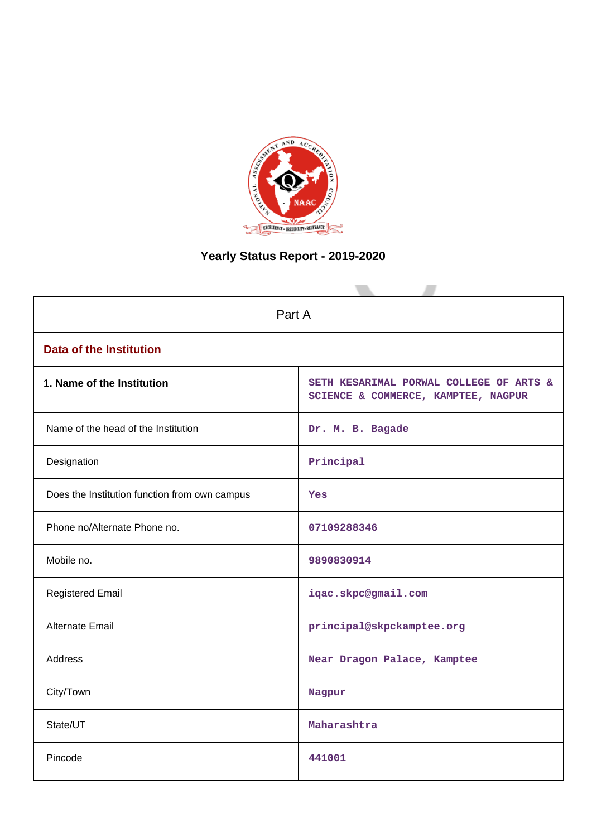

# **Yearly Status Report - 2019-2020**

| Part A                                        |                                                                                |  |  |  |
|-----------------------------------------------|--------------------------------------------------------------------------------|--|--|--|
| <b>Data of the Institution</b>                |                                                                                |  |  |  |
| 1. Name of the Institution                    | SETH KESARIMAL PORWAL COLLEGE OF ARTS &<br>SCIENCE & COMMERCE, KAMPTEE, NAGPUR |  |  |  |
| Name of the head of the Institution           | Dr. M. B. Bagade                                                               |  |  |  |
| Designation                                   | Principal                                                                      |  |  |  |
| Does the Institution function from own campus | <b>Yes</b>                                                                     |  |  |  |
| Phone no/Alternate Phone no.                  | 07109288346                                                                    |  |  |  |
| Mobile no.                                    | 9890830914                                                                     |  |  |  |
| <b>Registered Email</b>                       | iqac.skpc@gmail.com                                                            |  |  |  |
| Alternate Email                               | principal@skpckamptee.org                                                      |  |  |  |
| <b>Address</b>                                | Near Dragon Palace, Kamptee                                                    |  |  |  |
| City/Town                                     | Nagpur                                                                         |  |  |  |
| State/UT                                      | Maharashtra                                                                    |  |  |  |
| Pincode                                       | 441001                                                                         |  |  |  |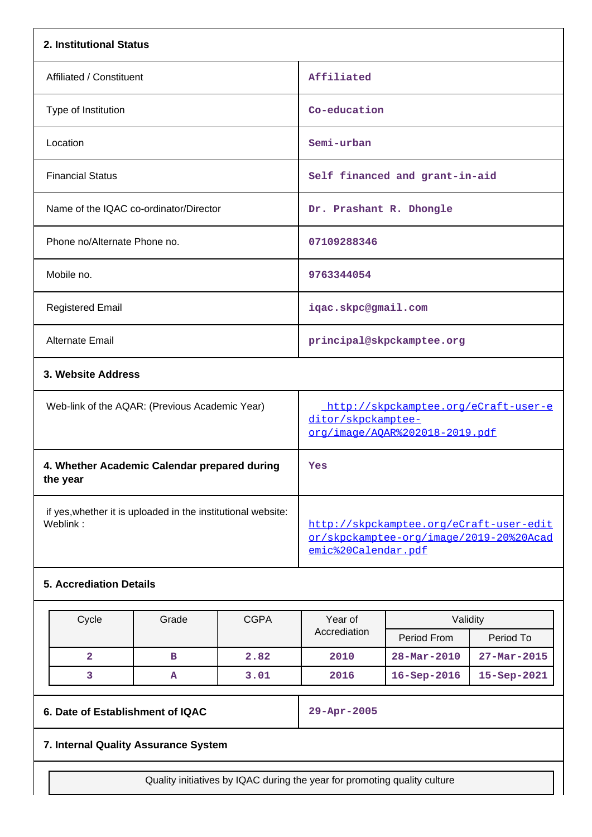| 2. Institutional Status                                                  |                                                                                                           |
|--------------------------------------------------------------------------|-----------------------------------------------------------------------------------------------------------|
| Affiliated / Constituent                                                 | Affiliated                                                                                                |
| Type of Institution                                                      | Co-education                                                                                              |
| Location                                                                 | Semi-urban                                                                                                |
| <b>Financial Status</b>                                                  | Self financed and grant-in-aid                                                                            |
| Name of the IQAC co-ordinator/Director                                   | Dr. Prashant R. Dhongle                                                                                   |
| Phone no/Alternate Phone no.                                             | 07109288346                                                                                               |
| Mobile no.                                                               | 9763344054                                                                                                |
| <b>Registered Email</b>                                                  | iqac.skpc@gmail.com                                                                                       |
| <b>Alternate Email</b>                                                   | principal@skpckamptee.org                                                                                 |
| 3. Website Address                                                       |                                                                                                           |
| Web-link of the AQAR: (Previous Academic Year)                           | http://skpckamptee.org/eCraft-user-e<br>ditor/skpckamptee-<br>org/image/AQAR%202018-2019.pdf              |
| 4. Whether Academic Calendar prepared during<br>the year                 | Yes                                                                                                       |
| if yes, whether it is uploaded in the institutional website:<br>Weblink: | http://skpckamptee.org/eCraft-user-edit<br>or/skpckamptee-org/image/2019-20%20Acad<br>emic%20Calendar.pdf |
| <b>5. Accrediation Details</b>                                           |                                                                                                           |

| Cycle | Grade | <b>CGPA</b> | Year of      | Validity                 |                   |
|-------|-------|-------------|--------------|--------------------------|-------------------|
|       |       |             | Accrediation | Period From              | Period To         |
|       | в     | 2.82        | 2010         | $28 - \text{Mar} - 2010$ | $27 - Mar - 2015$ |
|       | А     | 3.01        | 2016         | $16 -$ Sep $-2016$       | 15-Sep-2021       |

**6. Date of Establishment of IQAC 29-Apr-2005**

# **7. Internal Quality Assurance System**

Quality initiatives by IQAC during the year for promoting quality culture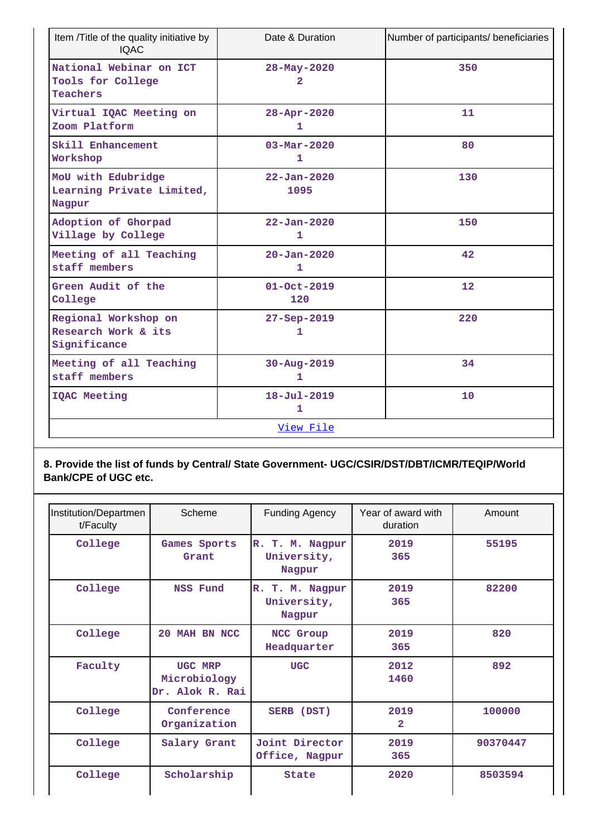| Item /Title of the quality initiative by<br><b>IQAC</b>         | Date & Duration                          | Number of participants/ beneficiaries |
|-----------------------------------------------------------------|------------------------------------------|---------------------------------------|
| National Webinar on ICT<br>Tools for College<br><b>Teachers</b> | 28-May-2020<br>$\overline{2}$            | 350                                   |
| Virtual IQAC Meeting on<br>Zoom Platform                        | 28-Apr-2020<br>1                         | 11                                    |
| Skill Enhancement<br>Workshop                                   | $03 - \text{Mar} - 2020$<br>$\mathbf{1}$ | 80                                    |
| MoU with Edubridge<br>Learning Private Limited,<br>Nagpur       | $22 - Jan - 2020$<br>1095                | 130                                   |
| Adoption of Ghorpad<br>Village by College                       | $22 - Jan - 2020$<br>$\mathbf{1}$        | 150                                   |
| Meeting of all Teaching<br>staff members                        | $20 - Jan - 2020$<br>1                   | 42                                    |
| Green Audit of the<br>College                                   | $01 - Oct - 2019$<br>120                 | 12                                    |
| Regional Workshop on<br>Research Work & its<br>Significance     | $27 - Sep - 2019$<br>1                   | 220                                   |
| Meeting of all Teaching<br>staff members                        | $30 - Aug - 2019$<br>1                   | 34                                    |
| IQAC Meeting                                                    | $18 - Ju1 - 2019$<br>1                   | 10                                    |
|                                                                 | View File                                |                                       |

### **8. Provide the list of funds by Central/ State Government- UGC/CSIR/DST/DBT/ICMR/TEQIP/World Bank/CPE of UGC etc.**

| Institution/Departmen<br>t/Faculty | Scheme                                     | <b>Funding Agency</b>                    | Year of award with<br>duration | Amount   |
|------------------------------------|--------------------------------------------|------------------------------------------|--------------------------------|----------|
| College                            | Games Sports<br>Grant                      | R. T. M. Nagpur<br>University,<br>Nagpur | 2019<br>365                    | 55195    |
| College                            | NSS Fund                                   | R. T. M. Nagpur<br>University,<br>Nagpur | 2019<br>365                    | 82200    |
| College                            | 20 MAH BN NCC                              | NCC Group<br>Headquarter                 | 2019<br>365                    | 820      |
| Faculty                            | UGC MRP<br>Microbiology<br>Dr. Alok R. Rai | <b>UGC</b>                               | 2012<br>1460                   | 892      |
| College                            | Conference<br>Organization                 | SERB (DST)                               | 2019<br>$\overline{2}$         | 100000   |
| College                            | Salary Grant                               | Joint Director<br>Office, Nagpur         | 2019<br>365                    | 90370447 |
| College                            | Scholarship                                | <b>State</b>                             | 2020                           | 8503594  |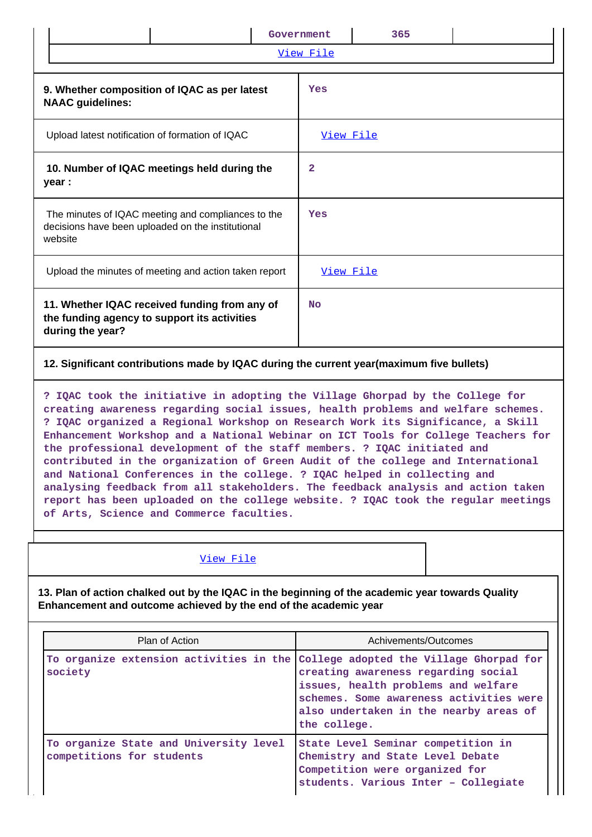|                                                                                                                                                                                                                                                                                                                                                                                                                                                                                                                                                                                                                                                                                                                                                                                                          |           | Government       | 365                                                                    |  |  |
|----------------------------------------------------------------------------------------------------------------------------------------------------------------------------------------------------------------------------------------------------------------------------------------------------------------------------------------------------------------------------------------------------------------------------------------------------------------------------------------------------------------------------------------------------------------------------------------------------------------------------------------------------------------------------------------------------------------------------------------------------------------------------------------------------------|-----------|------------------|------------------------------------------------------------------------|--|--|
|                                                                                                                                                                                                                                                                                                                                                                                                                                                                                                                                                                                                                                                                                                                                                                                                          |           |                  | View File                                                              |  |  |
| 9. Whether composition of IQAC as per latest<br><b>NAAC</b> guidelines:                                                                                                                                                                                                                                                                                                                                                                                                                                                                                                                                                                                                                                                                                                                                  | Yes       |                  |                                                                        |  |  |
| Upload latest notification of formation of IQAC                                                                                                                                                                                                                                                                                                                                                                                                                                                                                                                                                                                                                                                                                                                                                          | View File |                  |                                                                        |  |  |
| 10. Number of IQAC meetings held during the<br>year :                                                                                                                                                                                                                                                                                                                                                                                                                                                                                                                                                                                                                                                                                                                                                    | 2         |                  |                                                                        |  |  |
| The minutes of IQAC meeting and compliances to the<br>decisions have been uploaded on the institutional<br>website                                                                                                                                                                                                                                                                                                                                                                                                                                                                                                                                                                                                                                                                                       | Yes       |                  |                                                                        |  |  |
| Upload the minutes of meeting and action taken report                                                                                                                                                                                                                                                                                                                                                                                                                                                                                                                                                                                                                                                                                                                                                    |           | <u>View File</u> |                                                                        |  |  |
| 11. Whether IQAC received funding from any of<br>the funding agency to support its activities<br>during the year?                                                                                                                                                                                                                                                                                                                                                                                                                                                                                                                                                                                                                                                                                        | <b>No</b> |                  |                                                                        |  |  |
| 12. Significant contributions made by IQAC during the current year (maximum five bullets)                                                                                                                                                                                                                                                                                                                                                                                                                                                                                                                                                                                                                                                                                                                |           |                  |                                                                        |  |  |
| ? IQAC took the initiative in adopting the Village Ghorpad by the College for<br>creating awareness regarding social issues, health problems and welfare schemes.<br>? IQAC organized a Regional Workshop on Research Work its Significance, a Skill<br>Enhancement Workshop and a National Webinar on ICT Tools for College Teachers for<br>the professional development of the staff members. ? IQAC initiated and<br>contributed in the organization of Green Audit of the college and International<br>and National Conferences in the college. ? IQAC helped in collecting and<br>analysing feedback from all stakeholders. The feedback analysis and action taken<br>report has been uploaded on the college website. ? IQAC took the regular meetings<br>of Arts, Science and Commerce faculties. |           |                  |                                                                        |  |  |
| <u>View File</u>                                                                                                                                                                                                                                                                                                                                                                                                                                                                                                                                                                                                                                                                                                                                                                                         |           |                  |                                                                        |  |  |
| 13. Plan of action chalked out by the IQAC in the beginning of the academic year towards Quality<br>Enhancement and outcome achieved by the end of the academic year                                                                                                                                                                                                                                                                                                                                                                                                                                                                                                                                                                                                                                     |           |                  |                                                                        |  |  |
| Plan of Action                                                                                                                                                                                                                                                                                                                                                                                                                                                                                                                                                                                                                                                                                                                                                                                           |           |                  | Achivements/Outcomes                                                   |  |  |
| To organize extension activities in the<br>College adopted the Village Ghorpad for<br>society<br>creating awareness regarding social<br>issues, health problems and welfare<br>schemes. Some awareness activities were<br>also undertaken in the nearby areas of<br>the college.                                                                                                                                                                                                                                                                                                                                                                                                                                                                                                                         |           |                  |                                                                        |  |  |
| To organize State and University level<br>competitions for students                                                                                                                                                                                                                                                                                                                                                                                                                                                                                                                                                                                                                                                                                                                                      |           |                  | State Level Seminar competition in<br>Chemistry and State Level Debate |  |  |

**Competition were organized for**

**students. Various Inter – Collegiate**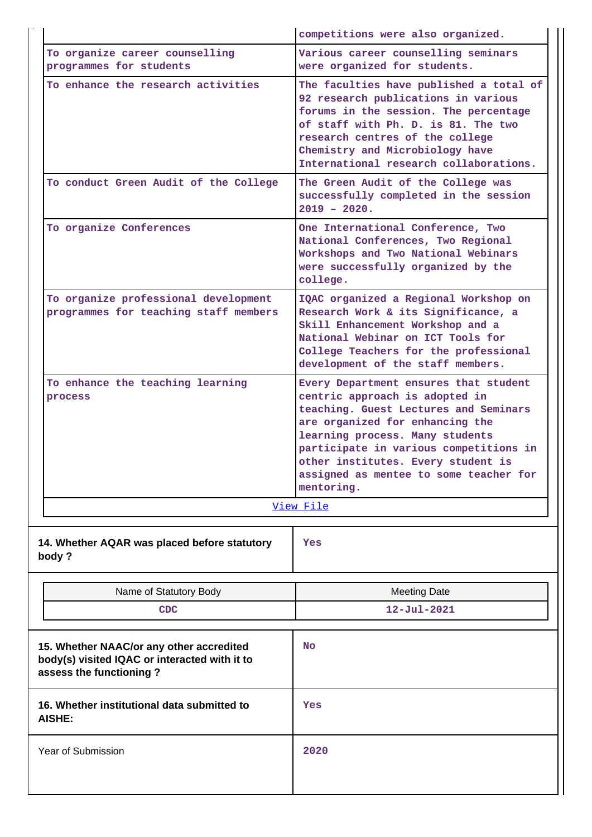|                                                                                                                      | competitions were also organized.                                                                                                                                                                                                                                                                                              |
|----------------------------------------------------------------------------------------------------------------------|--------------------------------------------------------------------------------------------------------------------------------------------------------------------------------------------------------------------------------------------------------------------------------------------------------------------------------|
| To organize career counselling<br>programmes for students                                                            | Various career counselling seminars<br>were organized for students.                                                                                                                                                                                                                                                            |
| To enhance the research activities                                                                                   | The faculties have published a total of<br>92 research publications in various<br>forums in the session. The percentage<br>of staff with Ph. D. is 81. The two<br>research centres of the college<br>Chemistry and Microbiology have<br>International research collaborations.                                                 |
| To conduct Green Audit of the College                                                                                | The Green Audit of the College was<br>successfully completed in the session<br>$2019 - 2020$ .                                                                                                                                                                                                                                 |
| To organize Conferences                                                                                              | One International Conference, Two<br>National Conferences, Two Regional<br>Workshops and Two National Webinars<br>were successfully organized by the<br>college.                                                                                                                                                               |
| To organize professional development<br>programmes for teaching staff members                                        | IQAC organized a Regional Workshop on<br>Research Work & its Significance, a<br>Skill Enhancement Workshop and a<br>National Webinar on ICT Tools for<br>College Teachers for the professional<br>development of the staff members.                                                                                            |
| To enhance the teaching learning<br>process                                                                          | Every Department ensures that student<br>centric approach is adopted in<br>teaching. Guest Lectures and Seminars<br>are organized for enhancing the<br>learning process. Many students<br>participate in various competitions in<br>other institutes. Every student is<br>assigned as mentee to some teacher for<br>mentoring. |
|                                                                                                                      | View File                                                                                                                                                                                                                                                                                                                      |
| 14. Whether AQAR was placed before statutory<br>body?                                                                | Yes                                                                                                                                                                                                                                                                                                                            |
| Name of Statutory Body                                                                                               | <b>Meeting Date</b>                                                                                                                                                                                                                                                                                                            |
| <b>CDC</b>                                                                                                           | $12 - Ju1 - 2021$                                                                                                                                                                                                                                                                                                              |
| 15. Whether NAAC/or any other accredited<br>body(s) visited IQAC or interacted with it to<br>assess the functioning? | <b>No</b>                                                                                                                                                                                                                                                                                                                      |
| 16. Whether institutional data submitted to<br><b>AISHE:</b>                                                         | Yes                                                                                                                                                                                                                                                                                                                            |
| Year of Submission                                                                                                   | 2020                                                                                                                                                                                                                                                                                                                           |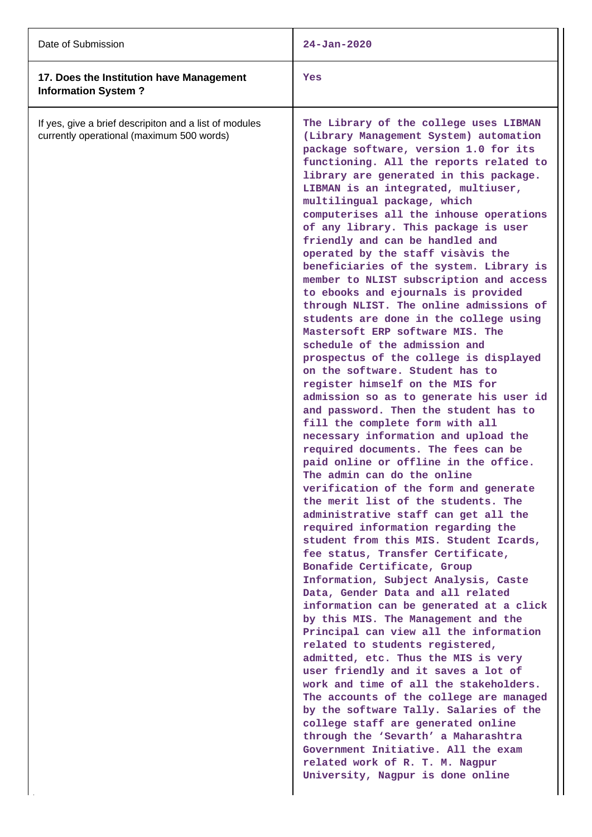| Date of Submission                                                                                  | $24 - Jan - 2020$                                                                                                                                                                                                                                                                                                                                                                                                                                                                                                                                                                                                                                                                                                                                                                                                                                                                                                                                                                                                                                                                                                                                                                                                                                                                                                                                                                                                                                                                                                                                                                                                                                                                                                                                                                                                                                                                                                                                                                                                                                                     |
|-----------------------------------------------------------------------------------------------------|-----------------------------------------------------------------------------------------------------------------------------------------------------------------------------------------------------------------------------------------------------------------------------------------------------------------------------------------------------------------------------------------------------------------------------------------------------------------------------------------------------------------------------------------------------------------------------------------------------------------------------------------------------------------------------------------------------------------------------------------------------------------------------------------------------------------------------------------------------------------------------------------------------------------------------------------------------------------------------------------------------------------------------------------------------------------------------------------------------------------------------------------------------------------------------------------------------------------------------------------------------------------------------------------------------------------------------------------------------------------------------------------------------------------------------------------------------------------------------------------------------------------------------------------------------------------------------------------------------------------------------------------------------------------------------------------------------------------------------------------------------------------------------------------------------------------------------------------------------------------------------------------------------------------------------------------------------------------------------------------------------------------------------------------------------------------------|
| 17. Does the Institution have Management<br><b>Information System?</b>                              | Yes                                                                                                                                                                                                                                                                                                                                                                                                                                                                                                                                                                                                                                                                                                                                                                                                                                                                                                                                                                                                                                                                                                                                                                                                                                                                                                                                                                                                                                                                                                                                                                                                                                                                                                                                                                                                                                                                                                                                                                                                                                                                   |
| If yes, give a brief descripiton and a list of modules<br>currently operational (maximum 500 words) | The Library of the college uses LIBMAN<br>(Library Management System) automation<br>package software, version 1.0 for its<br>functioning. All the reports related to<br>library are generated in this package.<br>LIBMAN is an integrated, multiuser,<br>multilingual package, which<br>computerises all the inhouse operations<br>of any library. This package is user<br>friendly and can be handled and<br>operated by the staff visàvis the<br>beneficiaries of the system. Library is<br>member to NLIST subscription and access<br>to ebooks and ejournals is provided<br>through NLIST. The online admissions of<br>students are done in the college using<br>Mastersoft ERP software MIS. The<br>schedule of the admission and<br>prospectus of the college is displayed<br>on the software. Student has to<br>register himself on the MIS for<br>admission so as to generate his user id<br>and password. Then the student has to<br>fill the complete form with all<br>necessary information and upload the<br>required documents. The fees can be<br>paid online or offline in the office.<br>The admin can do the online<br>verification of the form and generate<br>the merit list of the students. The<br>administrative staff can get all the<br>required information regarding the<br>student from this MIS. Student Icards,<br>fee status, Transfer Certificate,<br>Bonafide Certificate, Group<br>Information, Subject Analysis, Caste<br>Data, Gender Data and all related<br>information can be generated at a click<br>by this MIS. The Management and the<br>Principal can view all the information<br>related to students registered,<br>admitted, etc. Thus the MIS is very<br>user friendly and it saves a lot of<br>work and time of all the stakeholders.<br>The accounts of the college are managed<br>by the software Tally. Salaries of the<br>college staff are generated online<br>through the 'Sevarth' a Maharashtra<br>Government Initiative. All the exam<br>related work of R. T. M. Nagpur<br>University, Nagpur is done online |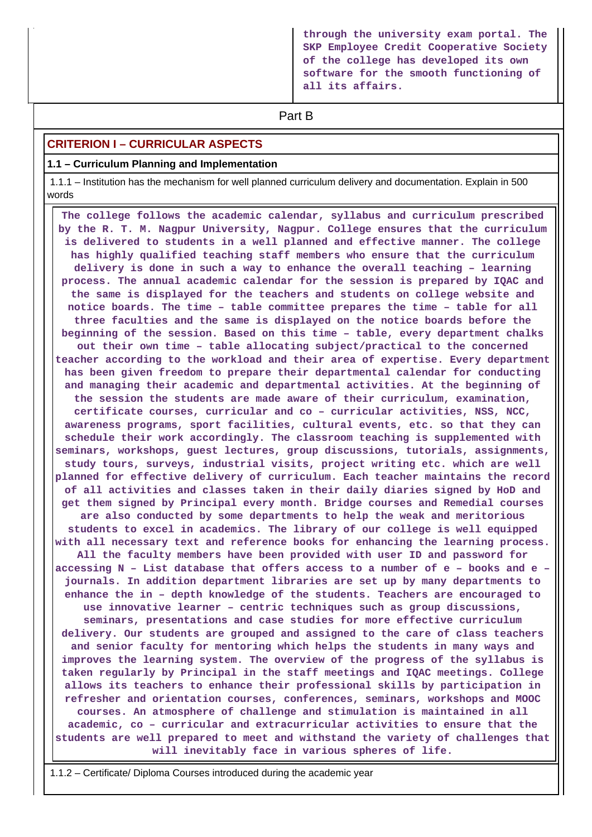**through the university exam portal. The SKP Employee Credit Cooperative Society of the college has developed its own software for the smooth functioning of all its affairs.**

# **Part B**

### **CRITERION I – CURRICULAR ASPECTS**

### **1.1 – Curriculum Planning and Implementation**

 1.1.1 – Institution has the mechanism for well planned curriculum delivery and documentation. Explain in 500 words

 **The college follows the academic calendar, syllabus and curriculum prescribed by the R. T. M. Nagpur University, Nagpur. College ensures that the curriculum is delivered to students in a well planned and effective manner. The college has highly qualified teaching staff members who ensure that the curriculum delivery is done in such a way to enhance the overall teaching – learning process. The annual academic calendar for the session is prepared by IQAC and the same is displayed for the teachers and students on college website and notice boards. The time – table committee prepares the time – table for all three faculties and the same is displayed on the notice boards before the beginning of the session. Based on this time – table, every department chalks out their own time – table allocating subject/practical to the concerned teacher according to the workload and their area of expertise. Every department has been given freedom to prepare their departmental calendar for conducting and managing their academic and departmental activities. At the beginning of the session the students are made aware of their curriculum, examination, certificate courses, curricular and co – curricular activities, NSS, NCC, awareness programs, sport facilities, cultural events, etc. so that they can schedule their work accordingly. The classroom teaching is supplemented with seminars, workshops, guest lectures, group discussions, tutorials, assignments, study tours, surveys, industrial visits, project writing etc. which are well planned for effective delivery of curriculum. Each teacher maintains the record of all activities and classes taken in their daily diaries signed by HoD and get them signed by Principal every month. Bridge courses and Remedial courses are also conducted by some departments to help the weak and meritorious students to excel in academics. The library of our college is well equipped with all necessary text and reference books for enhancing the learning process. All the faculty members have been provided with user ID and password for accessing N – List database that offers access to a number of e – books and e – journals. In addition department libraries are set up by many departments to enhance the in – depth knowledge of the students. Teachers are encouraged to use innovative learner – centric techniques such as group discussions, seminars, presentations and case studies for more effective curriculum delivery. Our students are grouped and assigned to the care of class teachers and senior faculty for mentoring which helps the students in many ways and improves the learning system. The overview of the progress of the syllabus is taken regularly by Principal in the staff meetings and IQAC meetings. College allows its teachers to enhance their professional skills by participation in refresher and orientation courses, conferences, seminars, workshops and MOOC courses. An atmosphere of challenge and stimulation is maintained in all academic, co – curricular and extracurricular activities to ensure that the students are well prepared to meet and withstand the variety of challenges that will inevitably face in various spheres of life.**

1.1.2 – Certificate/ Diploma Courses introduced during the academic year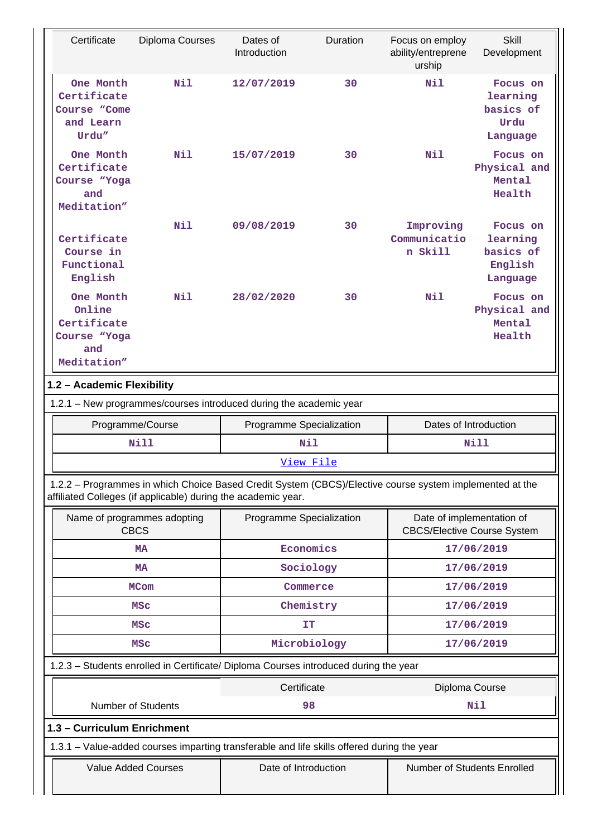| Certificate                                                              | Diploma Courses                                               | Dates of<br>Introduction                                                                                           | Duration | Focus on employ<br>ability/entreprene<br>urship                 | <b>Skill</b><br>Development                              |  |
|--------------------------------------------------------------------------|---------------------------------------------------------------|--------------------------------------------------------------------------------------------------------------------|----------|-----------------------------------------------------------------|----------------------------------------------------------|--|
| One Month<br>Certificate<br>Course "Come<br>and Learn<br>Urdu"           | N11                                                           | 12/07/2019                                                                                                         | 30       | Nil                                                             | Focus on<br>learning<br>basics of<br>Urdu<br>Language    |  |
| One Month<br>Certificate<br>Course "Yoga<br>and<br>Meditation"           | Nil                                                           | 15/07/2019                                                                                                         | 30       | Nil                                                             | Focus on<br>Physical and<br>Mental<br>Health             |  |
| Certificate<br>Course in<br>Functional<br>English                        | Nil                                                           | 09/08/2019                                                                                                         | 30       | Improving<br>Communicatio<br>n Skill                            | Focus on<br>learning<br>basics of<br>English<br>Language |  |
| One Month<br>Online<br>Certificate<br>Course "Yoga<br>and<br>Meditation" | Nil                                                           | 28/02/2020                                                                                                         | 30       | Nil                                                             | Focus on<br>Physical and<br>Mental<br>Health             |  |
| 1.2 - Academic Flexibility                                               |                                                               |                                                                                                                    |          |                                                                 |                                                          |  |
| 1.2.1 - New programmes/courses introduced during the academic year       |                                                               |                                                                                                                    |          |                                                                 |                                                          |  |
|                                                                          |                                                               |                                                                                                                    |          |                                                                 |                                                          |  |
|                                                                          | Programme/Course                                              | Programme Specialization                                                                                           |          | Dates of Introduction                                           |                                                          |  |
|                                                                          | <b>Nill</b>                                                   | Nil                                                                                                                |          |                                                                 | Nill                                                     |  |
|                                                                          |                                                               | View File                                                                                                          |          |                                                                 |                                                          |  |
|                                                                          | affiliated Colleges (if applicable) during the academic year. | 1.2.2 - Programmes in which Choice Based Credit System (CBCS)/Elective course system implemented at the            |          |                                                                 |                                                          |  |
|                                                                          | Name of programmes adopting<br><b>CBCS</b>                    | Programme Specialization                                                                                           |          | Date of implementation of<br><b>CBCS/Elective Course System</b> |                                                          |  |
|                                                                          | <b>MA</b>                                                     | Economics                                                                                                          |          |                                                                 | 17/06/2019                                               |  |
|                                                                          | <b>MA</b>                                                     | Sociology                                                                                                          |          |                                                                 | 17/06/2019                                               |  |
|                                                                          | <b>MCom</b>                                                   | Commerce                                                                                                           |          |                                                                 | 17/06/2019                                               |  |
|                                                                          | <b>MSC</b>                                                    | Chemistry                                                                                                          |          |                                                                 | 17/06/2019                                               |  |
|                                                                          | <b>MSC</b>                                                    | IT                                                                                                                 |          |                                                                 | 17/06/2019                                               |  |
|                                                                          | <b>MSC</b>                                                    | Microbiology                                                                                                       |          |                                                                 | 17/06/2019                                               |  |
|                                                                          |                                                               | 1.2.3 - Students enrolled in Certificate/ Diploma Courses introduced during the year                               |          |                                                                 |                                                          |  |
|                                                                          |                                                               | Certificate                                                                                                        |          | Diploma Course                                                  |                                                          |  |
|                                                                          | <b>Number of Students</b>                                     | 98                                                                                                                 |          |                                                                 | <b>Nil</b>                                               |  |
| 1.3 - Curriculum Enrichment                                              |                                                               |                                                                                                                    |          |                                                                 |                                                          |  |
|                                                                          | <b>Value Added Courses</b>                                    | 1.3.1 – Value-added courses imparting transferable and life skills offered during the year<br>Date of Introduction |          | Number of Students Enrolled                                     |                                                          |  |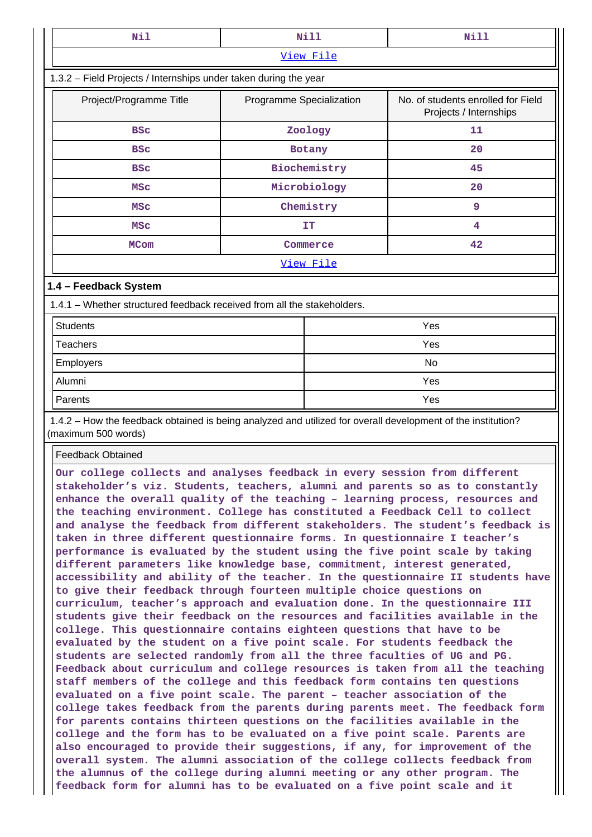| Nil                                                                                                                                                                                                                                                                                                                                                                                                                                                                                                                                                                                                                                                                                                                                                                                                                                                                                                                                                                                                                                                                                                                                                                                                                                                                                                                                                                                                                                                                                                                                                                                                                                                                                                                                                                                                                                                                                                                                                                  |                          | <b>Nill</b>  | <b>Nill</b>                                                  |  |  |
|----------------------------------------------------------------------------------------------------------------------------------------------------------------------------------------------------------------------------------------------------------------------------------------------------------------------------------------------------------------------------------------------------------------------------------------------------------------------------------------------------------------------------------------------------------------------------------------------------------------------------------------------------------------------------------------------------------------------------------------------------------------------------------------------------------------------------------------------------------------------------------------------------------------------------------------------------------------------------------------------------------------------------------------------------------------------------------------------------------------------------------------------------------------------------------------------------------------------------------------------------------------------------------------------------------------------------------------------------------------------------------------------------------------------------------------------------------------------------------------------------------------------------------------------------------------------------------------------------------------------------------------------------------------------------------------------------------------------------------------------------------------------------------------------------------------------------------------------------------------------------------------------------------------------------------------------------------------------|--------------------------|--------------|--------------------------------------------------------------|--|--|
|                                                                                                                                                                                                                                                                                                                                                                                                                                                                                                                                                                                                                                                                                                                                                                                                                                                                                                                                                                                                                                                                                                                                                                                                                                                                                                                                                                                                                                                                                                                                                                                                                                                                                                                                                                                                                                                                                                                                                                      |                          | View File    |                                                              |  |  |
| 1.3.2 - Field Projects / Internships under taken during the year                                                                                                                                                                                                                                                                                                                                                                                                                                                                                                                                                                                                                                                                                                                                                                                                                                                                                                                                                                                                                                                                                                                                                                                                                                                                                                                                                                                                                                                                                                                                                                                                                                                                                                                                                                                                                                                                                                     |                          |              |                                                              |  |  |
| Project/Programme Title                                                                                                                                                                                                                                                                                                                                                                                                                                                                                                                                                                                                                                                                                                                                                                                                                                                                                                                                                                                                                                                                                                                                                                                                                                                                                                                                                                                                                                                                                                                                                                                                                                                                                                                                                                                                                                                                                                                                              | Programme Specialization |              | No. of students enrolled for Field<br>Projects / Internships |  |  |
| <b>BSC</b>                                                                                                                                                                                                                                                                                                                                                                                                                                                                                                                                                                                                                                                                                                                                                                                                                                                                                                                                                                                                                                                                                                                                                                                                                                                                                                                                                                                                                                                                                                                                                                                                                                                                                                                                                                                                                                                                                                                                                           |                          | Zoology      | 11                                                           |  |  |
| <b>BSC</b>                                                                                                                                                                                                                                                                                                                                                                                                                                                                                                                                                                                                                                                                                                                                                                                                                                                                                                                                                                                                                                                                                                                                                                                                                                                                                                                                                                                                                                                                                                                                                                                                                                                                                                                                                                                                                                                                                                                                                           |                          | Botany       | 20                                                           |  |  |
| <b>BSC</b>                                                                                                                                                                                                                                                                                                                                                                                                                                                                                                                                                                                                                                                                                                                                                                                                                                                                                                                                                                                                                                                                                                                                                                                                                                                                                                                                                                                                                                                                                                                                                                                                                                                                                                                                                                                                                                                                                                                                                           |                          | Biochemistry | 45                                                           |  |  |
| <b>MSC</b>                                                                                                                                                                                                                                                                                                                                                                                                                                                                                                                                                                                                                                                                                                                                                                                                                                                                                                                                                                                                                                                                                                                                                                                                                                                                                                                                                                                                                                                                                                                                                                                                                                                                                                                                                                                                                                                                                                                                                           |                          | Microbiology | 20                                                           |  |  |
| <b>MSC</b>                                                                                                                                                                                                                                                                                                                                                                                                                                                                                                                                                                                                                                                                                                                                                                                                                                                                                                                                                                                                                                                                                                                                                                                                                                                                                                                                                                                                                                                                                                                                                                                                                                                                                                                                                                                                                                                                                                                                                           |                          | Chemistry    | 9                                                            |  |  |
| <b>MSC</b>                                                                                                                                                                                                                                                                                                                                                                                                                                                                                                                                                                                                                                                                                                                                                                                                                                                                                                                                                                                                                                                                                                                                                                                                                                                                                                                                                                                                                                                                                                                                                                                                                                                                                                                                                                                                                                                                                                                                                           |                          | IΤ           | 4                                                            |  |  |
| <b>MCom</b>                                                                                                                                                                                                                                                                                                                                                                                                                                                                                                                                                                                                                                                                                                                                                                                                                                                                                                                                                                                                                                                                                                                                                                                                                                                                                                                                                                                                                                                                                                                                                                                                                                                                                                                                                                                                                                                                                                                                                          |                          | Commerce     | 42                                                           |  |  |
|                                                                                                                                                                                                                                                                                                                                                                                                                                                                                                                                                                                                                                                                                                                                                                                                                                                                                                                                                                                                                                                                                                                                                                                                                                                                                                                                                                                                                                                                                                                                                                                                                                                                                                                                                                                                                                                                                                                                                                      |                          | View File    |                                                              |  |  |
| 1.4 - Feedback System                                                                                                                                                                                                                                                                                                                                                                                                                                                                                                                                                                                                                                                                                                                                                                                                                                                                                                                                                                                                                                                                                                                                                                                                                                                                                                                                                                                                                                                                                                                                                                                                                                                                                                                                                                                                                                                                                                                                                |                          |              |                                                              |  |  |
| 1.4.1 - Whether structured feedback received from all the stakeholders.                                                                                                                                                                                                                                                                                                                                                                                                                                                                                                                                                                                                                                                                                                                                                                                                                                                                                                                                                                                                                                                                                                                                                                                                                                                                                                                                                                                                                                                                                                                                                                                                                                                                                                                                                                                                                                                                                              |                          |              |                                                              |  |  |
| <b>Students</b>                                                                                                                                                                                                                                                                                                                                                                                                                                                                                                                                                                                                                                                                                                                                                                                                                                                                                                                                                                                                                                                                                                                                                                                                                                                                                                                                                                                                                                                                                                                                                                                                                                                                                                                                                                                                                                                                                                                                                      |                          |              | Yes                                                          |  |  |
| <b>Teachers</b>                                                                                                                                                                                                                                                                                                                                                                                                                                                                                                                                                                                                                                                                                                                                                                                                                                                                                                                                                                                                                                                                                                                                                                                                                                                                                                                                                                                                                                                                                                                                                                                                                                                                                                                                                                                                                                                                                                                                                      |                          |              | Yes                                                          |  |  |
| Employers                                                                                                                                                                                                                                                                                                                                                                                                                                                                                                                                                                                                                                                                                                                                                                                                                                                                                                                                                                                                                                                                                                                                                                                                                                                                                                                                                                                                                                                                                                                                                                                                                                                                                                                                                                                                                                                                                                                                                            |                          |              | No                                                           |  |  |
| Alumni                                                                                                                                                                                                                                                                                                                                                                                                                                                                                                                                                                                                                                                                                                                                                                                                                                                                                                                                                                                                                                                                                                                                                                                                                                                                                                                                                                                                                                                                                                                                                                                                                                                                                                                                                                                                                                                                                                                                                               |                          |              | Yes                                                          |  |  |
| Parents                                                                                                                                                                                                                                                                                                                                                                                                                                                                                                                                                                                                                                                                                                                                                                                                                                                                                                                                                                                                                                                                                                                                                                                                                                                                                                                                                                                                                                                                                                                                                                                                                                                                                                                                                                                                                                                                                                                                                              |                          |              | Yes                                                          |  |  |
| 1.4.2 - How the feedback obtained is being analyzed and utilized for overall development of the institution?<br>(maximum 500 words)                                                                                                                                                                                                                                                                                                                                                                                                                                                                                                                                                                                                                                                                                                                                                                                                                                                                                                                                                                                                                                                                                                                                                                                                                                                                                                                                                                                                                                                                                                                                                                                                                                                                                                                                                                                                                                  |                          |              |                                                              |  |  |
| <b>Feedback Obtained</b>                                                                                                                                                                                                                                                                                                                                                                                                                                                                                                                                                                                                                                                                                                                                                                                                                                                                                                                                                                                                                                                                                                                                                                                                                                                                                                                                                                                                                                                                                                                                                                                                                                                                                                                                                                                                                                                                                                                                             |                          |              |                                                              |  |  |
| Our college collects and analyses feedback in every session from different<br>stakeholder's viz. Students, teachers, alumni and parents so as to constantly<br>enhance the overall quality of the teaching - learning process, resources and<br>the teaching environment. College has constituted a Feedback Cell to collect<br>and analyse the feedback from different stakeholders. The student's feedback is<br>taken in three different questionnaire forms. In questionnaire I teacher's<br>performance is evaluated by the student using the five point scale by taking<br>different parameters like knowledge base, commitment, interest generated,<br>accessibility and ability of the teacher. In the questionnaire II students have<br>to give their feedback through fourteen multiple choice questions on<br>curriculum, teacher's approach and evaluation done. In the questionnaire III<br>students give their feedback on the resources and facilities available in the<br>college. This questionnaire contains eighteen questions that have to be<br>evaluated by the student on a five point scale. For students feedback the<br>students are selected randomly from all the three faculties of UG and PG.<br>Feedback about curriculum and college resources is taken from all the teaching<br>staff members of the college and this feedback form contains ten questions<br>evaluated on a five point scale. The parent - teacher association of the<br>college takes feedback from the parents during parents meet. The feedback form<br>for parents contains thirteen questions on the facilities available in the<br>college and the form has to be evaluated on a five point scale. Parents are<br>also encouraged to provide their suggestions, if any, for improvement of the<br>overall system. The alumni association of the college collects feedback from<br>the alumnus of the college during alumni meeting or any other program. The |                          |              |                                                              |  |  |

٦I.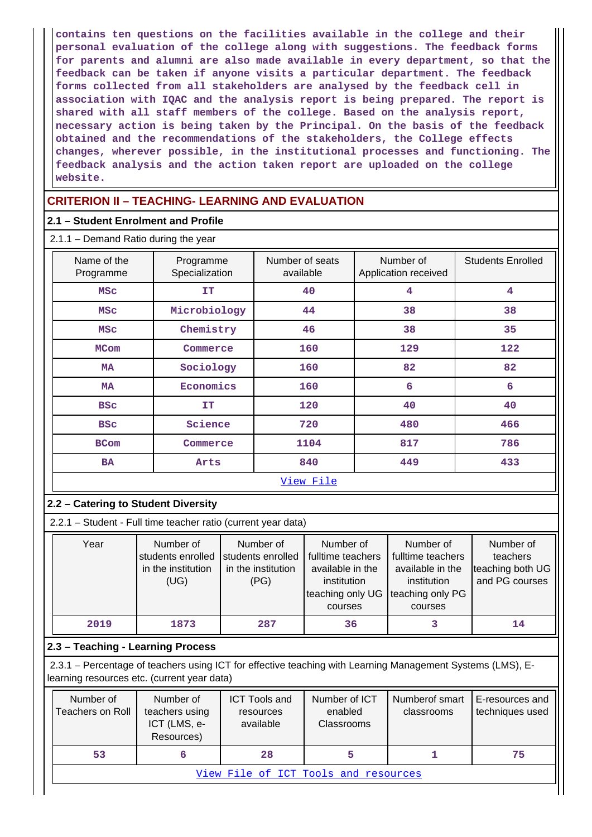**contains ten questions on the facilities available in the college and their personal evaluation of the college along with suggestions. The feedback forms for parents and alumni are also made available in every department, so that the feedback can be taken if anyone visits a particular department. The feedback forms collected from all stakeholders are analysed by the feedback cell in association with IQAC and the analysis report is being prepared. The report is shared with all staff members of the college. Based on the analysis report, necessary action is being taken by the Principal. On the basis of the feedback obtained and the recommendations of the stakeholders, the College effects changes, wherever possible, in the institutional processes and functioning. The feedback analysis and the action taken report are uploaded on the college website.**

### **CRITERION II – TEACHING- LEARNING AND EVALUATION**

### **2.1 – Student Enrolment and Profile**

| $2.1.1 -$ Demand Ratio during the year |  |
|----------------------------------------|--|
|----------------------------------------|--|

| Name of the<br>Programme | Programme<br>Specialization | Number of seats<br>available | Number of<br>Application received | <b>Students Enrolled</b> |  |
|--------------------------|-----------------------------|------------------------------|-----------------------------------|--------------------------|--|
| <b>MSC</b>               | IT                          | 40                           | 4                                 | 4                        |  |
| <b>MSC</b>               | Microbiology                | 44                           | 38                                | 38                       |  |
| <b>MSC</b>               | Chemistry                   | 46                           | 38                                | 35                       |  |
| <b>MCom</b>              | Commerce                    | 160                          | 129                               | 122                      |  |
| <b>MA</b>                | Sociology                   | 160                          | 82                                | 82                       |  |
| <b>MA</b>                | Economics                   | 160                          | 6                                 | 6                        |  |
| <b>BSC</b>               | <b>IT</b>                   | 120                          | 40                                | 40                       |  |
| <b>BSC</b>               | Science                     | 720                          | 480                               | 466                      |  |
| <b>BCom</b>              | Commerce                    | 1104                         | 817                               | 786                      |  |
| <b>BA</b>                | Arts                        | 840                          | 449                               | 433                      |  |
| View File                |                             |                              |                                   |                          |  |

### **2.2 – Catering to Student Diversity**

2.2.1 – Student - Full time teacher ratio (current year data)

| Year | Number of<br>students enrolled<br>in the institution<br>(UG) | Number of<br>students enrolled<br>in the institution<br>(PG) | Number of<br>fulltime teachers<br>available in the<br>institution<br>teaching only UG<br>courses | Number of<br>fulltime teachers<br>available in the<br>institution<br>teaching only PG<br>courses | Number of<br>teachers<br>teaching both UG<br>and PG courses |
|------|--------------------------------------------------------------|--------------------------------------------------------------|--------------------------------------------------------------------------------------------------|--------------------------------------------------------------------------------------------------|-------------------------------------------------------------|
| 2019 | 1873                                                         | 287                                                          | 36                                                                                               |                                                                                                  | 14                                                          |

### **2.3 – Teaching - Learning Process**

 2.3.1 – Percentage of teachers using ICT for effective teaching with Learning Management Systems (LMS), Elearning resources etc. (current year data)

| Number of<br>Teachers on Roll        | Number of<br>teachers using<br>ICT (LMS, e-<br>Resources) | <b>ICT Tools and</b><br>resources<br>available | Number of ICT<br>enabled<br><b>Classrooms</b> | Numberof smart<br>classrooms | I E-resources and<br>techniques used |  |  |
|--------------------------------------|-----------------------------------------------------------|------------------------------------------------|-----------------------------------------------|------------------------------|--------------------------------------|--|--|
| 53                                   |                                                           | 28                                             |                                               |                              | 75                                   |  |  |
| View File of ICT Tools and resources |                                                           |                                                |                                               |                              |                                      |  |  |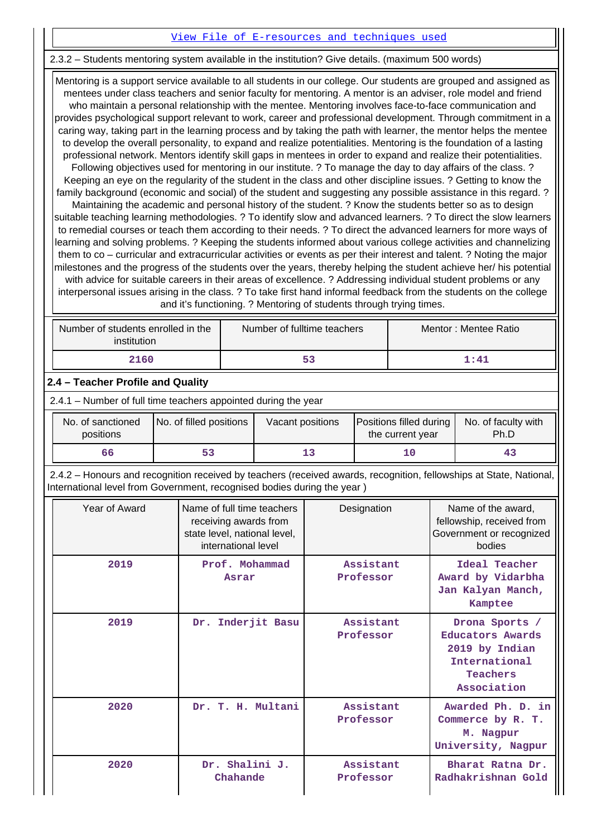### [View File of E-resources and techniques used](https://assessmentonline.naac.gov.in/public/Postacc/e_resource/14845_e_resource_1633604573.xlsx)

### 2.3.2 – Students mentoring system available in the institution? Give details. (maximum 500 words)

 Mentoring is a support service available to all students in our college. Our students are grouped and assigned as mentees under class teachers and senior faculty for mentoring. A mentor is an adviser, role model and friend who maintain a personal relationship with the mentee. Mentoring involves face-to-face communication and provides psychological support relevant to work, career and professional development. Through commitment in a caring way, taking part in the learning process and by taking the path with learner, the mentor helps the mentee to develop the overall personality, to expand and realize potentialities. Mentoring is the foundation of a lasting professional network. Mentors identify skill gaps in mentees in order to expand and realize their potentialities. Following objectives used for mentoring in our institute. ? To manage the day to day affairs of the class. ? Keeping an eye on the regularity of the student in the class and other discipline issues. ? Getting to know the family background (economic and social) of the student and suggesting any possible assistance in this regard. ? Maintaining the academic and personal history of the student. ? Know the students better so as to design suitable teaching learning methodologies. ? To identify slow and advanced learners. ? To direct the slow learners to remedial courses or teach them according to their needs. ? To direct the advanced learners for more ways of learning and solving problems. ? Keeping the students informed about various college activities and channelizing them to co – curricular and extracurricular activities or events as per their interest and talent. ? Noting the major milestones and the progress of the students over the years, thereby helping the student achieve her/ his potential with advice for suitable careers in their areas of excellence. ? Addressing individual student problems or any interpersonal issues arising in the class. ? To take first hand informal feedback from the students on the college and it's functioning. ? Mentoring of students through trying times.

| Number of students enrolled in the<br>institution | Number of fulltime teachers | Mentor: Mentee Ratio |
|---------------------------------------------------|-----------------------------|----------------------|
| 2160                                              | 53                          | 1.41                 |

### **2.4 – Teacher Profile and Quality**

2.4.1 – Number of full time teachers appointed during the year

| No. of sanctioned | No. of filled positions |  | Positions filled during | No. of faculty with |
|-------------------|-------------------------|--|-------------------------|---------------------|
| positions         | Vacant positions        |  | the current year        | Ph.D                |
| 66                |                         |  |                         | 43                  |

 2.4.2 – Honours and recognition received by teachers (received awards, recognition, fellowships at State, National, International level from Government, recognised bodies during the year )

| Year of Award | Name of full time teachers<br>receiving awards from<br>state level, national level,<br>international level | Designation            | Name of the award,<br>fellowship, received from<br>Government or recognized<br>bodies                   |
|---------------|------------------------------------------------------------------------------------------------------------|------------------------|---------------------------------------------------------------------------------------------------------|
| 2019          | Prof. Mohammad<br>Asrar                                                                                    | Assistant<br>Professor | Ideal Teacher<br>Award by Vidarbha<br>Jan Kalyan Manch,<br>Kamptee                                      |
| 2019          | Dr. Inderjit Basu                                                                                          | Assistant<br>Professor | Drona Sports /<br><b>Educators Awards</b><br>2019 by Indian<br>International<br>Teachers<br>Association |
| 2020          | Dr. T. H. Multani                                                                                          | Assistant<br>Professor | Awarded Ph. D. in<br>Commerce by R. T.<br>M. Nagpur<br>University, Nagpur                               |
| 2020          | Dr. Shalini J.<br>Chahande                                                                                 | Assistant<br>Professor | Bharat Ratna Dr.<br>Radhakrishnan Gold                                                                  |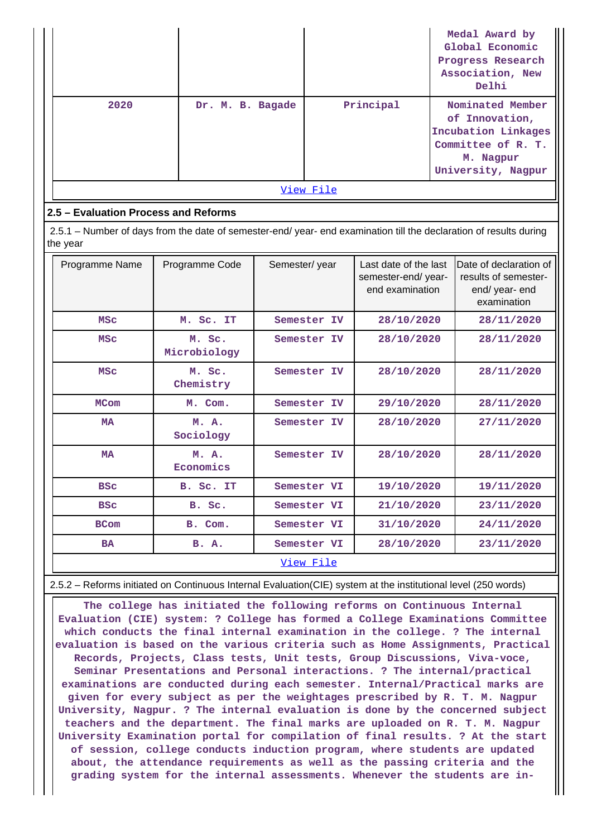|           |                  |           | Medal Award by<br>Global Economic<br>Progress Research<br>Association, New<br>Delhi                                |  |  |  |  |
|-----------|------------------|-----------|--------------------------------------------------------------------------------------------------------------------|--|--|--|--|
| 2020      | Dr. M. B. Bagade | Principal | Nominated Member<br>of Innovation,<br>Incubation Linkages<br>Committee of R. T.<br>M. Nagpur<br>University, Nagpur |  |  |  |  |
| View File |                  |           |                                                                                                                    |  |  |  |  |

### **2.5 – Evaluation Process and Reforms**

 2.5.1 – Number of days from the date of semester-end/ year- end examination till the declaration of results during the year

| Programme Name | Programme Code         | Semester/year | Last date of the last<br>semester-end/ year-<br>end examination | Date of declaration of<br>results of semester-<br>end/ year- end<br>examination |
|----------------|------------------------|---------------|-----------------------------------------------------------------|---------------------------------------------------------------------------------|
| <b>MSC</b>     | M. Sc. IT              | Semester IV   | 28/10/2020                                                      | 28/11/2020                                                                      |
| <b>MSC</b>     | M. Sc.<br>Microbiology | Semester IV   | 28/10/2020                                                      | 28/11/2020                                                                      |
| <b>MSC</b>     | M. Sc.<br>Chemistry    | Semester IV   | 28/10/2020                                                      | 28/11/2020                                                                      |
| <b>MCom</b>    | M. Com.                | Semester IV   | 29/10/2020                                                      | 28/11/2020                                                                      |
| <b>MA</b>      | M. A.<br>Sociology     | Semester IV   | 28/10/2020                                                      | 27/11/2020                                                                      |
| <b>MA</b>      | M. A.<br>Economics     | Semester IV   | 28/10/2020                                                      | 28/11/2020                                                                      |
| <b>BSC</b>     | B. Sc. IT              | Semester VI   | 19/10/2020                                                      | 19/11/2020                                                                      |
| <b>BSC</b>     | B. Sc.                 | Semester VI   | 21/10/2020                                                      | 23/11/2020                                                                      |
| <b>BCom</b>    | B. Com.                | Semester VI   | 31/10/2020                                                      | 24/11/2020                                                                      |
| <b>BA</b>      | <b>B.</b> A.           | Semester VI   | 28/10/2020                                                      | 23/11/2020                                                                      |
|                |                        | View File     |                                                                 |                                                                                 |

2.5.2 – Reforms initiated on Continuous Internal Evaluation(CIE) system at the institutional level (250 words)

 **The college has initiated the following reforms on Continuous Internal Evaluation (CIE) system: ? College has formed a College Examinations Committee which conducts the final internal examination in the college. ? The internal evaluation is based on the various criteria such as Home Assignments, Practical Records, Projects, Class tests, Unit tests, Group Discussions, Viva-voce, Seminar Presentations and Personal interactions. ? The internal/practical examinations are conducted during each semester. Internal/Practical marks are given for every subject as per the weightages prescribed by R. T. M. Nagpur University, Nagpur. ? The internal evaluation is done by the concerned subject teachers and the department. The final marks are uploaded on R. T. M. Nagpur University Examination portal for compilation of final results. ? At the start of session, college conducts induction program, where students are updated about, the attendance requirements as well as the passing criteria and the grading system for the internal assessments. Whenever the students are in-**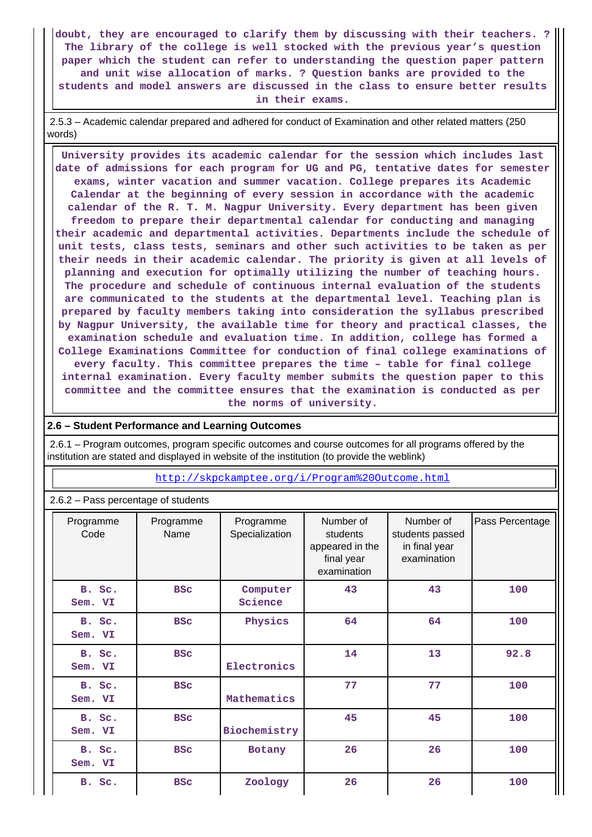**doubt, they are encouraged to clarify them by discussing with their teachers. ? The library of the college is well stocked with the previous year's question paper which the student can refer to understanding the question paper pattern and unit wise allocation of marks. ? Question banks are provided to the students and model answers are discussed in the class to ensure better results in their exams.**

 2.5.3 – Academic calendar prepared and adhered for conduct of Examination and other related matters (250 words)

 **University provides its academic calendar for the session which includes last date of admissions for each program for UG and PG, tentative dates for semester exams, winter vacation and summer vacation. College prepares its Academic Calendar at the beginning of every session in accordance with the academic calendar of the R. T. M. Nagpur University. Every department has been given freedom to prepare their departmental calendar for conducting and managing their academic and departmental activities. Departments include the schedule of unit tests, class tests, seminars and other such activities to be taken as per their needs in their academic calendar. The priority is given at all levels of planning and execution for optimally utilizing the number of teaching hours. The procedure and schedule of continuous internal evaluation of the students are communicated to the students at the departmental level. Teaching plan is prepared by faculty members taking into consideration the syllabus prescribed by Nagpur University, the available time for theory and practical classes, the examination schedule and evaluation time. In addition, college has formed a College Examinations Committee for conduction of final college examinations of every faculty. This committee prepares the time – table for final college internal examination. Every faculty member submits the question paper to this committee and the committee ensures that the examination is conducted as per the norms of university.**

### **2.6 – Student Performance and Learning Outcomes**

 2.6.1 – Program outcomes, program specific outcomes and course outcomes for all programs offered by the institution are stated and displayed in website of the institution (to provide the weblink)

### <http://skpckamptee.org/i/Program%20Outcome.html>

| Programme<br>Code | Programme<br>Name | Programme<br>Specialization | Number of<br>students<br>appeared in the<br>final year<br>examination | Number of<br>students passed<br>in final year<br>examination | Pass Percentage |
|-------------------|-------------------|-----------------------------|-----------------------------------------------------------------------|--------------------------------------------------------------|-----------------|
| B. Sc.<br>Sem. VI | <b>BSC</b>        | Computer<br>Science         | 43                                                                    | 43                                                           | 100             |
| B. Sc.<br>Sem. VI | <b>BSC</b>        | Physics                     | 64                                                                    | 64                                                           | 100             |
| B. Sc.<br>Sem. VI | <b>BSC</b>        | Electronics                 | 14                                                                    | 13                                                           | 92.8            |
| B. Sc.<br>Sem. VI | <b>BSC</b>        | Mathematics                 | 77                                                                    | 77                                                           | 100             |
| B. Sc.<br>Sem. VI | <b>BSC</b>        | Biochemistry                | 45                                                                    | 45                                                           | 100             |
| B. Sc.<br>Sem. VI | <b>BSC</b>        | Botany                      | 26                                                                    | 26                                                           | 100             |
| B. Sc.            | <b>BSC</b>        | Zoology                     | 26                                                                    | 26                                                           | 100             |

2.6.2 – Pass percentage of students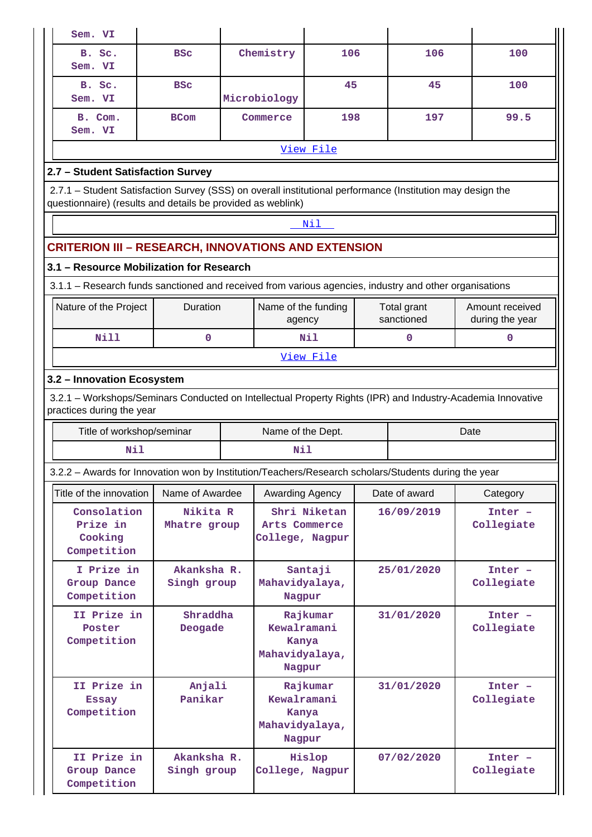| Sem. VI                                                                                                                                                                   |                                                          |  |                                                              |     |               |                           |                                    |  |  |
|---------------------------------------------------------------------------------------------------------------------------------------------------------------------------|----------------------------------------------------------|--|--------------------------------------------------------------|-----|---------------|---------------------------|------------------------------------|--|--|
| B. Sc.<br>Sem. VI                                                                                                                                                         | <b>BSC</b>                                               |  | Chemistry                                                    | 106 |               | 106                       | 100                                |  |  |
| B. Sc.<br>Sem. VI                                                                                                                                                         | <b>BSC</b>                                               |  | Microbiology                                                 | 45  |               | 45                        | 100                                |  |  |
| B. Com.<br>Sem. VI                                                                                                                                                        | <b>BCom</b>                                              |  | Commerce                                                     | 198 |               | 197                       | 99.5                               |  |  |
|                                                                                                                                                                           |                                                          |  | View File                                                    |     |               |                           |                                    |  |  |
| 2.7 - Student Satisfaction Survey                                                                                                                                         |                                                          |  |                                                              |     |               |                           |                                    |  |  |
| 2.7.1 – Student Satisfaction Survey (SSS) on overall institutional performance (Institution may design the<br>questionnaire) (results and details be provided as weblink) |                                                          |  |                                                              |     |               |                           |                                    |  |  |
|                                                                                                                                                                           |                                                          |  | Nil                                                          |     |               |                           |                                    |  |  |
| <b>CRITERION III – RESEARCH, INNOVATIONS AND EXTENSION</b>                                                                                                                |                                                          |  |                                                              |     |               |                           |                                    |  |  |
| 3.1 - Resource Mobilization for Research                                                                                                                                  |                                                          |  |                                                              |     |               |                           |                                    |  |  |
| 3.1.1 - Research funds sanctioned and received from various agencies, industry and other organisations                                                                    |                                                          |  |                                                              |     |               |                           |                                    |  |  |
| Nature of the Project                                                                                                                                                     | Duration                                                 |  | Name of the funding<br>agency                                |     |               | Total grant<br>sanctioned | Amount received<br>during the year |  |  |
| <b>Nill</b>                                                                                                                                                               | 0                                                        |  | Nil                                                          |     |               | 0                         | $\mathbf 0$                        |  |  |
|                                                                                                                                                                           |                                                          |  | View File                                                    |     |               |                           |                                    |  |  |
|                                                                                                                                                                           | 3.2 - Innovation Ecosystem                               |  |                                                              |     |               |                           |                                    |  |  |
| 3.2.1 - Workshops/Seminars Conducted on Intellectual Property Rights (IPR) and Industry-Academia Innovative<br>practices during the year                                  |                                                          |  |                                                              |     |               |                           |                                    |  |  |
| Title of workshop/seminar                                                                                                                                                 |                                                          |  | Name of the Dept.                                            |     |               |                           | Date                               |  |  |
| Nil                                                                                                                                                                       |                                                          |  | Nil                                                          |     |               |                           |                                    |  |  |
| 3.2.2 - Awards for Innovation won by Institution/Teachers/Research scholars/Students during the year                                                                      |                                                          |  |                                                              |     |               |                           |                                    |  |  |
| Title of the innovation                                                                                                                                                   | Name of Awardee                                          |  | Awarding Agency                                              |     | Date of award |                           | Category                           |  |  |
| Consolation<br>Prize in<br>Cooking<br>Competition                                                                                                                         | Nikita R<br>Mhatre group                                 |  | Shri Niketan<br>Arts Commerce<br>College, Nagpur             |     |               | 16/09/2019                | $Inter -$                          |  |  |
| I Prize in                                                                                                                                                                | Akanksha R.<br>Group Dance<br>Singh group<br>Competition |  |                                                              |     |               |                           | Collegiate                         |  |  |
|                                                                                                                                                                           |                                                          |  | Santaji<br>Mahavidyalaya,<br>Nagpur                          |     |               | 25/01/2020                | $Inter -$<br>Collegiate            |  |  |
| II Prize in<br>Poster<br>Competition                                                                                                                                      | Shraddha<br>Deogade                                      |  | Rajkumar<br>Kewalramani<br>Kanya<br>Mahavidyalaya,<br>Nagpur |     |               | 31/01/2020                | $Inter -$<br>Collegiate            |  |  |
| II Prize in<br><b>Essay</b><br>Competition                                                                                                                                | Anjali<br>Panikar                                        |  | Rajkumar<br>Kewalramani<br>Kanya<br>Mahavidyalaya,<br>Nagpur |     |               | 31/01/2020                | Inter -<br>Collegiate              |  |  |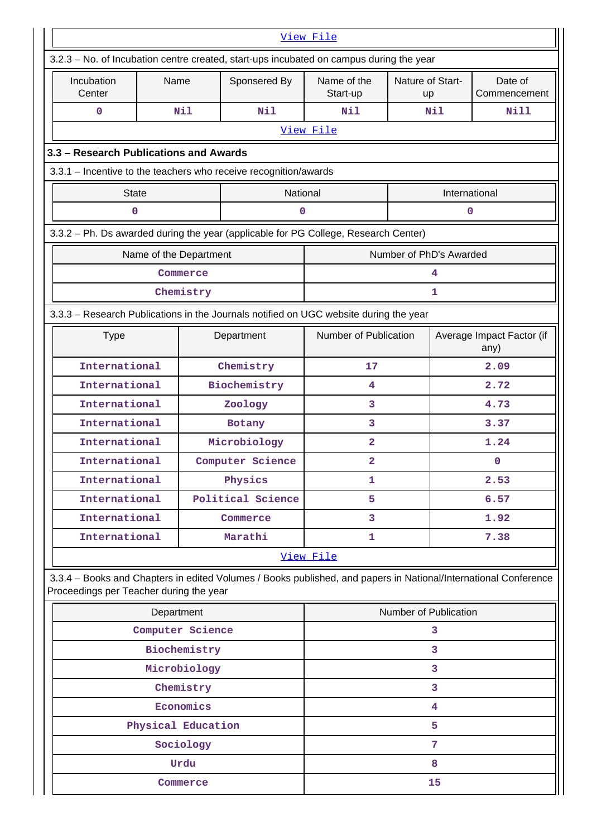|                                                                                                                                                            |                        |              |                   | View File               |                         |                                   |                         |
|------------------------------------------------------------------------------------------------------------------------------------------------------------|------------------------|--------------|-------------------|-------------------------|-------------------------|-----------------------------------|-------------------------|
| 3.2.3 - No. of Incubation centre created, start-ups incubated on campus during the year                                                                    |                        |              |                   |                         |                         |                                   |                         |
| Incubation<br>Center                                                                                                                                       | Name                   |              | Sponsered By      | Name of the<br>Start-up | Nature of Start-<br>up  |                                   | Date of<br>Commencement |
| $\mathbf 0$                                                                                                                                                |                        | Nil          | Nil               | N11                     |                         | Nil                               | <b>Nill</b>             |
|                                                                                                                                                            |                        |              |                   | View File               |                         |                                   |                         |
| 3.3 - Research Publications and Awards                                                                                                                     |                        |              |                   |                         |                         |                                   |                         |
| 3.3.1 - Incentive to the teachers who receive recognition/awards                                                                                           |                        |              |                   |                         |                         |                                   |                         |
| <b>State</b>                                                                                                                                               |                        |              | National          |                         |                         | International                     |                         |
| 0                                                                                                                                                          |                        |              | 0                 |                         |                         | 0                                 |                         |
| 3.3.2 - Ph. Ds awarded during the year (applicable for PG College, Research Center)                                                                        |                        |              |                   |                         |                         |                                   |                         |
|                                                                                                                                                            | Name of the Department |              |                   |                         | Number of PhD's Awarded |                                   |                         |
|                                                                                                                                                            |                        | Commerce     |                   |                         |                         | 4                                 |                         |
|                                                                                                                                                            |                        | Chemistry    |                   |                         |                         | 1                                 |                         |
| 3.3.3 - Research Publications in the Journals notified on UGC website during the year                                                                      |                        |              |                   |                         |                         |                                   |                         |
| <b>Type</b>                                                                                                                                                |                        |              | Department        | Number of Publication   |                         | Average Impact Factor (if<br>any) |                         |
| International                                                                                                                                              |                        |              | Chemistry         | 17                      |                         | 2.09                              |                         |
| International                                                                                                                                              |                        |              | Biochemistry      | 4                       |                         | 2.72                              |                         |
| International                                                                                                                                              |                        |              | Zoology           | 3                       |                         | 4.73                              |                         |
| International                                                                                                                                              |                        |              | Botany            | 3                       |                         | 3.37                              |                         |
| International                                                                                                                                              |                        |              | Microbiology      | $\overline{a}$          |                         | 1.24                              |                         |
| International                                                                                                                                              |                        |              | Computer Science  | $\overline{\mathbf{2}}$ |                         | 0                                 |                         |
| International                                                                                                                                              |                        |              | Physics           | 1                       |                         | 2.53                              |                         |
| International                                                                                                                                              |                        |              | Political Science | 5                       |                         | 6.57                              |                         |
| International                                                                                                                                              |                        |              | Commerce          | 3                       |                         | 1.92                              |                         |
| International                                                                                                                                              |                        |              | Marathi           | 1                       |                         | 7.38                              |                         |
|                                                                                                                                                            |                        |              |                   | View File               |                         |                                   |                         |
| 3.3.4 - Books and Chapters in edited Volumes / Books published, and papers in National/International Conference<br>Proceedings per Teacher during the year |                        |              |                   |                         |                         |                                   |                         |
|                                                                                                                                                            | Department             |              |                   |                         | Number of Publication   |                                   |                         |
|                                                                                                                                                            | Computer Science       |              |                   |                         |                         | 3                                 |                         |
|                                                                                                                                                            |                        | Biochemistry |                   |                         |                         | 3                                 |                         |
|                                                                                                                                                            |                        | Microbiology |                   |                         |                         | 3                                 |                         |
|                                                                                                                                                            |                        | Chemistry    |                   |                         |                         | 3                                 |                         |
|                                                                                                                                                            |                        | Economics    |                   |                         |                         | 4                                 |                         |
|                                                                                                                                                            | Physical Education     |              |                   | 5                       |                         |                                   |                         |
|                                                                                                                                                            |                        | Sociology    |                   |                         |                         | 7                                 |                         |
|                                                                                                                                                            |                        | Urdu         |                   | 8                       |                         |                                   |                         |
| Commerce                                                                                                                                                   |                        |              |                   |                         |                         | 15                                |                         |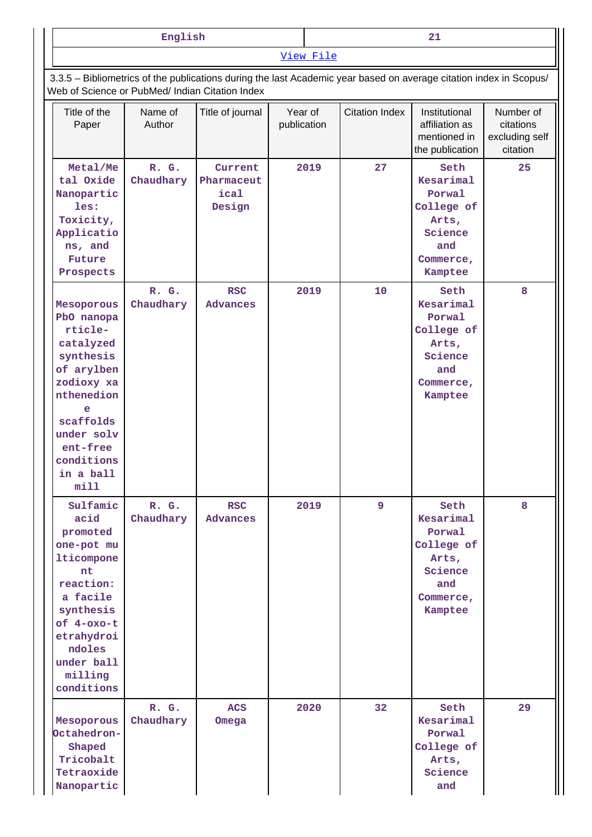| English | $\sim$<br>--<br>$- -$ |  |  |
|---------|-----------------------|--|--|
|         | View File             |  |  |

 3.3.5 – Bibliometrics of the publications during the last Academic year based on average citation index in Scopus/ Web of Science or PubMed/ Indian Citation Index

| Title of the<br>Paper                                                                                                                                                                   | Name of<br>Author  | Title of journal                        | Year of<br>publication | <b>Citation Index</b> | Institutional<br>affiliation as<br>mentioned in<br>the publication                           | Number of<br>citations<br>excluding self<br>citation |
|-----------------------------------------------------------------------------------------------------------------------------------------------------------------------------------------|--------------------|-----------------------------------------|------------------------|-----------------------|----------------------------------------------------------------------------------------------|------------------------------------------------------|
| Metal/Me<br>tal Oxide<br>Nanopartic<br>les:<br>Toxicity,<br>Applicatio<br>ns, and<br>Future<br>Prospects                                                                                | R. G.<br>Chaudhary | Current<br>Pharmaceut<br>ical<br>Design | 2019                   | 27                    | Seth<br>Kesarimal<br>Porwal<br>College of<br>Arts,<br>Science<br>and<br>Commerce,<br>Kamptee | 25                                                   |
| Mesoporous<br>PbO nanopa<br>rticle-<br>catalyzed<br>synthesis<br>of arylben<br>zodioxy xa<br>nthenedion<br>e<br>scaffolds<br>under solv<br>ent-free<br>conditions<br>in a ball<br>min11 | R. G.<br>Chaudhary | <b>RSC</b><br><b>Advances</b>           | 2019                   | 10                    | Seth<br>Kesarimal<br>Porwal<br>College of<br>Arts,<br>Science<br>and<br>Commerce,<br>Kamptee | 8                                                    |
| Sulfamic<br>acid<br>promoted<br>one-pot mu<br>lticompone<br>nt<br>reaction:<br>a facile<br>synthesis<br>of 4-oxo-t<br>etrahydroi<br>ndoles<br>under ball<br>milling<br>conditions       | R. G.<br>Chaudhary | <b>RSC</b><br><b>Advances</b>           | 2019                   | $\overline{9}$        | Seth<br>Kesarimal<br>Porwal<br>College of<br>Arts,<br>Science<br>and<br>Commerce,<br>Kamptee | 8                                                    |
| Mesoporous<br>Octahedron-<br>Shaped<br>Tricobalt<br>Tetraoxide<br>Nanopartic                                                                                                            | R. G.<br>Chaudhary | <b>ACS</b><br>Omega                     | 2020                   | 32                    | Seth<br>Kesarimal<br>Porwal<br>College of<br>Arts,<br>Science<br>and                         | 29                                                   |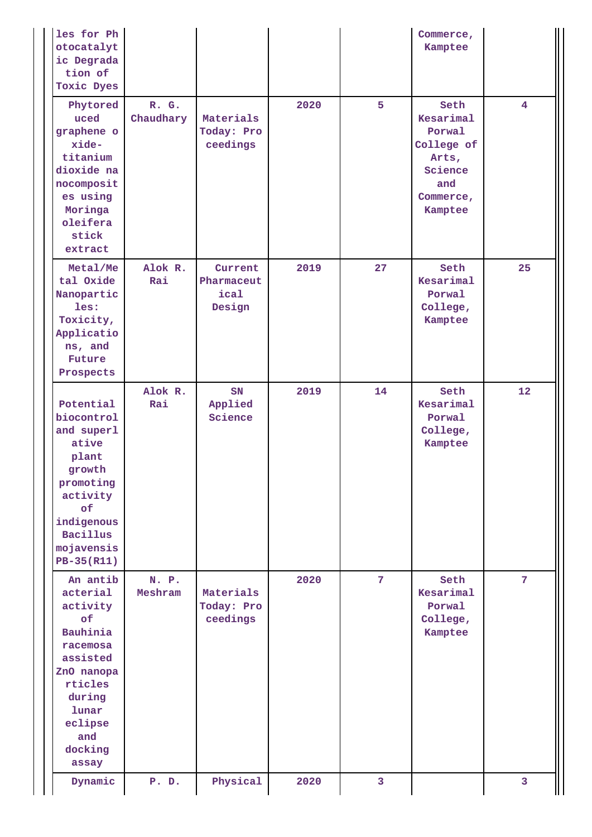| les for Ph<br>otocatalyt<br>ic Degrada<br>tion of<br>Toxic Dyes                                                                                                     |                    |                                         |      |                | Commerce,<br>Kamptee                                                                         |                 |
|---------------------------------------------------------------------------------------------------------------------------------------------------------------------|--------------------|-----------------------------------------|------|----------------|----------------------------------------------------------------------------------------------|-----------------|
| Phytored<br>uced<br>graphene o<br>xide-<br>titanium<br>dioxide na<br>nocomposit<br>es using<br>Moringa<br>oleifera<br>stick<br>extract                              | R. G.<br>Chaudhary | Materials<br>Today: Pro<br>ceedings     | 2020 | 5              | Seth<br>Kesarimal<br>Porwal<br>College of<br>Arts,<br>Science<br>and<br>Commerce,<br>Kamptee | $\overline{4}$  |
| Metal/Me<br>tal Oxide<br>Nanopartic<br>les:<br>Toxicity,<br>Applicatio<br>ns, and<br><b>Future</b><br>Prospects                                                     | Alok R.<br>Rai     | Current<br>Pharmaceut<br>ical<br>Design | 2019 | 27             | Seth<br>Kesarimal<br>Porwal<br>College,<br>Kamptee                                           | 25              |
| Potential<br>biocontrol<br>and superl<br>ative<br>plant<br>growth<br>promoting<br>activity<br>of<br>indigenous<br><b>Bacillus</b><br>mojavensis<br>PB-35(R11)       | Alok R.<br>Rai     | SN<br>Applied<br>Science                | 2019 | 14             | Seth<br>Kesarimal<br>Porwal<br>College,<br>Kamptee                                           | 12 <sup>2</sup> |
| An antib<br>acterial<br>activity<br>of<br><b>Bauhinia</b><br>racemosa<br>assisted<br>ZnO nanopa<br>rticles<br>during<br>lunar<br>eclipse<br>and<br>docking<br>assay | N. P.<br>Meshram   | Materials<br>Today: Pro<br>ceedings     | 2020 | $\overline{7}$ | Seth<br>Kesarimal<br>Porwal<br>College,<br>Kamptee                                           | $\overline{7}$  |
| Dynamic                                                                                                                                                             | P. D.              | Physical                                | 2020 | 3              |                                                                                              | $\mathbf{3}$    |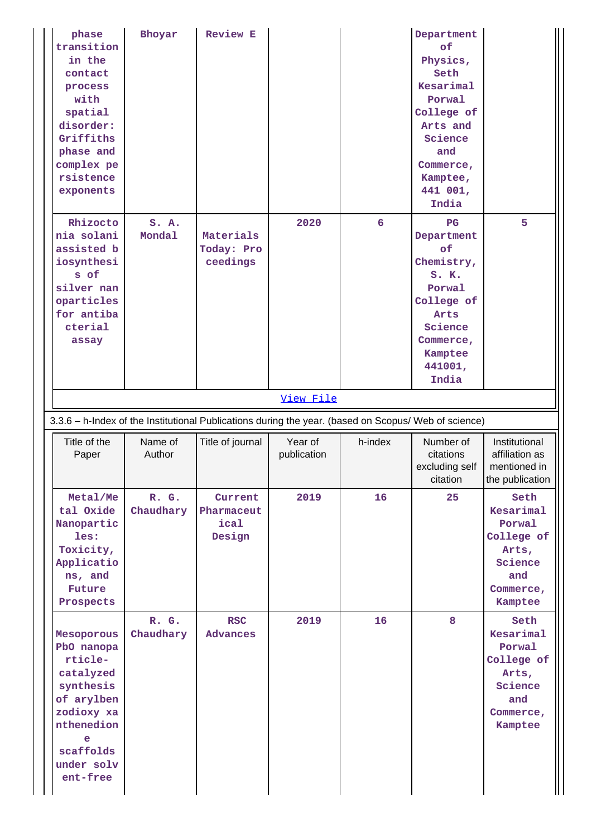| phase<br>transition<br>in the<br>contact<br>process<br>with<br>spatial<br>disorder:<br>Griffiths<br>phase and<br>complex pe<br>rsistence<br>exponents | Bhoyar             | <b>Review E</b>                         |                        |         | Department<br>of<br>Physics,<br>Seth<br>Kesarimal<br>Porwal<br>College of<br>Arts and<br>Science<br>and<br>Commerce,<br>Kamptee,<br>441 001,<br>India |                                                                                              |
|-------------------------------------------------------------------------------------------------------------------------------------------------------|--------------------|-----------------------------------------|------------------------|---------|-------------------------------------------------------------------------------------------------------------------------------------------------------|----------------------------------------------------------------------------------------------|
| Rhizocto<br>nia solani<br>assisted b<br>iosynthesi<br>s of<br>silver nan<br>oparticles<br>for antiba<br>cterial<br>assay                              | S. A.<br>Mondal    | Materials<br>Today: Pro<br>ceedings     | 2020                   | 6       | $_{\rm PG}$<br>Department<br>of<br>Chemistry,<br>S.K.<br>Porwal<br>College of<br>Arts<br>Science<br>Commerce,<br>Kamptee<br>441001,<br>India          | 5                                                                                            |
|                                                                                                                                                       |                    |                                         | View File              |         |                                                                                                                                                       |                                                                                              |
| 3.3.6 - h-Index of the Institutional Publications during the year. (based on Scopus/ Web of science)                                                  |                    |                                         |                        |         |                                                                                                                                                       |                                                                                              |
|                                                                                                                                                       |                    |                                         |                        |         |                                                                                                                                                       |                                                                                              |
| Title of the<br>Paper                                                                                                                                 | Name of<br>Author  | Title of journal                        | Year of<br>publication | h-index | Number of<br>citations<br>excluding self<br>citation                                                                                                  | Institutional<br>affiliation as<br>mentioned in<br>the publication                           |
| Metal/Me<br>tal Oxide<br>Nanopartic<br>les:<br>Toxicity,<br>Applicatio<br>ns, and<br>Future<br>Prospects                                              | R. G.<br>Chaudhary | Current<br>Pharmaceut<br>ical<br>Design | 2019                   | 16      | 25                                                                                                                                                    | Seth<br>Kesarimal<br>Porwal<br>College of<br>Arts,<br>Science<br>and<br>Commerce,<br>Kamptee |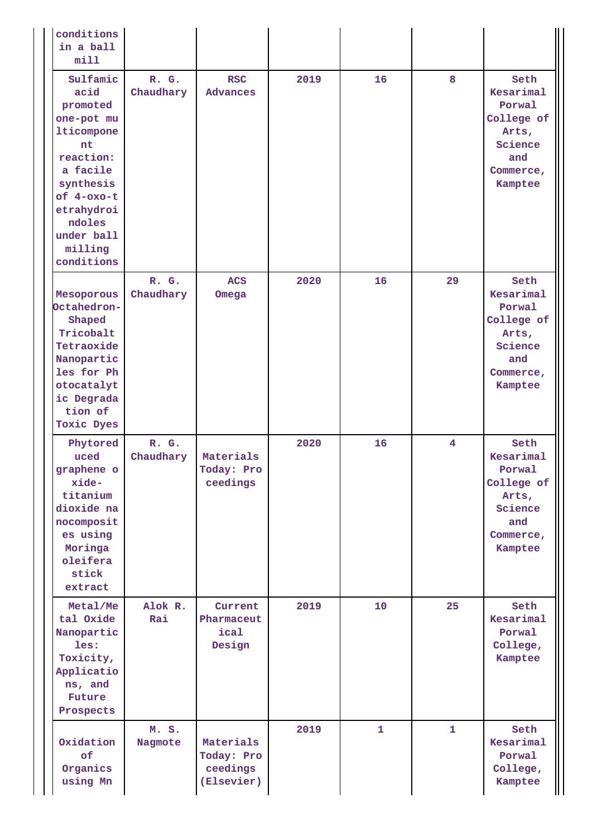| conditions<br>in a ball<br>min11                                                                                                                                                  |                    |                                                   |      |    |              |                                                                                              |
|-----------------------------------------------------------------------------------------------------------------------------------------------------------------------------------|--------------------|---------------------------------------------------|------|----|--------------|----------------------------------------------------------------------------------------------|
| Sulfamic<br>acid<br>promoted<br>one-pot mu<br>lticompone<br>nt<br>reaction:<br>a facile<br>synthesis<br>of 4-oxo-t<br>etrahydroi<br>ndoles<br>under ball<br>milling<br>conditions | R. G.<br>Chaudhary | <b>RSC</b><br><b>Advances</b>                     | 2019 | 16 | 8            | Seth<br>Kesarimal<br>Porwal<br>College of<br>Arts,<br>Science<br>and<br>Commerce,<br>Kamptee |
| Mesoporous<br>Octahedron-<br>Shaped<br>Tricobalt<br>Tetraoxide<br>Nanopartic<br>les for Ph<br>otocatalyt<br>ic Degrada<br>tion of<br>Toxic Dyes                                   | R. G.<br>Chaudhary | <b>ACS</b><br>Omega                               | 2020 | 16 | 29           | Seth<br>Kesarimal<br>Porwal<br>College of<br>Arts,<br>Science<br>and<br>Commerce,<br>Kamptee |
| Phytored<br>uced<br>graphene o<br>xide-<br>titanium<br>dioxide na<br>nocomposit<br>es using<br>Moringa<br>oleifera<br>stick<br>extract                                            | R. G.<br>Chaudhary | Materials<br>Today: Pro<br>ceedings               | 2020 | 16 | 4            | Seth<br>Kesarimal<br>Porwal<br>College of<br>Arts,<br>Science<br>and<br>Commerce,<br>Kamptee |
| Metal/Me<br>tal Oxide<br>Nanopartic<br>les:<br>Toxicity,<br>Applicatio<br>ns, and<br>Future<br>Prospects                                                                          | Alok R.<br>Rai     | Current<br>Pharmaceut<br>ical<br>Design           | 2019 | 10 | 25           | Seth<br>Kesarimal<br>Porwal<br>College,<br>Kamptee                                           |
| Oxidation<br>of<br>Organics<br>using Mn                                                                                                                                           | M. S.<br>Nagmote   | Materials<br>Today: Pro<br>ceedings<br>(Elsevier) | 2019 | 1  | $\mathbf{1}$ | Seth<br>Kesarimal<br>Porwal<br>College,<br>Kamptee                                           |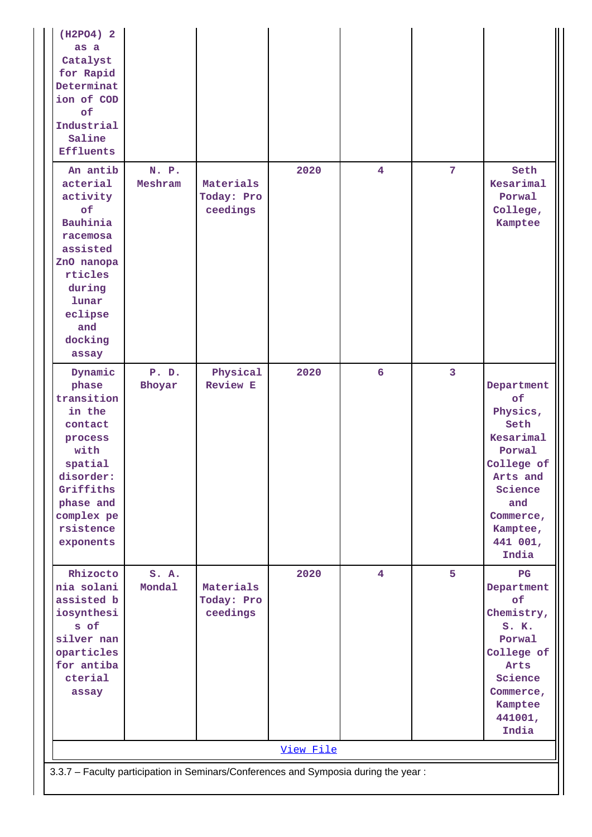| (H2PO4) 2<br>as a<br>Catalyst<br>for Rapid<br>Determinat<br>ion of COD<br>$\circ$ £<br>Industrial<br>Saline<br><b>Effluents</b>                                  |                                                                                     |                                     |           |                         |                |                                                                                                                                                       |  |  |
|------------------------------------------------------------------------------------------------------------------------------------------------------------------|-------------------------------------------------------------------------------------|-------------------------------------|-----------|-------------------------|----------------|-------------------------------------------------------------------------------------------------------------------------------------------------------|--|--|
| An antib<br>acterial<br>activity<br>of<br>Bauhinia<br>racemosa<br>assisted<br>ZnO nanopa<br>rticles<br>during<br>lunar<br>eclipse<br>and<br>docking<br>assay     | N. P.<br>Meshram                                                                    | Materials<br>Today: Pro<br>ceedings | 2020      | 4                       | 7              | Seth<br>Kesarimal<br>Porwal<br>College,<br>Kamptee                                                                                                    |  |  |
| Dynamic<br>phase<br>transition<br>in the<br>contact<br>process<br>with<br>spatial<br>disorder:<br>Griffiths<br>phase and<br>complex pe<br>rsistence<br>exponents | P. D.<br>Bhoyar                                                                     | Physical<br><b>Review E</b>         | 2020      | 6                       | $\overline{3}$ | Department<br>of<br>Physics,<br>Seth<br>Kesarimal<br>Porwal<br>College of<br>Arts and<br>Science<br>and<br>Commerce,<br>Kamptee,<br>441 001,<br>India |  |  |
| Rhizocto<br>nia solani<br>assisted b<br>iosynthesi<br>s of<br>silver nan<br>oparticles<br>for antiba<br>cterial<br>assay                                         | S. A.<br>Mondal                                                                     | Materials<br>Today: Pro<br>ceedings | 2020      | $\overline{\mathbf{4}}$ | 5              | PG<br>Department<br>of<br>Chemistry,<br>$S$ . $K$ .<br>Porwal<br>College of<br>Arts<br>Science<br>Commerce,<br>Kamptee<br>441001,<br>India            |  |  |
|                                                                                                                                                                  |                                                                                     |                                     | View File |                         |                |                                                                                                                                                       |  |  |
|                                                                                                                                                                  | 3.3.7 - Faculty participation in Seminars/Conferences and Symposia during the year: |                                     |           |                         |                |                                                                                                                                                       |  |  |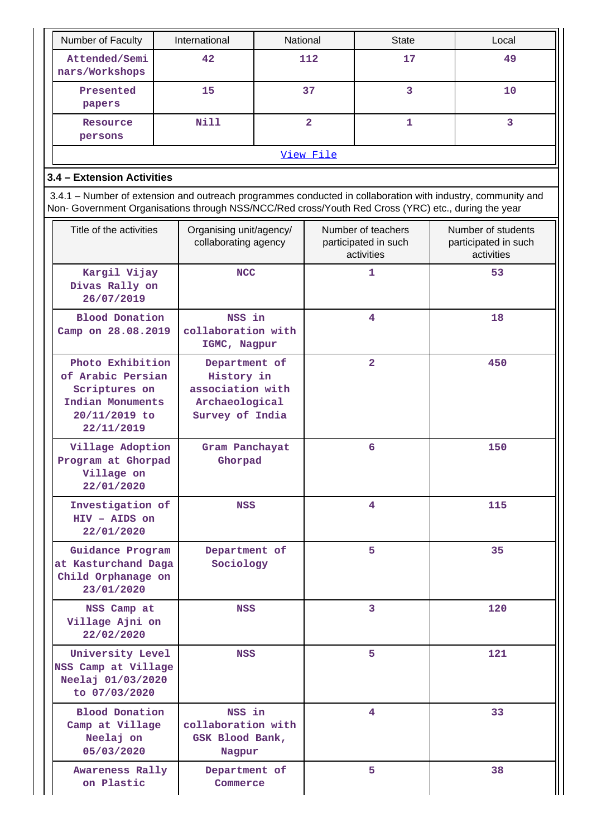| Number of Faculty               | International | National  | <b>State</b> | Local |
|---------------------------------|---------------|-----------|--------------|-------|
| Attended/Semi<br>nars/Workshops | 42            | 112       | 17           | 49    |
| Presented<br>papers             | 15            | 37        |              | 10    |
| Resource<br>persons             | Nill          | 2         |              |       |
|                                 |               | View File |              |       |

## **3.4 – Extension Activities**

 3.4.1 – Number of extension and outreach programmes conducted in collaboration with industry, community and Non- Government Organisations through NSS/NCC/Red cross/Youth Red Cross (YRC) etc., during the year

| Title of the activities                                                                                   | Organising unit/agency/<br>collaborating agency                                      | Number of teachers<br>participated in such<br>activities | Number of students<br>participated in such<br>activities |
|-----------------------------------------------------------------------------------------------------------|--------------------------------------------------------------------------------------|----------------------------------------------------------|----------------------------------------------------------|
| Kargil Vijay<br>Divas Rally on<br>26/07/2019                                                              | <b>NCC</b>                                                                           | 1                                                        | 53                                                       |
| <b>Blood Donation</b><br>Camp on 28.08.2019                                                               | NSS in<br>collaboration with<br>IGMC, Nagpur                                         | $\overline{\mathbf{4}}$                                  | 18                                                       |
| Photo Exhibition<br>of Arabic Persian<br>Scriptures on<br>Indian Monuments<br>20/11/2019 to<br>22/11/2019 | Department of<br>History in<br>association with<br>Archaeological<br>Survey of India | $\overline{2}$                                           | 450                                                      |
| Village Adoption<br>Program at Ghorpad<br>Village on<br>22/01/2020                                        | Gram Panchayat<br>Ghorpad                                                            | 6                                                        | 150                                                      |
| Investigation of<br>HIV - AIDS on<br>22/01/2020                                                           | NSS                                                                                  | $\overline{4}$                                           | 115                                                      |
| Guidance Program<br>at Kasturchand Daga<br>Child Orphanage on<br>23/01/2020                               | Department of<br>Sociology                                                           | 5                                                        | 35                                                       |
| NSS Camp at<br>Village Ajni on<br>22/02/2020                                                              | NSS                                                                                  | 3                                                        | 120                                                      |
| University Level<br>NSS Camp at Village<br>Neelaj 01/03/2020<br>to 07/03/2020                             | <b>NSS</b>                                                                           | 5                                                        | 121                                                      |
| <b>Blood Donation</b><br>Camp at Village<br>Neelaj on<br>05/03/2020                                       | NSS in<br>collaboration with<br>GSK Blood Bank,<br>Nagpur                            | 4                                                        | 33                                                       |
| Awareness Rally<br>on Plastic                                                                             | Department of<br>Commerce                                                            | 5                                                        | 38                                                       |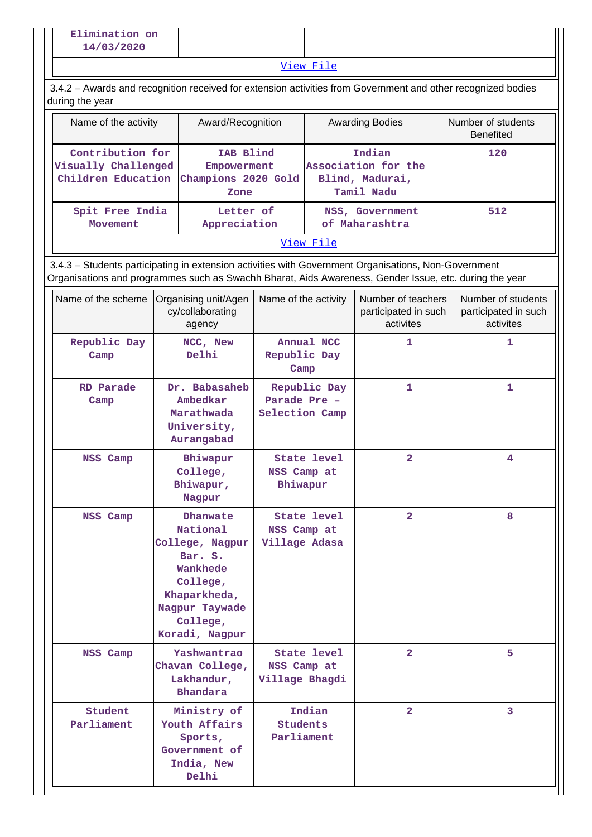[View File](https://assessmentonline.naac.gov.in/public/Postacc/Extension/14845_Extension_1633685840.xlsx)

 3.4.2 – Awards and recognition received for extension activities from Government and other recognized bodies during the year

| Name of the activity                    | Award/Recognition                                                          | <b>Awarding Bodies</b>                                         | Number of students<br><b>Benefited</b> |
|-----------------------------------------|----------------------------------------------------------------------------|----------------------------------------------------------------|----------------------------------------|
| Contribution for<br>Visually Challenged | IAB Blind<br>Empowerment<br>Children Education Champions 2020 Gold<br>Zone | Indian<br>Association for the<br>Blind, Madurai,<br>Tamil Nadu | 120                                    |
| Spit Free India<br>Movement             | Letter of<br>Appreciation                                                  | NSS, Government<br>of Maharashtra                              | 512                                    |
|                                         |                                                                            | View File                                                      |                                        |

 3.4.3 – Students participating in extension activities with Government Organisations, Non-Government Organisations and programmes such as Swachh Bharat, Aids Awareness, Gender Issue, etc. during the year

| Name of the scheme    | Organising unit/Agen<br>cy/collaborating<br>agency                                                                                         | Name of the activity                                | Number of teachers<br>participated in such<br>activites | Number of students<br>participated in such<br>activites |
|-----------------------|--------------------------------------------------------------------------------------------------------------------------------------------|-----------------------------------------------------|---------------------------------------------------------|---------------------------------------------------------|
| Republic Day<br>Camp  | NCC, New<br>Delhi                                                                                                                          | Annual NCC<br>Republic Day<br>Camp                  | 1                                                       | 1                                                       |
| RD Parade<br>Camp     | Dr. Babasaheb<br>Ambedkar<br>Marathwada<br>University,<br>Aurangabad                                                                       | Republic Day<br>Parade Pre -<br>Selection Camp      | 1                                                       | 1                                                       |
| NSS Camp              | Bhiwapur<br>College,<br>Bhiwapur,<br>Nagpur                                                                                                | <b>State level</b><br>NSS Camp at<br>Bhiwapur       | $\overline{a}$                                          | 4                                                       |
| NSS Camp              | Dhanwate<br>National<br>College, Nagpur<br>Bar. S.<br>Wankhede<br>College,<br>Khaparkheda,<br>Nagpur Taywade<br>College,<br>Koradi, Nagpur | State level<br>NSS Camp at<br>Village Adasa         | $\overline{a}$                                          | 8                                                       |
| NSS Camp              | Yashwantrao<br>Chavan College,<br>Lakhandur,<br><b>Bhandara</b>                                                                            | <b>State level</b><br>NSS Camp at<br>Village Bhagdi | $\overline{2}$                                          | 5                                                       |
| Student<br>Parliament | Ministry of<br>Youth Affairs<br>Sports,<br>Government of<br>India, New<br>Delhi                                                            | Indian<br><b>Students</b><br>Parliament             | $\overline{a}$                                          | 3                                                       |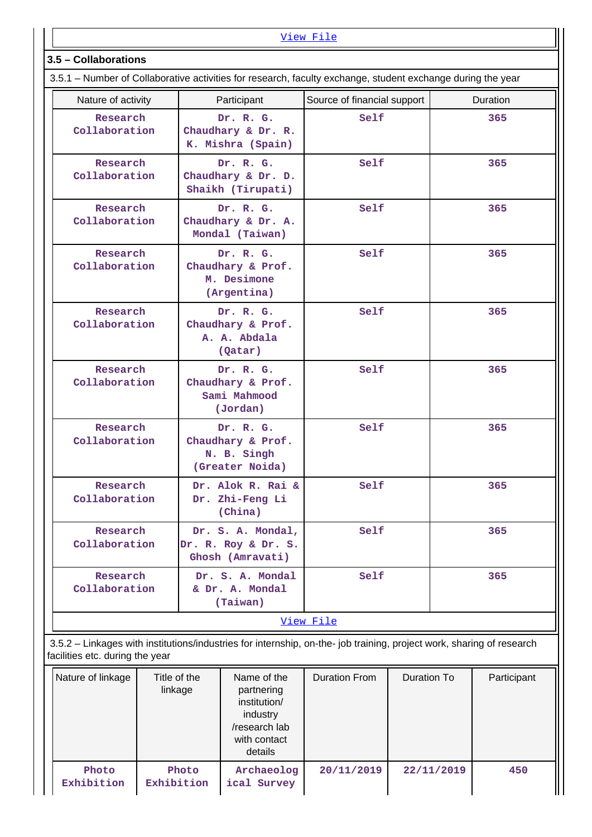#### [View File](https://assessmentonline.naac.gov.in/public/Postacc/Students_in_extension/14845_Students_in_extension_1633687704.xlsx) **3.5 – Collaborations** 3.5.1 – Number of Collaborative activities for research, faculty exchange, student exchange during the year Nature of activity **Participant** Source of financial support | Duration  **Research Collaboration Dr. R. G. Chaudhary & Dr. R. K. Mishra (Spain) Self 365 Research Collaboration Dr. R. G. Chaudhary & Dr. D. Shaikh (Tirupati) Self 365 Research Collaboration Dr. R. G. Chaudhary & Dr. A. Mondal (Taiwan) Self 365 Research Collaboration Dr. R. G. Chaudhary & Prof. M. Desimone (Argentina) Self 365 Research Collaboration Dr. R. G. Chaudhary & Prof. A. A. Abdala (Qatar) Self 365 Research Collaboration Dr. R. G. Chaudhary & Prof. Sami Mahmood (Jordan) Self 365 Research Collaboration Dr. R. G. Chaudhary & Prof. N. B. Singh (Greater Noida) Self** 365  **Research Collaboration Dr. Alok R. Rai & Dr. Zhi-Feng Li (China) Self 365 Research Collaboration Dr. S. A. Mondal, Dr. R. Roy & Dr. S. Ghosh (Amravati) Self** 365  **Research Collaboration Dr. S. A. Mondal & Dr. A. Mondal (Taiwan) Self 365** [View File](https://assessmentonline.naac.gov.in/public/Postacc/Collab_activities/14845_Collab_activities_1633688272.xlsx) 3.5.2 – Linkages with institutions/industries for internship, on-the- job training, project work, sharing of research facilities etc. during the year

| Nature of linkage   | Title of the<br>linkage | Name of the<br>partnering<br>institution/<br>industry<br>/research lab<br>with contact<br>details | Duration From | Duration To | Participant |
|---------------------|-------------------------|---------------------------------------------------------------------------------------------------|---------------|-------------|-------------|
| Photo<br>Exhibition | Photo<br>Exhibition     | Archaeolog<br>ical Survey                                                                         | 20/11/2019    | 22/11/2019  | 450         |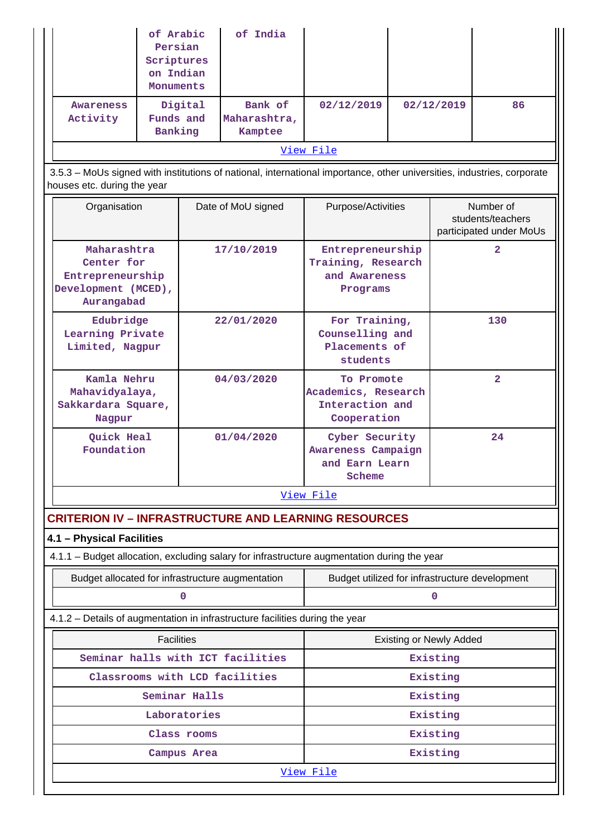| <b>Awareness</b><br>Activity<br>houses etc. during the year<br>Organisation  | Funds and<br>Banking                                                 | Digital       | Bank of                           |                                                                                                                        |          |                                                           |                |  |
|------------------------------------------------------------------------------|----------------------------------------------------------------------|---------------|-----------------------------------|------------------------------------------------------------------------------------------------------------------------|----------|-----------------------------------------------------------|----------------|--|
|                                                                              |                                                                      |               | Maharashtra,<br>Kamptee           | 02/12/2019                                                                                                             |          | 02/12/2019                                                | 86             |  |
|                                                                              |                                                                      | View File     |                                   |                                                                                                                        |          |                                                           |                |  |
|                                                                              |                                                                      |               |                                   | 3.5.3 - MoUs signed with institutions of national, international importance, other universities, industries, corporate |          |                                                           |                |  |
|                                                                              |                                                                      |               | Date of MoU signed                | Purpose/Activities                                                                                                     |          | Number of<br>students/teachers<br>participated under MoUs |                |  |
| Aurangabad                                                                   | Maharashtra<br>Center for<br>Entrepreneurship<br>Development (MCED), |               | 17/10/2019                        | Entrepreneurship<br>Training, Research<br>and Awareness<br>Programs                                                    |          |                                                           | 2              |  |
| Edubridge<br>Learning Private<br>Limited, Nagpur                             |                                                                      |               | 22/01/2020                        | For Training,<br>Counselling and<br>Placements of<br>students                                                          |          |                                                           | 130            |  |
| Nagpur                                                                       | Kamla Nehru<br>Mahavidyalaya,<br>Sakkardara Square,                  |               | 04/03/2020                        | To Promote<br>Academics, Research<br>Interaction and<br>Cooperation                                                    |          |                                                           | $\overline{2}$ |  |
| Quick Heal<br>Foundation                                                     |                                                                      |               | 01/04/2020                        | Cyber Security<br>Awareness Campaign<br>and Earn Learn<br>Scheme                                                       |          |                                                           | 24             |  |
|                                                                              |                                                                      |               |                                   | View File                                                                                                              |          |                                                           |                |  |
|                                                                              |                                                                      |               |                                   | <b>CRITERION IV - INFRASTRUCTURE AND LEARNING RESOURCES</b>                                                            |          |                                                           |                |  |
| 4.1 - Physical Facilities                                                    |                                                                      |               |                                   |                                                                                                                        |          |                                                           |                |  |
|                                                                              |                                                                      |               |                                   | 4.1.1 - Budget allocation, excluding salary for infrastructure augmentation during the year                            |          |                                                           |                |  |
| Budget allocated for infrastructure augmentation                             |                                                                      |               |                                   | Budget utilized for infrastructure development                                                                         |          |                                                           |                |  |
|                                                                              |                                                                      | $\mathbf 0$   |                                   | $\mathbf 0$                                                                                                            |          |                                                           |                |  |
| 4.1.2 - Details of augmentation in infrastructure facilities during the year |                                                                      |               |                                   |                                                                                                                        |          |                                                           |                |  |
|                                                                              | <b>Facilities</b>                                                    |               |                                   | <b>Existing or Newly Added</b>                                                                                         |          |                                                           |                |  |
|                                                                              |                                                                      |               | Seminar halls with ICT facilities |                                                                                                                        |          | Existing                                                  |                |  |
|                                                                              |                                                                      |               | Classrooms with LCD facilities    |                                                                                                                        |          | Existing                                                  |                |  |
|                                                                              |                                                                      | Seminar Halls |                                   |                                                                                                                        |          | Existing                                                  |                |  |
| Laboratories                                                                 |                                                                      |               |                                   |                                                                                                                        |          | Existing                                                  |                |  |
|                                                                              | Class rooms                                                          |               |                                   |                                                                                                                        | Existing |                                                           |                |  |
|                                                                              |                                                                      | Campus Area   |                                   |                                                                                                                        |          | Existing                                                  |                |  |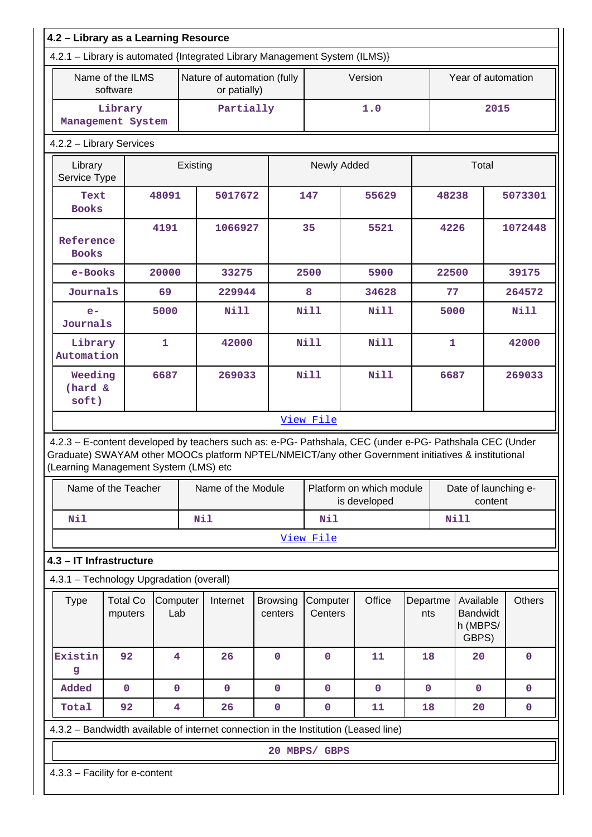| 4.2 - Library as a Learning Resource |                                          |                         |                                             |                    |                                                                            |                     |                                                                                                                                                                                                                |                 |                                                   |         |               |
|--------------------------------------|------------------------------------------|-------------------------|---------------------------------------------|--------------------|----------------------------------------------------------------------------|---------------------|----------------------------------------------------------------------------------------------------------------------------------------------------------------------------------------------------------------|-----------------|---------------------------------------------------|---------|---------------|
|                                      |                                          |                         |                                             |                    | 4.2.1 - Library is automated {Integrated Library Management System (ILMS)} |                     |                                                                                                                                                                                                                |                 |                                                   |         |               |
|                                      | Name of the ILMS<br>software             |                         | Nature of automation (fully<br>or patially) |                    |                                                                            | Version             |                                                                                                                                                                                                                |                 | Year of automation                                |         |               |
|                                      | Library<br>Management System             |                         |                                             | Partially          |                                                                            |                     | 1.0                                                                                                                                                                                                            |                 |                                                   | 2015    |               |
|                                      | 4.2.2 - Library Services                 |                         |                                             |                    |                                                                            |                     |                                                                                                                                                                                                                |                 |                                                   |         |               |
| Library<br>Service Type              |                                          |                         | Existing                                    |                    |                                                                            | Newly Added         |                                                                                                                                                                                                                |                 | Total                                             |         |               |
| Text<br><b>Books</b>                 |                                          | 48091                   |                                             | 5017672            |                                                                            | 147                 | 55629                                                                                                                                                                                                          |                 | 48238                                             |         | 5073301       |
| Reference<br><b>Books</b>            |                                          | 4191                    |                                             | 1066927            |                                                                            | 35                  | 5521                                                                                                                                                                                                           |                 | 4226                                              |         | 1072448       |
| e-Books                              |                                          | 20000                   |                                             | 33275              |                                                                            | 2500                | 5900                                                                                                                                                                                                           |                 | 22500                                             |         | 39175         |
| Journals                             |                                          | 69                      |                                             | 229944             |                                                                            | 8                   | 34628                                                                                                                                                                                                          |                 | 77                                                |         | 264572        |
| $e-$<br>Journals                     |                                          | 5000                    |                                             | <b>Nill</b>        |                                                                            | <b>Nill</b>         | <b>Nill</b>                                                                                                                                                                                                    |                 | 5000                                              |         | <b>Nill</b>   |
| Library<br>Automation                |                                          | $\mathbf{1}$            |                                             | 42000              |                                                                            | <b>Nill</b>         | <b>Nill</b>                                                                                                                                                                                                    |                 | $\mathbf{1}$                                      |         | 42000         |
| Weeding<br>(hard &<br>soft)          |                                          | 6687<br>269033          |                                             |                    | <b>Nill</b><br><b>Nill</b>                                                 |                     |                                                                                                                                                                                                                | 6687            |                                                   | 269033  |               |
| View File                            |                                          |                         |                                             |                    |                                                                            |                     |                                                                                                                                                                                                                |                 |                                                   |         |               |
|                                      | (Learning Management System (LMS) etc    |                         |                                             |                    |                                                                            |                     | 4.2.3 - E-content developed by teachers such as: e-PG- Pathshala, CEC (under e-PG- Pathshala CEC (Under<br>Graduate) SWAYAM other MOOCs platform NPTEL/NMEICT/any other Government initiatives & institutional |                 |                                                   |         |               |
|                                      | Name of the Teacher                      |                         |                                             | Name of the Module |                                                                            |                     | Platform on which module<br>is developed                                                                                                                                                                       |                 | Date of launching e-                              | content |               |
| Nil                                  |                                          |                         | <b>Nil</b>                                  |                    |                                                                            | <b>Nil</b>          |                                                                                                                                                                                                                |                 | <b>Nill</b>                                       |         |               |
|                                      |                                          |                         |                                             |                    |                                                                            | View File           |                                                                                                                                                                                                                |                 |                                                   |         |               |
|                                      | 4.3 - IT Infrastructure                  |                         |                                             |                    |                                                                            |                     |                                                                                                                                                                                                                |                 |                                                   |         |               |
|                                      | 4.3.1 - Technology Upgradation (overall) |                         |                                             |                    |                                                                            |                     |                                                                                                                                                                                                                |                 |                                                   |         |               |
| <b>Type</b>                          | <b>Total Co</b><br>mputers               | Computer<br>Lab         |                                             | Internet           | <b>Browsing</b><br>centers                                                 | Computer<br>Centers | Office                                                                                                                                                                                                         | Departme<br>nts | Available<br><b>Bandwidt</b><br>h (MBPS/<br>GBPS) |         | <b>Others</b> |
| Existin<br>g                         | 92                                       | $\overline{\mathbf{4}}$ |                                             | 26                 | $\mathbf 0$                                                                | $\mathbf 0$         | 11                                                                                                                                                                                                             | 18              | 20                                                |         | 0             |
| Added                                | $\mathbf 0$                              | $\mathbf 0$             |                                             | $\mathbf 0$        | $\mathbf 0$                                                                | $\mathbf 0$         | $\mathbf 0$                                                                                                                                                                                                    | $\mathbf 0$     | $\mathbf 0$                                       |         | $\mathbf 0$   |
| Total                                | 92                                       | $\overline{\mathbf{4}}$ |                                             | 26                 | $\pmb{0}$                                                                  | $\mathbf 0$         | 11                                                                                                                                                                                                             | 18              | 20                                                |         | 0             |
|                                      |                                          |                         |                                             |                    |                                                                            |                     | 4.3.2 - Bandwidth available of internet connection in the Institution (Leased line)                                                                                                                            |                 |                                                   |         |               |
|                                      |                                          |                         |                                             |                    |                                                                            | 20 MBPS/ GBPS       |                                                                                                                                                                                                                |                 |                                                   |         |               |
|                                      | 4.3.3 - Facility for e-content           |                         |                                             |                    |                                                                            |                     |                                                                                                                                                                                                                |                 |                                                   |         |               |
|                                      |                                          |                         |                                             |                    |                                                                            |                     |                                                                                                                                                                                                                |                 |                                                   |         |               |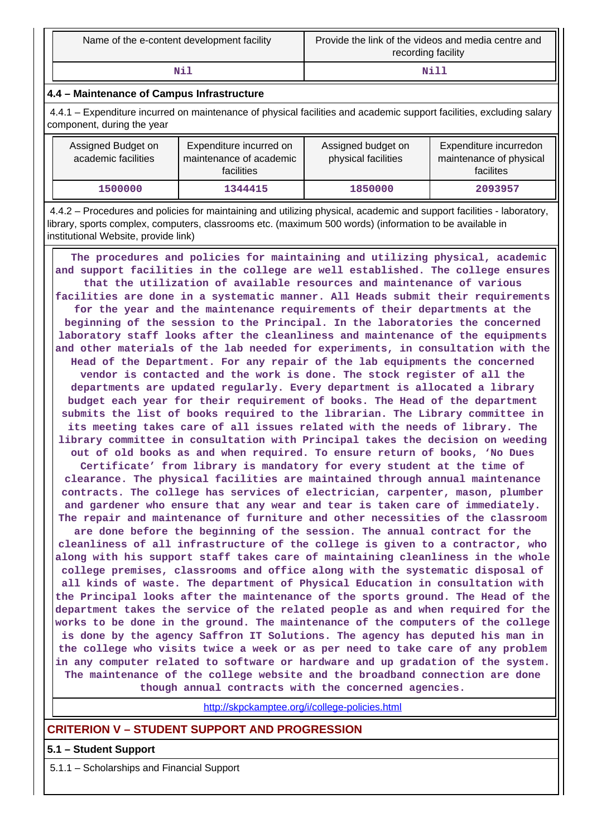| Name of the e-content development facility | Provide the link of the videos and media centre and<br>recording facility |
|--------------------------------------------|---------------------------------------------------------------------------|
| Nil                                        | ונאו                                                                      |

### **4.4 – Maintenance of Campus Infrastructure**

 4.4.1 – Expenditure incurred on maintenance of physical facilities and academic support facilities, excluding salary component, during the year

| Assigned Budget on<br>academic facilities | Expenditure incurred on<br>maintenance of academic<br>facilities | Assigned budget on<br>physical facilities | Expenditure incurredon<br>maintenance of physical<br>facilites |
|-------------------------------------------|------------------------------------------------------------------|-------------------------------------------|----------------------------------------------------------------|
| 1500000                                   | 1344415                                                          | 1850000                                   | 2093957                                                        |

 4.4.2 – Procedures and policies for maintaining and utilizing physical, academic and support facilities - laboratory, library, sports complex, computers, classrooms etc. (maximum 500 words) (information to be available in institutional Website, provide link)

 **The procedures and policies for maintaining and utilizing physical, academic and support facilities in the college are well established. The college ensures that the utilization of available resources and maintenance of various facilities are done in a systematic manner. All Heads submit their requirements for the year and the maintenance requirements of their departments at the beginning of the session to the Principal. In the laboratories the concerned laboratory staff looks after the cleanliness and maintenance of the equipments and other materials of the lab needed for experiments, in consultation with the Head of the Department. For any repair of the lab equipments the concerned vendor is contacted and the work is done. The stock register of all the departments are updated regularly. Every department is allocated a library budget each year for their requirement of books. The Head of the department submits the list of books required to the librarian. The Library committee in its meeting takes care of all issues related with the needs of library. The library committee in consultation with Principal takes the decision on weeding out of old books as and when required. To ensure return of books, 'No Dues Certificate' from library is mandatory for every student at the time of clearance. The physical facilities are maintained through annual maintenance contracts. The college has services of electrician, carpenter, mason, plumber and gardener who ensure that any wear and tear is taken care of immediately. The repair and maintenance of furniture and other necessities of the classroom are done before the beginning of the session. The annual contract for the cleanliness of all infrastructure of the college is given to a contractor, who along with his support staff takes care of maintaining cleanliness in the whole college premises, classrooms and office along with the systematic disposal of all kinds of waste. The department of Physical Education in consultation with the Principal looks after the maintenance of the sports ground. The Head of the department takes the service of the related people as and when required for the works to be done in the ground. The maintenance of the computers of the college is done by the agency Saffron IT Solutions. The agency has deputed his man in the college who visits twice a week or as per need to take care of any problem in any computer related to software or hardware and up gradation of the system. The maintenance of the college website and the broadband connection are done though annual contracts with the concerned agencies.**

<http://skpckamptee.org/i/college-policies.html>

### **CRITERION V – STUDENT SUPPORT AND PROGRESSION**

**5.1 – Student Support**

5.1.1 – Scholarships and Financial Support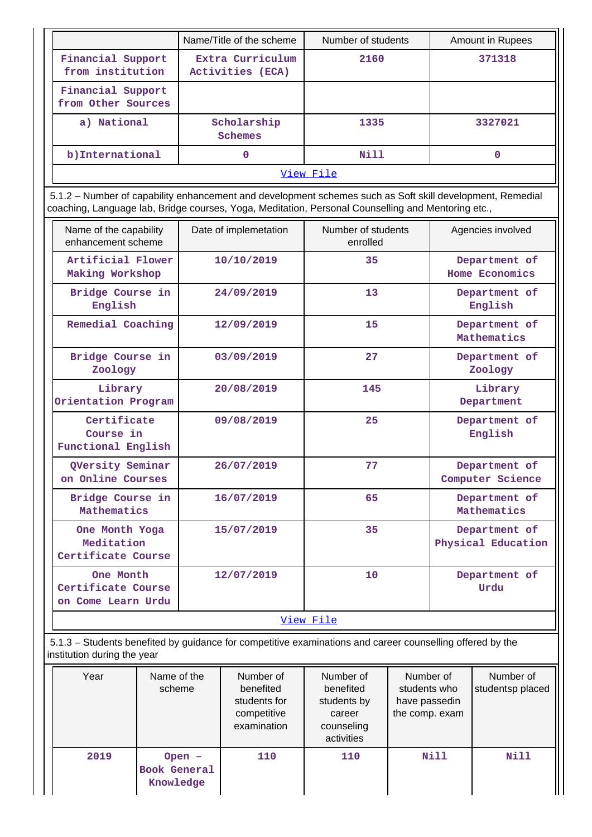|                                         | Name/Title of the scheme             | Number of students | Amount in Rupees |  |
|-----------------------------------------|--------------------------------------|--------------------|------------------|--|
| Financial Support<br>from institution   | Extra Curriculum<br>Activities (ECA) | 2160               | 371318           |  |
| Financial Support<br>from Other Sources |                                      |                    |                  |  |
| a) National                             | Scholarship<br>Schemes               | 1335               | 3327021          |  |
| b) International                        | Nill<br>0                            |                    | 0                |  |
| View File                               |                                      |                    |                  |  |

 5.1.2 – Number of capability enhancement and development schemes such as Soft skill development, Remedial coaching, Language lab, Bridge courses, Yoga, Meditation, Personal Counselling and Mentoring etc.,

| Name of the capability<br>enhancement scheme          | Date of implemetation | Number of students<br>enrolled | Agencies involved                   |  |  |
|-------------------------------------------------------|-----------------------|--------------------------------|-------------------------------------|--|--|
| Artificial Flower<br>Making Workshop                  | 10/10/2019            | 35                             | Department of<br>Home Economics     |  |  |
| Bridge Course in<br>English                           | 24/09/2019            | 13                             | Department of<br>English            |  |  |
| Remedial Coaching                                     | 12/09/2019            | 15                             | Department of<br>Mathematics        |  |  |
| Bridge Course in<br>Zoology                           | 03/09/2019            | 27                             | Department of<br>Zoology            |  |  |
| Library<br>Orientation Program                        | 20/08/2019            | 145                            | Library<br>Department               |  |  |
| Certificate<br>Course in<br>Functional English        | 09/08/2019            | 25                             | Department of<br>English            |  |  |
| QVersity Seminar<br>on Online Courses                 | 26/07/2019            | 77                             | Department of<br>Computer Science   |  |  |
| Bridge Course in<br>Mathematics                       | 16/07/2019            | 65                             | Department of<br>Mathematics        |  |  |
| One Month Yoga<br>Meditation<br>Certificate Course    | 15/07/2019            | 35                             | Department of<br>Physical Education |  |  |
| One Month<br>Certificate Course<br>on Come Learn Urdu | 12/07/2019            | 10                             | Department of<br>Urdu               |  |  |
| View File                                             |                       |                                |                                     |  |  |

 5.1.3 – Students benefited by guidance for competitive examinations and career counselling offered by the institution during the year

| Year | Name of the<br>scheme                        | Number of<br>benefited<br>students for<br>competitive<br>examination | Number of<br>benefited<br>students by<br>career<br>counseling<br>activities | Number of<br>students who<br>have passedin<br>the comp. exam | Number of<br>studentsp placed |
|------|----------------------------------------------|----------------------------------------------------------------------|-----------------------------------------------------------------------------|--------------------------------------------------------------|-------------------------------|
| 2019 | $Open -$<br><b>Book General</b><br>Knowledge | 110                                                                  | 110                                                                         | Nill                                                         | Nill                          |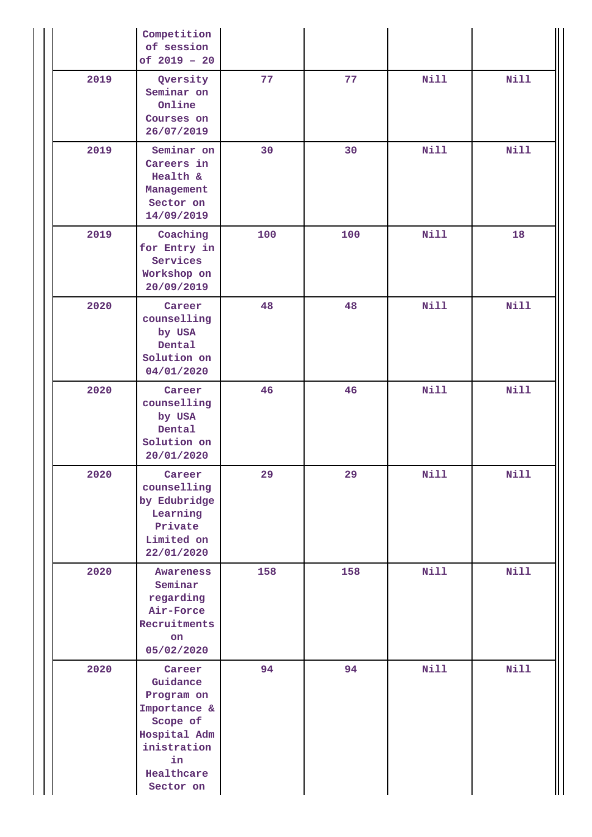|      | Competition<br>of session<br>of $2019 - 20$                                                                                  |     |     |             |             |
|------|------------------------------------------------------------------------------------------------------------------------------|-----|-----|-------------|-------------|
| 2019 | Qversity<br>Seminar on<br>Online<br>Courses on<br>26/07/2019                                                                 | 77  | 77  | <b>Nill</b> | <b>Nill</b> |
| 2019 | Seminar on<br>Careers in<br>Health &<br>Management<br>Sector on<br>14/09/2019                                                | 30  | 30  | <b>Nill</b> | <b>Nill</b> |
| 2019 | Coaching<br>for Entry in<br>Services<br>Workshop on<br>20/09/2019                                                            | 100 | 100 | <b>Nill</b> | 18          |
| 2020 | Career<br>counselling<br>by USA<br>Dental<br>Solution on<br>04/01/2020                                                       | 48  | 48  | <b>Nill</b> | <b>Nill</b> |
| 2020 | Career<br>counselling<br>by USA<br>Dental<br>Solution on<br>20/01/2020                                                       | 46  | 46  | <b>Nill</b> | <b>Nill</b> |
| 2020 | Career<br>counselling<br>by Edubridge<br>Learning<br>Private<br>Limited on<br>22/01/2020                                     | 29  | 29  | Nill        | <b>Nill</b> |
| 2020 | Awareness<br>Seminar<br>regarding<br>Air-Force<br>Recruitments<br>on<br>05/02/2020                                           | 158 | 158 | <b>Nill</b> | <b>Nill</b> |
| 2020 | Career<br>Guidance<br>Program on<br>Importance &<br>Scope of<br>Hospital Adm<br>inistration<br>in<br>Healthcare<br>Sector on | 94  | 94  | <b>Nill</b> | <b>Nill</b> |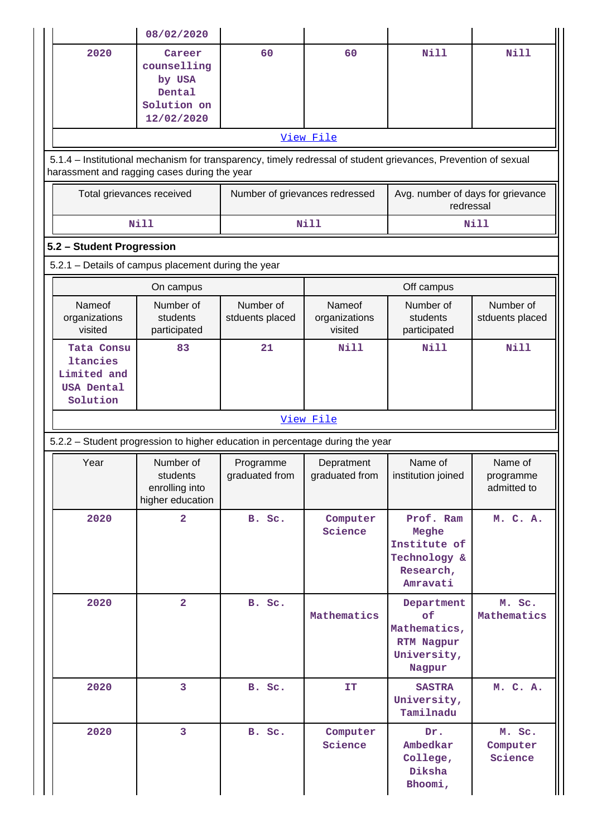|                                                                               | 08/02/2020                                                             |                                |                                    |                                                                                                                |                                     |
|-------------------------------------------------------------------------------|------------------------------------------------------------------------|--------------------------------|------------------------------------|----------------------------------------------------------------------------------------------------------------|-------------------------------------|
| 2020                                                                          | Career<br>counselling<br>by USA<br>Dental<br>Solution on<br>12/02/2020 | 60                             | 60                                 | Nill                                                                                                           | Nill                                |
|                                                                               |                                                                        |                                | View File                          |                                                                                                                |                                     |
| harassment and ragging cases during the year                                  |                                                                        |                                |                                    | 5.1.4 – Institutional mechanism for transparency, timely redressal of student grievances, Prevention of sexual |                                     |
| Total grievances received                                                     |                                                                        | Number of grievances redressed |                                    | Avg. number of days for grievance<br>redressal                                                                 |                                     |
|                                                                               | <b>Nill</b>                                                            |                                | Nill                               |                                                                                                                | <b>Nill</b>                         |
| 5.2 - Student Progression                                                     |                                                                        |                                |                                    |                                                                                                                |                                     |
| 5.2.1 - Details of campus placement during the year                           |                                                                        |                                |                                    |                                                                                                                |                                     |
|                                                                               | On campus                                                              |                                |                                    | Off campus                                                                                                     |                                     |
| Nameof<br>organizations<br>visited                                            | Number of<br>students<br>participated                                  | Number of<br>stduents placed   | Nameof<br>organizations<br>visited | Number of<br>students<br>participated                                                                          | Number of<br>stduents placed        |
| Tata Consu<br><b>ltancies</b><br>Limited and<br><b>USA Dental</b><br>Solution | 83                                                                     | 21                             | Nill                               | <b>Nill</b>                                                                                                    | <b>Nill</b>                         |
|                                                                               |                                                                        |                                | View File                          |                                                                                                                |                                     |
| 5.2.2 - Student progression to higher education in percentage during the year |                                                                        |                                |                                    |                                                                                                                |                                     |
| Year                                                                          | Number of<br>students<br>enrolling into<br>higher education            | Programme<br>graduated from    | Depratment<br>graduated from       | Name of<br>institution joined                                                                                  | Name of<br>programme<br>admitted to |
| 2020                                                                          | $\overline{a}$                                                         | B. Sc.                         | Computer<br>Science                | Prof. Ram<br>Meghe<br>Institute of<br>Technology &<br>Research,<br>Amravati                                    | M. C. A.                            |
| 2020                                                                          | $\overline{a}$                                                         | B. Sc.                         | Mathematics                        | Department<br>οf<br>Mathematics,<br>RTM Nagpur<br>University,<br>Nagpur                                        | M. Sc.<br>Mathematics               |
|                                                                               |                                                                        | B. Sc.                         | IT                                 | <b>SASTRA</b>                                                                                                  | M. C. A.                            |
| 2020                                                                          | 3                                                                      |                                |                                    | University,<br>Tamilnadu                                                                                       |                                     |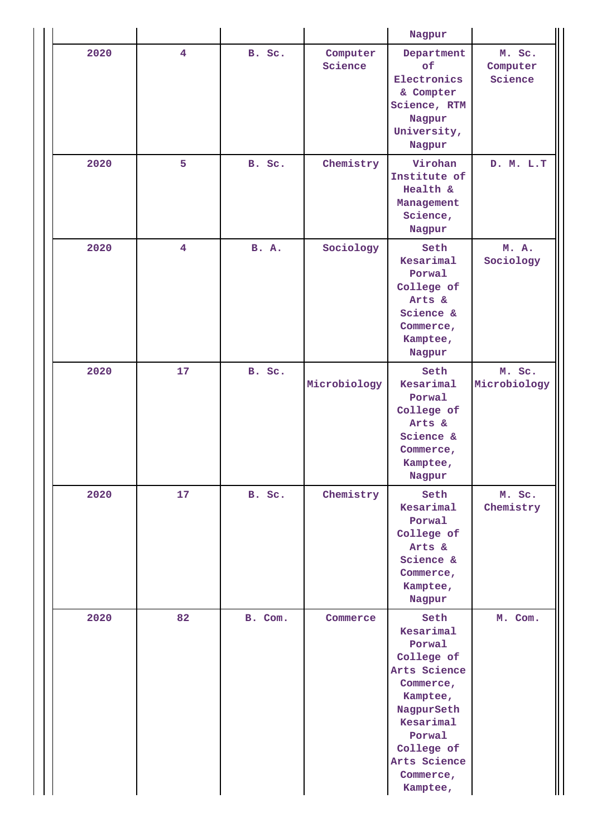|      |                |              |                     | Nagpur                                                                                                                                                                         |                               |
|------|----------------|--------------|---------------------|--------------------------------------------------------------------------------------------------------------------------------------------------------------------------------|-------------------------------|
| 2020 | 4              | B. Sc.       | Computer<br>Science | Department<br>of<br>Electronics<br>& Compter<br>Science, RTM<br>Nagpur<br>University,<br>Nagpur                                                                                | M. Sc.<br>Computer<br>Science |
| 2020 | 5              | B. Sc.       | Chemistry           | Virohan<br>Institute of<br>Health &<br>Management<br>Science,<br>Nagpur                                                                                                        | D. M. L.T                     |
| 2020 | $\overline{4}$ | <b>B.</b> A. | Sociology           | Seth<br>Kesarimal<br>Porwal<br>College of<br>Arts &<br>Science &<br>Commerce,<br>Kamptee,<br>Nagpur                                                                            | M. A.<br>Sociology            |
| 2020 | 17             | B. Sc.       | Microbiology        | Seth<br>Kesarimal<br>Porwal<br>College of<br>Arts &<br>Science &<br>Commerce,<br>Kamptee,<br>Nagpur                                                                            | M. Sc.<br>Microbiology        |
| 2020 | 17             | B. Sc.       | Chemistry           | Seth<br>Kesarimal<br>Porwal<br>College of<br>Arts &<br>Science &<br>Commerce,<br>Kamptee,<br>Nagpur                                                                            | M. Sc.<br>Chemistry           |
| 2020 | 82             | B. Com.      | Commerce            | Seth<br>Kesarimal<br>Porwal<br>College of<br>Arts Science<br>Commerce,<br>Kamptee,<br>NagpurSeth<br>Kesarimal<br>Porwal<br>College of<br>Arts Science<br>Commerce,<br>Kamptee, | M. Com.                       |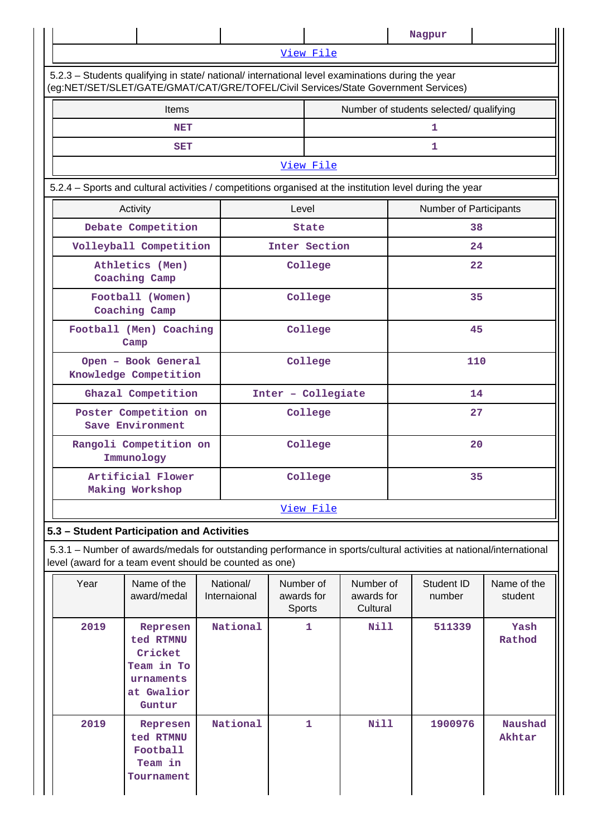|                                                                                                                                                                                        |           |                    | Nagpur                                  |                        |  |  |  |
|----------------------------------------------------------------------------------------------------------------------------------------------------------------------------------------|-----------|--------------------|-----------------------------------------|------------------------|--|--|--|
|                                                                                                                                                                                        | View File |                    |                                         |                        |  |  |  |
| 5.2.3 - Students qualifying in state/ national/ international level examinations during the year<br>(eg:NET/SET/SLET/GATE/GMAT/CAT/GRE/TOFEL/Civil Services/State Government Services) |           |                    |                                         |                        |  |  |  |
| <b>Items</b>                                                                                                                                                                           |           |                    | Number of students selected/ qualifying |                        |  |  |  |
| <b>NET</b>                                                                                                                                                                             |           |                    | 1                                       |                        |  |  |  |
| <b>SET</b>                                                                                                                                                                             |           |                    | $\mathbf{1}$                            |                        |  |  |  |
|                                                                                                                                                                                        |           | View File          |                                         |                        |  |  |  |
| 5.2.4 - Sports and cultural activities / competitions organised at the institution level during the year                                                                               |           |                    |                                         |                        |  |  |  |
| Activity                                                                                                                                                                               | Level     |                    |                                         | Number of Participants |  |  |  |
| Debate Competition                                                                                                                                                                     |           | <b>State</b>       |                                         | 38                     |  |  |  |
| Volleyball Competition                                                                                                                                                                 |           | Inter Section      |                                         | 24                     |  |  |  |
| Athletics (Men)<br>Coaching Camp                                                                                                                                                       |           | College            |                                         | $22 \overline{)}$      |  |  |  |
| Football (Women)<br>Coaching Camp                                                                                                                                                      |           | College            |                                         | 35                     |  |  |  |
| Football (Men) Coaching<br>Camp                                                                                                                                                        |           | College            |                                         | 45                     |  |  |  |
| Open - Book General<br>Knowledge Competition                                                                                                                                           |           | College            |                                         | 110                    |  |  |  |
| Ghazal Competition                                                                                                                                                                     |           | Inter - Collegiate |                                         | 14                     |  |  |  |
| Poster Competition on<br>Save Environment                                                                                                                                              | College   |                    |                                         | 27                     |  |  |  |
| Rangoli Competition on<br>Immunology                                                                                                                                                   |           | College            |                                         | 20                     |  |  |  |
| Artificial Flower<br>Making Workshop                                                                                                                                                   |           | College            |                                         | 35                     |  |  |  |
| View File                                                                                                                                                                              |           |                    |                                         |                        |  |  |  |

### **5.3 – Student Participation and Activities**

 5.3.1 – Number of awards/medals for outstanding performance in sports/cultural activities at national/international level (award for a team event should be counted as one)

| Year | Name of the<br>award/medal                                                          | National/<br>Internaional | Number of<br>awards for<br><b>Sports</b> | Number of<br>awards for<br>Cultural | Student ID<br>number | Name of the<br>student   |
|------|-------------------------------------------------------------------------------------|---------------------------|------------------------------------------|-------------------------------------|----------------------|--------------------------|
| 2019 | Represen<br>ted RTMNU<br>Cricket<br>Team in To<br>urnaments<br>at Gwalior<br>Guntur | National                  | 1                                        | Nill                                | 511339               | Yash<br>Rathod           |
| 2019 | Represen<br>ted RTMNU<br>Football<br>Team in<br>Tournament                          | National                  | $\mathbf{1}$                             | Nill                                | 1900976              | <b>Naushad</b><br>Akhtar |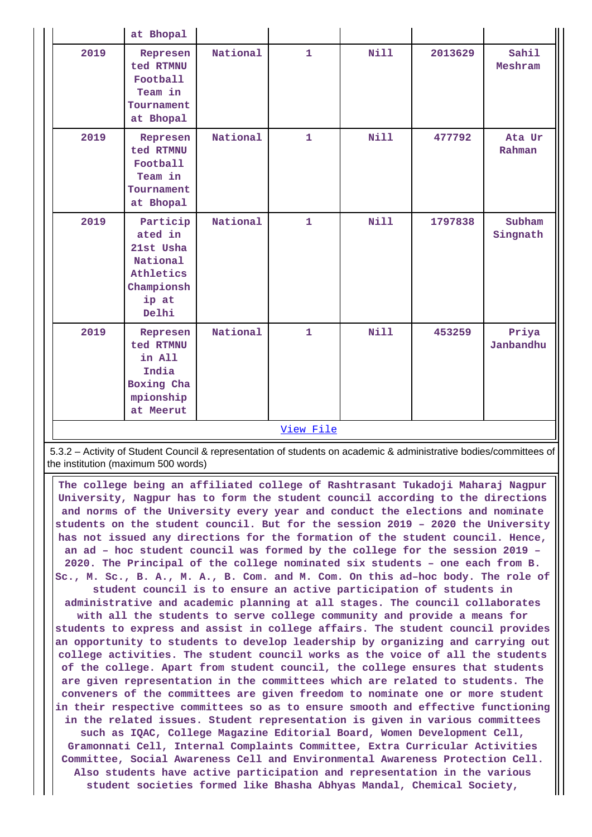|           | at Bhopal                                                                                 |          |              |             |         |                    |
|-----------|-------------------------------------------------------------------------------------------|----------|--------------|-------------|---------|--------------------|
| 2019      | Represen<br>ted RTMNU<br>Football<br>Team in<br>Tournament<br>at Bhopal                   | National | $\mathbf{1}$ | Nill        | 2013629 | Sahil<br>Meshram   |
| 2019      | Represen<br>ted RTMNU<br>Football<br>Team in<br>Tournament<br>at Bhopal                   | National | $\mathbf{1}$ | <b>Nill</b> | 477792  | Ata Ur<br>Rahman   |
| 2019      | Particip<br>ated in<br>21st Usha<br>National<br>Athletics<br>Championsh<br>ip at<br>Delhi | National | $\mathbf{1}$ | Nill        | 1797838 | Subham<br>Singnath |
| 2019      | Represen<br>ted RTMNU<br>in All<br>India<br>Boxing Cha<br>mpionship<br>at Meerut          | National | $\mathbf{1}$ | Nill        | 453259  | Priya<br>Janbandhu |
| View File |                                                                                           |          |              |             |         |                    |

 5.3.2 – Activity of Student Council & representation of students on academic & administrative bodies/committees of the institution (maximum 500 words)

 **The college being an affiliated college of Rashtrasant Tukadoji Maharaj Nagpur University, Nagpur has to form the student council according to the directions and norms of the University every year and conduct the elections and nominate students on the student council. But for the session 2019 – 2020 the University has not issued any directions for the formation of the student council. Hence, an ad – hoc student council was formed by the college for the session 2019 – 2020. The Principal of the college nominated six students – one each from B. Sc., M. Sc., B. A., M. A., B. Com. and M. Com. On this ad–hoc body. The role of student council is to ensure an active participation of students in administrative and academic planning at all stages. The council collaborates with all the students to serve college community and provide a means for students to express and assist in college affairs. The student council provides an opportunity to students to develop leadership by organizing and carrying out college activities. The student council works as the voice of all the students of the college. Apart from student council, the college ensures that students are given representation in the committees which are related to students. The conveners of the committees are given freedom to nominate one or more student in their respective committees so as to ensure smooth and effective functioning in the related issues. Student representation is given in various committees such as IQAC, College Magazine Editorial Board, Women Development Cell, Gramonnati Cell, Internal Complaints Committee, Extra Curricular Activities**

**Committee, Social Awareness Cell and Environmental Awareness Protection Cell. Also students have active participation and representation in the various student societies formed like Bhasha Abhyas Mandal, Chemical Society,**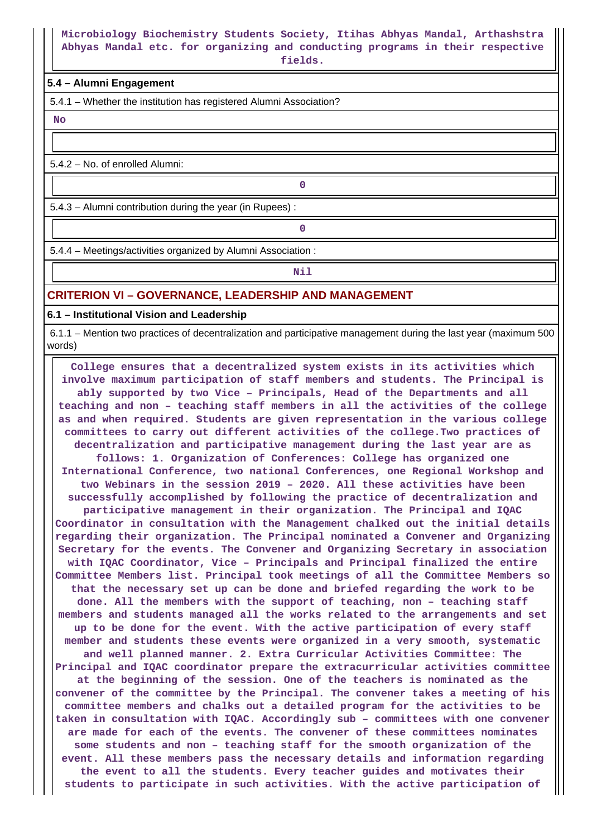# **Microbiology Biochemistry Students Society, Itihas Abhyas Mandal, Arthashstra Abhyas Mandal etc. for organizing and conducting programs in their respective**

**fields.**

### **5.4 – Alumni Engagement**

5.4.1 – Whether the institution has registered Alumni Association?

 **No**

5.4.2 – No. of enrolled Alumni:

5.4.3 – Alumni contribution during the year (in Rupees) :

**0**

**0**

5.4.4 – Meetings/activities organized by Alumni Association :

**Nil** 

### **CRITERION VI – GOVERNANCE, LEADERSHIP AND MANAGEMENT**

**6.1 – Institutional Vision and Leadership**

 6.1.1 – Mention two practices of decentralization and participative management during the last year (maximum 500 words)

 **College ensures that a decentralized system exists in its activities which involve maximum participation of staff members and students. The Principal is ably supported by two Vice – Principals, Head of the Departments and all teaching and non – teaching staff members in all the activities of the college as and when required. Students are given representation in the various college committees to carry out different activities of the college.Two practices of decentralization and participative management during the last year are as follows: 1. Organization of Conferences: College has organized one International Conference, two national Conferences, one Regional Workshop and two Webinars in the session 2019 – 2020. All these activities have been successfully accomplished by following the practice of decentralization and participative management in their organization. The Principal and IQAC Coordinator in consultation with the Management chalked out the initial details regarding their organization. The Principal nominated a Convener and Organizing Secretary for the events. The Convener and Organizing Secretary in association with IQAC Coordinator, Vice – Principals and Principal finalized the entire Committee Members list. Principal took meetings of all the Committee Members so that the necessary set up can be done and briefed regarding the work to be done. All the members with the support of teaching, non – teaching staff members and students managed all the works related to the arrangements and set up to be done for the event. With the active participation of every staff member and students these events were organized in a very smooth, systematic and well planned manner. 2. Extra Curricular Activities Committee: The Principal and IQAC coordinator prepare the extracurricular activities committee at the beginning of the session. One of the teachers is nominated as the convener of the committee by the Principal. The convener takes a meeting of his committee members and chalks out a detailed program for the activities to be taken in consultation with IQAC. Accordingly sub – committees with one convener are made for each of the events. The convener of these committees nominates some students and non – teaching staff for the smooth organization of the event. All these members pass the necessary details and information regarding the event to all the students. Every teacher guides and motivates their students to participate in such activities. With the active participation of**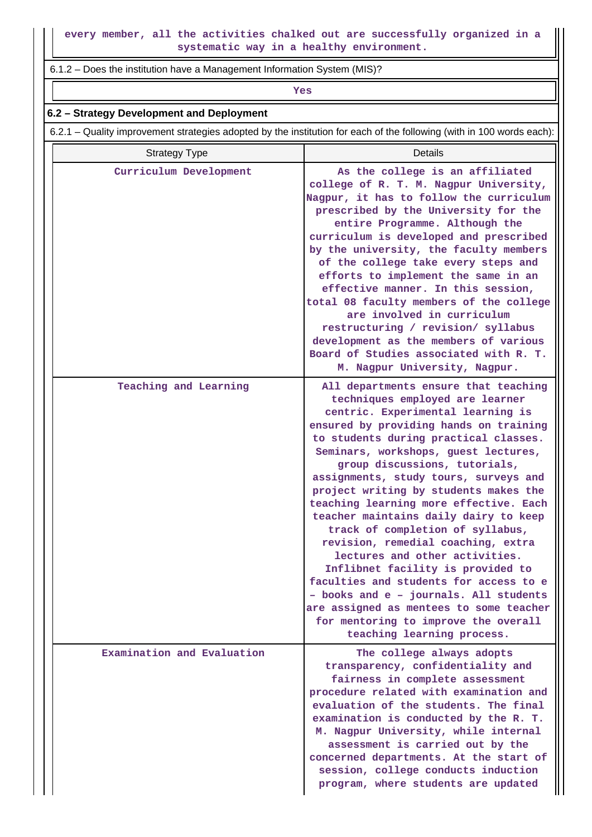6.1.2 – Does the institution have a Management Information System (MIS)?

*Yes* 

### **6.2 – Strategy Development and Deployment**

6.2.1 – Quality improvement strategies adopted by the institution for each of the following (with in 100 words each):

| <b>Strategy Type</b>       | Details                                                                                                                                                                                                                                                                                                                                                                                                                                                                                                                                                                                                                                                                                                                                                                                             |
|----------------------------|-----------------------------------------------------------------------------------------------------------------------------------------------------------------------------------------------------------------------------------------------------------------------------------------------------------------------------------------------------------------------------------------------------------------------------------------------------------------------------------------------------------------------------------------------------------------------------------------------------------------------------------------------------------------------------------------------------------------------------------------------------------------------------------------------------|
| Curriculum Development     | As the college is an affiliated<br>college of R. T. M. Nagpur University,<br>Nagpur, it has to follow the curriculum<br>prescribed by the University for the<br>entire Programme. Although the<br>curriculum is developed and prescribed<br>by the university, the faculty members<br>of the college take every steps and<br>efforts to implement the same in an<br>effective manner. In this session,<br>total 08 faculty members of the college<br>are involved in curriculum<br>restructuring / revision/ syllabus<br>development as the members of various<br>Board of Studies associated with R. T.<br>M. Nagpur University, Nagpur.                                                                                                                                                           |
| Teaching and Learning      | All departments ensure that teaching<br>techniques employed are learner<br>centric. Experimental learning is<br>ensured by providing hands on training<br>to students during practical classes.<br>Seminars, workshops, guest lectures,<br>group discussions, tutorials,<br>assignments, study tours, surveys and<br>project writing by students makes the<br>teaching learning more effective. Each<br>teacher maintains daily dairy to keep<br>track of completion of syllabus,<br>revision, remedial coaching, extra<br>lectures and other activities.<br>Inflibnet facility is provided to<br>faculties and students for access to e<br>- books and e - journals. All students<br>are assigned as mentees to some teacher<br>for mentoring to improve the overall<br>teaching learning process. |
| Examination and Evaluation | The college always adopts<br>transparency, confidentiality and<br>fairness in complete assessment<br>procedure related with examination and<br>evaluation of the students. The final<br>examination is conducted by the R. T.<br>M. Nagpur University, while internal<br>assessment is carried out by the<br>concerned departments. At the start of<br>session, college conducts induction<br>program, where students are updated                                                                                                                                                                                                                                                                                                                                                                   |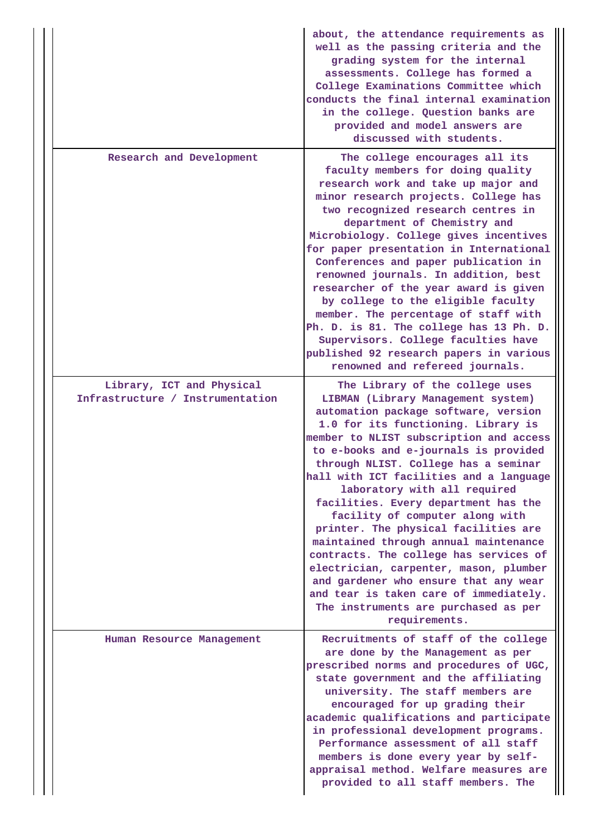|                                                               | about, the attendance requirements as<br>well as the passing criteria and the<br>grading system for the internal<br>assessments. College has formed a<br>College Examinations Committee which<br>conducts the final internal examination<br>in the college. Question banks are<br>provided and model answers are<br>discussed with students.                                                                                                                                                                                                                                                                                                                                                                                                            |
|---------------------------------------------------------------|---------------------------------------------------------------------------------------------------------------------------------------------------------------------------------------------------------------------------------------------------------------------------------------------------------------------------------------------------------------------------------------------------------------------------------------------------------------------------------------------------------------------------------------------------------------------------------------------------------------------------------------------------------------------------------------------------------------------------------------------------------|
| Research and Development                                      | The college encourages all its<br>faculty members for doing quality<br>research work and take up major and<br>minor research projects. College has<br>two recognized research centres in<br>department of Chemistry and<br>Microbiology. College gives incentives<br>for paper presentation in International<br>Conferences and paper publication in<br>renowned journals. In addition, best<br>researcher of the year award is given<br>by college to the eligible faculty<br>member. The percentage of staff with<br>Ph. D. is 81. The college has 13 Ph. D.<br>Supervisors. College faculties have<br>published 92 research papers in various<br>renowned and refereed journals.                                                                     |
| Library, ICT and Physical<br>Infrastructure / Instrumentation | The Library of the college uses<br>LIBMAN (Library Management system)<br>automation package software, version<br>1.0 for its functioning. Library is<br>member to NLIST subscription and access<br>to e-books and e-journals is provided<br>through NLIST. College has a seminar<br>hall with ICT facilities and a language<br>laboratory with all required<br>facilities. Every department has the<br>facility of computer along with<br>printer. The physical facilities are<br>maintained through annual maintenance<br>contracts. The college has services of<br>electrician, carpenter, mason, plumber<br>and gardener who ensure that any wear<br>and tear is taken care of immediately.<br>The instruments are purchased as per<br>requirements. |
| Human Resource Management                                     | Recruitments of staff of the college<br>are done by the Management as per<br>prescribed norms and procedures of UGC,<br>state government and the affiliating<br>university. The staff members are<br>encouraged for up grading their<br>academic qualifications and participate<br>in professional development programs.<br>Performance assessment of all staff<br>members is done every year by self-<br>appraisal method. Welfare measures are<br>provided to all staff members. The                                                                                                                                                                                                                                                                  |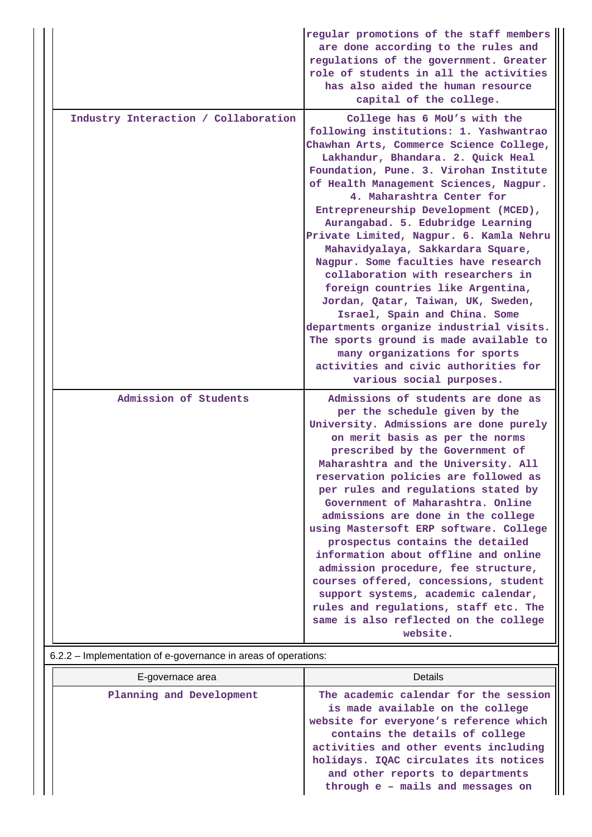|                                      | regular promotions of the staff members<br>are done according to the rules and<br>regulations of the government. Greater<br>role of students in all the activities<br>has also aided the human resource<br>capital of the college.                                                                                                                                                                                                                                                                                                                                                                                                                                                                                                                                                                                       |
|--------------------------------------|--------------------------------------------------------------------------------------------------------------------------------------------------------------------------------------------------------------------------------------------------------------------------------------------------------------------------------------------------------------------------------------------------------------------------------------------------------------------------------------------------------------------------------------------------------------------------------------------------------------------------------------------------------------------------------------------------------------------------------------------------------------------------------------------------------------------------|
| Industry Interaction / Collaboration | College has 6 MoU's with the<br>following institutions: 1. Yashwantrao<br>Chawhan Arts, Commerce Science College,<br>Lakhandur, Bhandara. 2. Quick Heal<br>Foundation, Pune. 3. Virohan Institute<br>of Health Management Sciences, Nagpur.<br>4. Maharashtra Center for<br>Entrepreneurship Development (MCED),<br>Aurangabad. 5. Edubridge Learning<br>Private Limited, Nagpur. 6. Kamla Nehru<br>Mahavidyalaya, Sakkardara Square,<br>Nagpur. Some faculties have research<br>collaboration with researchers in<br>foreign countries like Argentina,<br>Jordan, Qatar, Taiwan, UK, Sweden,<br>Israel, Spain and China. Some<br>departments organize industrial visits.<br>The sports ground is made available to<br>many organizations for sports<br>activities and civic authorities for<br>various social purposes. |
| Admission of Students                | Admissions of students are done as<br>per the schedule given by the<br>University. Admissions are done purely<br>on merit basis as per the norms<br>prescribed by the Government of<br>Maharashtra and the University. All<br>reservation policies are followed as<br>per rules and regulations stated by<br>Government of Maharashtra. Online<br>admissions are done in the college<br>using Mastersoft ERP software. College<br>prospectus contains the detailed<br>information about offline and online<br>admission procedure, fee structure,<br>courses offered, concessions, student<br>support systems, academic calendar,<br>rules and regulations, staff etc. The<br>same is also reflected on the college<br>website.                                                                                          |

| E-governace area         | Details                                                                                                                                                                                                                                                                                                           |
|--------------------------|-------------------------------------------------------------------------------------------------------------------------------------------------------------------------------------------------------------------------------------------------------------------------------------------------------------------|
| Planning and Development | The academic calendar for the session<br>is made available on the college<br>website for everyone's reference which<br>contains the details of college<br>activities and other events including<br>holidays. IQAC circulates its notices<br>and other reports to departments<br>through e - mails and messages on |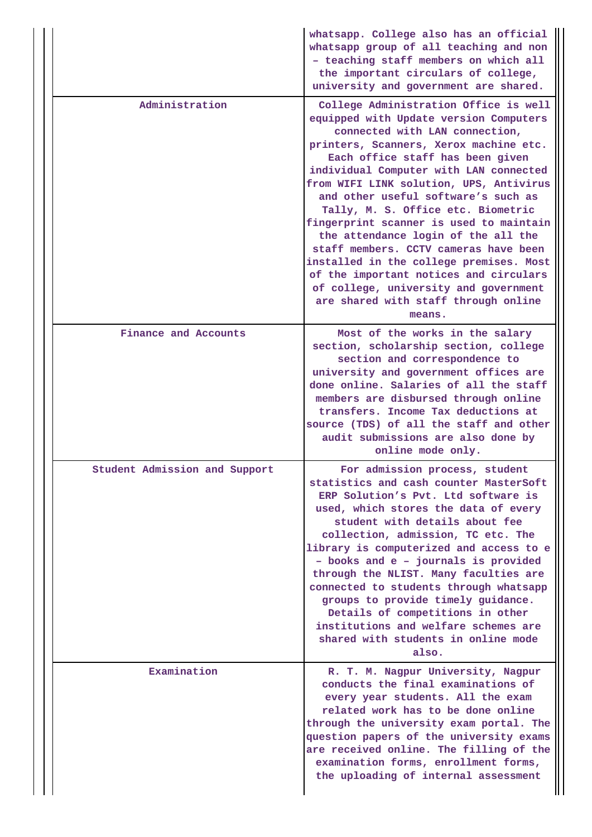|                               | whatsapp. College also has an official<br>whatsapp group of all teaching and non<br>- teaching staff members on which all<br>the important circulars of college,<br>university and government are shared.                                                                                                                                                                                                                                                                                                                                                                                                                                                                    |
|-------------------------------|------------------------------------------------------------------------------------------------------------------------------------------------------------------------------------------------------------------------------------------------------------------------------------------------------------------------------------------------------------------------------------------------------------------------------------------------------------------------------------------------------------------------------------------------------------------------------------------------------------------------------------------------------------------------------|
| Administration                | College Administration Office is well<br>equipped with Update version Computers<br>connected with LAN connection,<br>printers, Scanners, Xerox machine etc.<br>Each office staff has been given<br>individual Computer with LAN connected<br>from WIFI LINK solution, UPS, Antivirus<br>and other useful software's such as<br>Tally, M. S. Office etc. Biometric<br>fingerprint scanner is used to maintain<br>the attendance login of the all the<br>staff members. CCTV cameras have been<br>installed in the college premises. Most<br>of the important notices and circulars<br>of college, university and government<br>are shared with staff through online<br>means. |
| Finance and Accounts          | Most of the works in the salary<br>section, scholarship section, college<br>section and correspondence to<br>university and government offices are<br>done online. Salaries of all the staff<br>members are disbursed through online<br>transfers. Income Tax deductions at<br>source (TDS) of all the staff and other<br>audit submissions are also done by<br>online mode only.                                                                                                                                                                                                                                                                                            |
| Student Admission and Support | For admission process, student<br>statistics and cash counter MasterSoft<br>ERP Solution's Pvt. Ltd software is<br>used, which stores the data of every<br>student with details about fee<br>collection, admission, TC etc. The<br>library is computerized and access to e<br>- books and e - journals is provided<br>through the NLIST. Many faculties are<br>connected to students through whatsapp<br>groups to provide timely guidance.<br>Details of competitions in other<br>institutions and welfare schemes are<br>shared with students in online mode<br>also.                                                                                                      |
| Examination                   | R. T. M. Nagpur University, Nagpur<br>conducts the final examinations of<br>every year students. All the exam<br>related work has to be done online<br>through the university exam portal. The<br>question papers of the university exams<br>are received online. The filling of the<br>examination forms, enrollment forms,<br>the uploading of internal assessment                                                                                                                                                                                                                                                                                                         |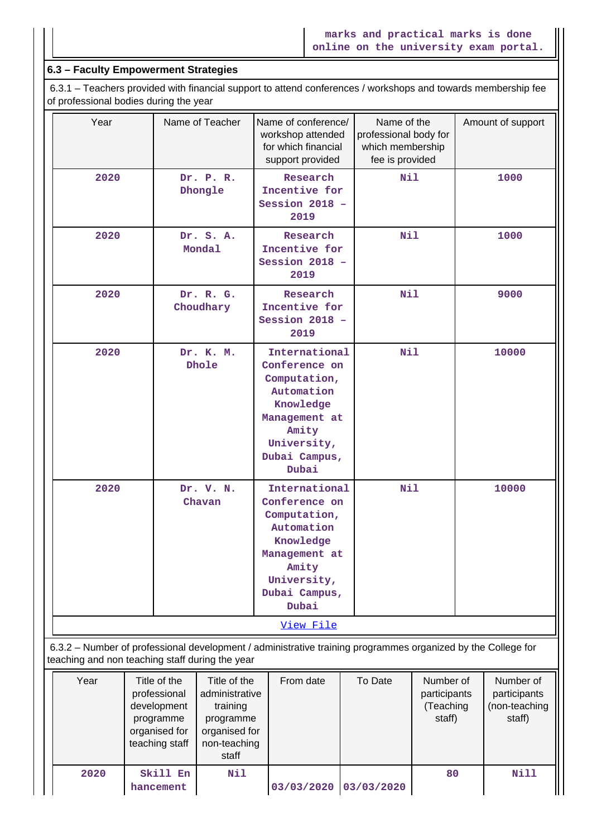### **6.3 – Faculty Empowerment Strategies**

 6.3.1 – Teachers provided with financial support to attend conferences / workshops and towards membership fee of professional bodies during the year

| Year<br>2020<br>2020 |                                                                                                                                                                                                               |                       | Name of Teacher                                 | Name of conference/<br>workshop attended<br>for which financial<br>support provided                                                          |            | Name of the<br>professional body for<br>which membership<br>fee is provided |  | Amount of support |
|----------------------|---------------------------------------------------------------------------------------------------------------------------------------------------------------------------------------------------------------|-----------------------|-------------------------------------------------|----------------------------------------------------------------------------------------------------------------------------------------------|------------|-----------------------------------------------------------------------------|--|-------------------|
|                      |                                                                                                                                                                                                               |                       | Dr. P. R.<br>Dhongle                            | Research<br>Incentive for<br>Session 2018 -<br>2019                                                                                          |            | Nil                                                                         |  | 1000              |
|                      |                                                                                                                                                                                                               |                       | Dr. S. A.<br>Mondal                             | Research<br>Incentive for<br>Session 2018 -<br>2019                                                                                          |            | <b>Nil</b>                                                                  |  | 1000              |
|                      | 2020                                                                                                                                                                                                          |                       | Dr. R. G.<br>Choudhary                          | Research<br>Incentive for<br>Session 2018 -<br>2019                                                                                          |            | Nil                                                                         |  | 9000              |
|                      | 2020                                                                                                                                                                                                          |                       | Dr. K. M.<br>Dhole                              | International<br>Conference on<br>Computation,<br>Automation<br>Knowledge<br>Management at<br>Amity<br>University,<br>Dubai Campus,<br>Dubai |            | <b>Nil</b>                                                                  |  | 10000             |
|                      | 2020                                                                                                                                                                                                          |                       | Dr. V. N.<br>Chavan                             | International<br>Conference on<br>Computation,<br>Automation<br>Knowledge<br>Management at<br>Amity<br>University,<br>Dubai Campus,<br>Dubai | <b>Nil</b> |                                                                             |  | 10000             |
|                      |                                                                                                                                                                                                               |                       |                                                 | View File                                                                                                                                    |            |                                                                             |  |                   |
|                      |                                                                                                                                                                                                               |                       | teaching and non teaching staff during the year | 6.3.2 - Number of professional development / administrative training programmes organized by the College for                                 |            |                                                                             |  |                   |
| Year                 | Title of the<br>Title of the<br>From date<br>professional<br>administrative<br>development<br>training<br>programme<br>programme<br>organised for<br>organised for<br>teaching staff<br>non-teaching<br>staff |                       |                                                 | To Date<br>Number of<br>participants<br>(Teaching<br>staff)                                                                                  |            | Number of<br>participants<br>(non-teaching<br>staff)                        |  |                   |
| 2020                 |                                                                                                                                                                                                               | Skill En<br>hancement | Nil                                             | 03/03/2020                                                                                                                                   |            | 80<br>03/03/2020                                                            |  | <b>Nill</b>       |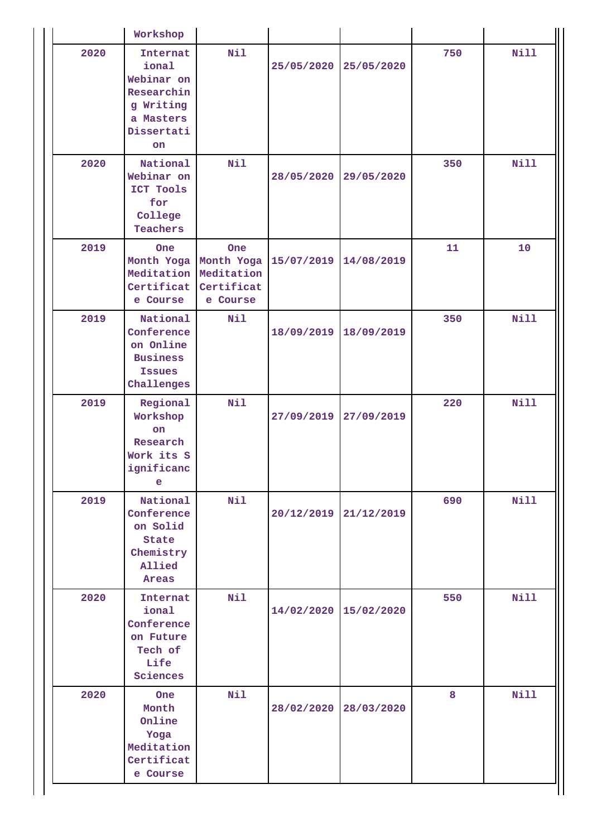|  |      | Workshop                                                                                    |                                                           |                       |            |     |             |
|--|------|---------------------------------------------------------------------------------------------|-----------------------------------------------------------|-----------------------|------------|-----|-------------|
|  | 2020 | Internat<br>ional<br>Webinar on<br>Researchin<br>g Writing<br>a Masters<br>Dissertati<br>on | Nil                                                       | 25/05/2020            | 25/05/2020 | 750 | <b>Nill</b> |
|  | 2020 | National<br>Webinar on<br>ICT Tools<br>for<br>College<br>Teachers                           | Nil                                                       | 28/05/2020            | 29/05/2020 | 350 | Nill        |
|  | 2019 | One<br>Month Yoga<br>Meditation<br>Certificat<br>e Course                                   | One<br>Month Yoga<br>Meditation<br>Certificat<br>e Course | 15/07/2019            | 14/08/2019 | 11  | 10          |
|  | 2019 | National<br>Conference<br>on Online<br><b>Business</b><br><b>Issues</b><br>Challenges       | Nil                                                       | 18/09/2019            | 18/09/2019 | 350 | Nill        |
|  | 2019 | Regional<br>Workshop<br>on<br>Research<br>Work its S<br>ignificanc<br>e                     | Nil                                                       | 27/09/2019            | 27/09/2019 | 220 | Nill        |
|  | 2019 | National<br>Conference<br>on Solid<br>State<br>Chemistry<br>Allied<br>Areas                 | Nil                                                       | 20/12/2019            | 21/12/2019 | 690 | <b>Nill</b> |
|  | 2020 | Internat<br>ional<br>Conference<br>on Future<br>Tech of<br>Life<br>Sciences                 | Nil                                                       | 14/02/2020 15/02/2020 |            | 550 | <b>Nill</b> |
|  | 2020 | <b>One</b><br>Month<br>Online<br>Yoga<br>Meditation<br>Certificat<br>e Course               | Nil                                                       | 28/02/2020            | 28/03/2020 | 8   | <b>Nill</b> |

Н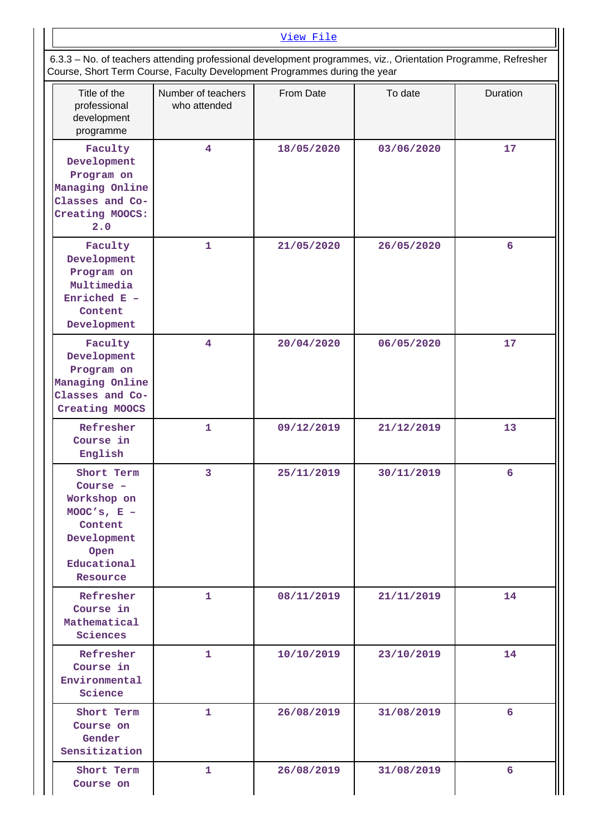| View File                                                                                                                                                                                  |
|--------------------------------------------------------------------------------------------------------------------------------------------------------------------------------------------|
| 6.3.3 – No. of teachers attending professional development programmes, viz., Orientation Programme, Refresher<br>Course, Short Term Course, Faculty Development Programmes during the year |

| Title of the<br>professional<br>development<br>programme                                                            | Number of teachers<br>who attended | From Date  | To date    | Duration |
|---------------------------------------------------------------------------------------------------------------------|------------------------------------|------------|------------|----------|
| Faculty<br>Development<br>Program on<br>Managing Online<br>Classes and Co-<br>Creating MOOCS:<br>2.0                | $\overline{4}$                     | 18/05/2020 | 03/06/2020 | 17       |
| Faculty<br>Development<br>Program on<br>Multimedia<br>Enriched $E -$<br>Content<br>Development                      | $\mathbf{1}$                       | 21/05/2020 | 26/05/2020 | 6        |
| Faculty<br>Development<br>Program on<br>Managing Online<br>Classes and Co-<br>Creating MOOCS                        | $\overline{\mathbf{4}}$            | 20/04/2020 | 06/05/2020 | 17       |
| Refresher<br>Course in<br>English                                                                                   | $\mathbf{1}$                       | 09/12/2019 | 21/12/2019 | 13       |
| Short Term<br>Course -<br>Workshop on<br>MOOC's, $E -$<br>Content<br>Development<br>Open<br>Educational<br>Resource | 3                                  | 25/11/2019 | 30/11/2019 | 6        |
| Refresher<br>Course in<br>Mathematical<br>Sciences                                                                  | 1                                  | 08/11/2019 | 21/11/2019 | 14       |
| Refresher<br>Course in<br>Environmental<br>Science                                                                  | 1                                  | 10/10/2019 | 23/10/2019 | 14       |
| Short Term<br>Course on<br>Gender<br>Sensitization                                                                  | 1                                  | 26/08/2019 | 31/08/2019 | 6        |
| Short Term<br>Course on                                                                                             | 1                                  | 26/08/2019 | 31/08/2019 | 6        |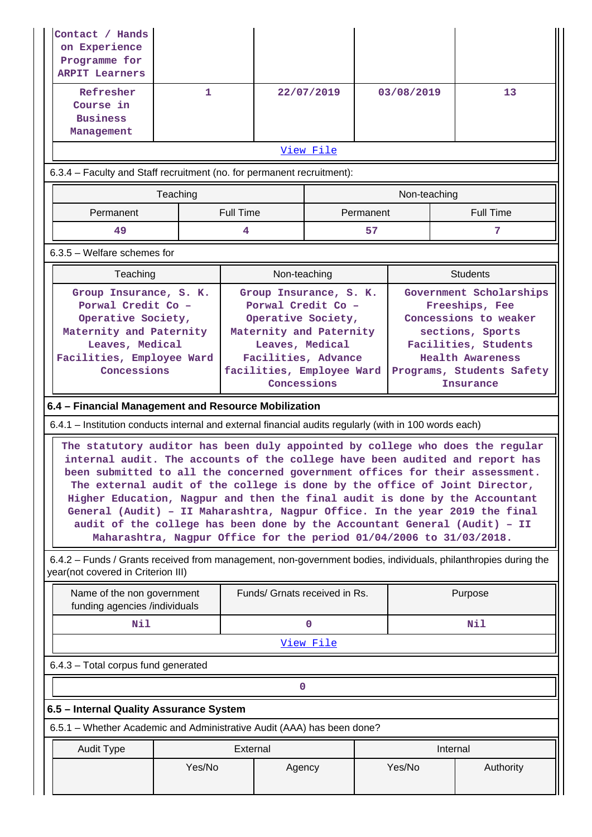| Contact / Hands<br>on Experience<br>Programme for<br><b>ARPIT Learners</b>                                                                           |                                                                                                                                                                                                                                                                                                                                                                                                                                                                                                                                                                                                                                               |                  |                               |                                                                                                                                                                                     |            |              |                                                                                                                                                                                            |                 |
|------------------------------------------------------------------------------------------------------------------------------------------------------|-----------------------------------------------------------------------------------------------------------------------------------------------------------------------------------------------------------------------------------------------------------------------------------------------------------------------------------------------------------------------------------------------------------------------------------------------------------------------------------------------------------------------------------------------------------------------------------------------------------------------------------------------|------------------|-------------------------------|-------------------------------------------------------------------------------------------------------------------------------------------------------------------------------------|------------|--------------|--------------------------------------------------------------------------------------------------------------------------------------------------------------------------------------------|-----------------|
| Refresher<br>Course in<br><b>Business</b><br>Management                                                                                              | 1.                                                                                                                                                                                                                                                                                                                                                                                                                                                                                                                                                                                                                                            |                  | 22/07/2019                    |                                                                                                                                                                                     | 03/08/2019 |              |                                                                                                                                                                                            | 13              |
|                                                                                                                                                      |                                                                                                                                                                                                                                                                                                                                                                                                                                                                                                                                                                                                                                               |                  |                               | View File                                                                                                                                                                           |            |              |                                                                                                                                                                                            |                 |
| 6.3.4 - Faculty and Staff recruitment (no. for permanent recruitment):                                                                               |                                                                                                                                                                                                                                                                                                                                                                                                                                                                                                                                                                                                                                               |                  |                               |                                                                                                                                                                                     |            |              |                                                                                                                                                                                            |                 |
|                                                                                                                                                      | Teaching                                                                                                                                                                                                                                                                                                                                                                                                                                                                                                                                                                                                                                      |                  |                               |                                                                                                                                                                                     |            | Non-teaching |                                                                                                                                                                                            |                 |
| Permanent                                                                                                                                            |                                                                                                                                                                                                                                                                                                                                                                                                                                                                                                                                                                                                                                               | <b>Full Time</b> |                               |                                                                                                                                                                                     | Permanent  |              |                                                                                                                                                                                            | Full Time       |
| 49                                                                                                                                                   |                                                                                                                                                                                                                                                                                                                                                                                                                                                                                                                                                                                                                                               | 4                |                               |                                                                                                                                                                                     | 57         |              |                                                                                                                                                                                            | 7               |
| $6.3.5$ – Welfare schemes for                                                                                                                        |                                                                                                                                                                                                                                                                                                                                                                                                                                                                                                                                                                                                                                               |                  |                               |                                                                                                                                                                                     |            |              |                                                                                                                                                                                            |                 |
| Teaching                                                                                                                                             |                                                                                                                                                                                                                                                                                                                                                                                                                                                                                                                                                                                                                                               |                  | Non-teaching                  |                                                                                                                                                                                     |            |              |                                                                                                                                                                                            | <b>Students</b> |
|                                                                                                                                                      | Group Insurance, S. K.<br>Porwal Credit Co -<br>Operative Society,<br>Maternity and Paternity<br>Leaves, Medical<br>Facilities, Employee Ward<br>Concessions                                                                                                                                                                                                                                                                                                                                                                                                                                                                                  |                  |                               | Group Insurance, S. K.<br>Porwal Credit Co -<br>Operative Society,<br>Maternity and Paternity<br>Leaves, Medical<br>Facilities, Advance<br>facilities, Employee Ward<br>Concessions |            |              | Government Scholarships<br>Freeships, Fee<br>Concessions to weaker<br>sections, Sports<br>Facilities, Students<br><b>Health Awareness</b><br>Programs, Students Safety<br><b>Insurance</b> |                 |
| 6.4 - Financial Management and Resource Mobilization                                                                                                 |                                                                                                                                                                                                                                                                                                                                                                                                                                                                                                                                                                                                                                               |                  |                               |                                                                                                                                                                                     |            |              |                                                                                                                                                                                            |                 |
| 6.4.1 – Institution conducts internal and external financial audits regularly (with in 100 words each)                                               |                                                                                                                                                                                                                                                                                                                                                                                                                                                                                                                                                                                                                                               |                  |                               |                                                                                                                                                                                     |            |              |                                                                                                                                                                                            |                 |
|                                                                                                                                                      | The statutory auditor has been duly appointed by college who does the regular<br>internal audit. The accounts of the college have been audited and report has<br>been submitted to all the concerned government offices for their assessment.<br>The external audit of the college is done by the office of Joint Director,<br>Higher Education, Nagpur and then the final audit is done by the Accountant<br>General (Audit) - II Maharashtra, Nagpur Office. In the year 2019 the final<br>audit of the college has been done by the Accountant General (Audit) - II<br>Maharashtra, Nagpur Office for the period 01/04/2006 to 31/03/2018. |                  |                               |                                                                                                                                                                                     |            |              |                                                                                                                                                                                            |                 |
| 6.4.2 - Funds / Grants received from management, non-government bodies, individuals, philanthropies during the<br>year(not covered in Criterion III) |                                                                                                                                                                                                                                                                                                                                                                                                                                                                                                                                                                                                                                               |                  |                               |                                                                                                                                                                                     |            |              |                                                                                                                                                                                            |                 |
| Name of the non government<br>funding agencies /individuals                                                                                          |                                                                                                                                                                                                                                                                                                                                                                                                                                                                                                                                                                                                                                               |                  | Funds/ Grnats received in Rs. |                                                                                                                                                                                     |            | Purpose      |                                                                                                                                                                                            |                 |
| Nil                                                                                                                                                  |                                                                                                                                                                                                                                                                                                                                                                                                                                                                                                                                                                                                                                               |                  |                               | $\mathbf 0$                                                                                                                                                                         |            | Nil          |                                                                                                                                                                                            |                 |
|                                                                                                                                                      |                                                                                                                                                                                                                                                                                                                                                                                                                                                                                                                                                                                                                                               |                  |                               | View File                                                                                                                                                                           |            |              |                                                                                                                                                                                            |                 |
| 6.4.3 - Total corpus fund generated                                                                                                                  |                                                                                                                                                                                                                                                                                                                                                                                                                                                                                                                                                                                                                                               |                  |                               |                                                                                                                                                                                     |            |              |                                                                                                                                                                                            |                 |
|                                                                                                                                                      |                                                                                                                                                                                                                                                                                                                                                                                                                                                                                                                                                                                                                                               |                  | 0                             |                                                                                                                                                                                     |            |              |                                                                                                                                                                                            |                 |
| 6.5 - Internal Quality Assurance System                                                                                                              |                                                                                                                                                                                                                                                                                                                                                                                                                                                                                                                                                                                                                                               |                  |                               |                                                                                                                                                                                     |            |              |                                                                                                                                                                                            |                 |
|                                                                                                                                                      | 6.5.1 - Whether Academic and Administrative Audit (AAA) has been done?                                                                                                                                                                                                                                                                                                                                                                                                                                                                                                                                                                        |                  |                               |                                                                                                                                                                                     |            |              |                                                                                                                                                                                            |                 |
| <b>Audit Type</b>                                                                                                                                    |                                                                                                                                                                                                                                                                                                                                                                                                                                                                                                                                                                                                                                               | External         |                               |                                                                                                                                                                                     |            |              | Internal                                                                                                                                                                                   |                 |
|                                                                                                                                                      | Yes/No                                                                                                                                                                                                                                                                                                                                                                                                                                                                                                                                                                                                                                        |                  | Agency                        |                                                                                                                                                                                     | Yes/No     |              |                                                                                                                                                                                            | Authority       |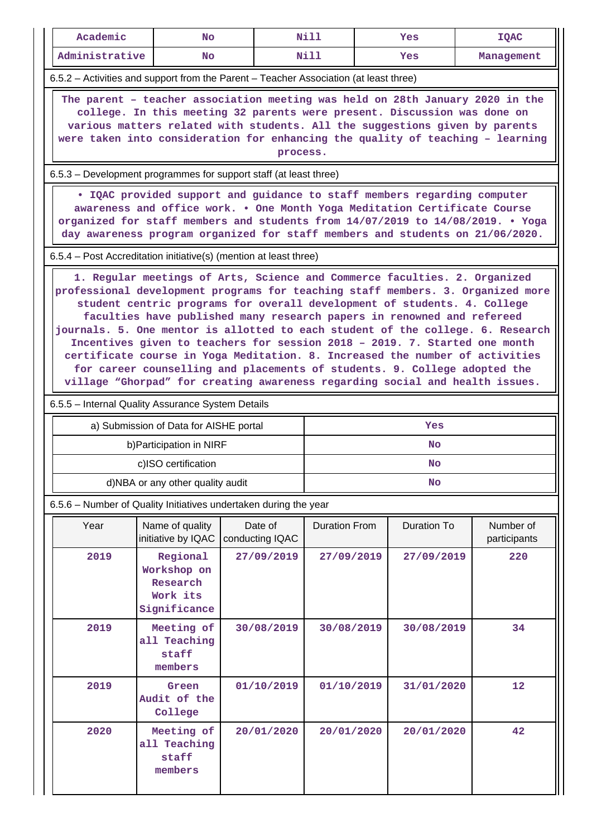| Academic                                                                                                                                                                                                                                                                                                                               | No.                                                                                                                                                                                                                                                                                                                                                                                                                                                                                                                                                                                                                                                                                                                              |                            | Nill                 |  | Yes         | <b>IQAC</b>               |  |  |
|----------------------------------------------------------------------------------------------------------------------------------------------------------------------------------------------------------------------------------------------------------------------------------------------------------------------------------------|----------------------------------------------------------------------------------------------------------------------------------------------------------------------------------------------------------------------------------------------------------------------------------------------------------------------------------------------------------------------------------------------------------------------------------------------------------------------------------------------------------------------------------------------------------------------------------------------------------------------------------------------------------------------------------------------------------------------------------|----------------------------|----------------------|--|-------------|---------------------------|--|--|
| Administrative                                                                                                                                                                                                                                                                                                                         | <b>No</b>                                                                                                                                                                                                                                                                                                                                                                                                                                                                                                                                                                                                                                                                                                                        |                            | Nill                 |  | Yes         | Management                |  |  |
| 6.5.2 - Activities and support from the Parent - Teacher Association (at least three)                                                                                                                                                                                                                                                  |                                                                                                                                                                                                                                                                                                                                                                                                                                                                                                                                                                                                                                                                                                                                  |                            |                      |  |             |                           |  |  |
| The parent - teacher association meeting was held on 28th January 2020 in the<br>college. In this meeting 32 parents were present. Discussion was done on<br>various matters related with students. All the suggestions given by parents<br>were taken into consideration for enhancing the quality of teaching - learning<br>process. |                                                                                                                                                                                                                                                                                                                                                                                                                                                                                                                                                                                                                                                                                                                                  |                            |                      |  |             |                           |  |  |
|                                                                                                                                                                                                                                                                                                                                        | 6.5.3 – Development programmes for support staff (at least three)                                                                                                                                                                                                                                                                                                                                                                                                                                                                                                                                                                                                                                                                |                            |                      |  |             |                           |  |  |
|                                                                                                                                                                                                                                                                                                                                        | . IQAC provided support and guidance to staff members regarding computer<br>awareness and office work. . One Month Yoga Meditation Certificate Course<br>organized for staff members and students from 14/07/2019 to 14/08/2019. . Yoga<br>day awareness program organized for staff members and students on 21/06/2020.                                                                                                                                                                                                                                                                                                                                                                                                         |                            |                      |  |             |                           |  |  |
| 6.5.4 – Post Accreditation initiative(s) (mention at least three)                                                                                                                                                                                                                                                                      |                                                                                                                                                                                                                                                                                                                                                                                                                                                                                                                                                                                                                                                                                                                                  |                            |                      |  |             |                           |  |  |
|                                                                                                                                                                                                                                                                                                                                        | 1. Regular meetings of Arts, Science and Commerce faculties. 2. Organized<br>professional development programs for teaching staff members. 3. Organized more<br>student centric programs for overall development of students. 4. College<br>faculties have published many research papers in renowned and refereed<br>journals. 5. One mentor is allotted to each student of the college. 6. Research<br>Incentives given to teachers for session 2018 - 2019. 7. Started one month<br>certificate course in Yoga Meditation. 8. Increased the number of activities<br>for career counselling and placements of students. 9. College adopted the<br>village "Ghorpad" for creating awareness regarding social and health issues. |                            |                      |  |             |                           |  |  |
| 6.5.5 - Internal Quality Assurance System Details                                                                                                                                                                                                                                                                                      |                                                                                                                                                                                                                                                                                                                                                                                                                                                                                                                                                                                                                                                                                                                                  |                            |                      |  |             |                           |  |  |
|                                                                                                                                                                                                                                                                                                                                        | a) Submission of Data for AISHE portal                                                                                                                                                                                                                                                                                                                                                                                                                                                                                                                                                                                                                                                                                           |                            |                      |  | Yes         |                           |  |  |
|                                                                                                                                                                                                                                                                                                                                        | b) Participation in NIRF                                                                                                                                                                                                                                                                                                                                                                                                                                                                                                                                                                                                                                                                                                         |                            |                      |  | <b>No</b>   |                           |  |  |
|                                                                                                                                                                                                                                                                                                                                        | c)ISO certification                                                                                                                                                                                                                                                                                                                                                                                                                                                                                                                                                                                                                                                                                                              |                            |                      |  | No          |                           |  |  |
|                                                                                                                                                                                                                                                                                                                                        | d)NBA or any other quality audit                                                                                                                                                                                                                                                                                                                                                                                                                                                                                                                                                                                                                                                                                                 |                            |                      |  | No          |                           |  |  |
| 6.5.6 - Number of Quality Initiatives undertaken during the year                                                                                                                                                                                                                                                                       |                                                                                                                                                                                                                                                                                                                                                                                                                                                                                                                                                                                                                                                                                                                                  |                            |                      |  |             |                           |  |  |
| Year                                                                                                                                                                                                                                                                                                                                   | Name of quality<br>initiative by IQAC                                                                                                                                                                                                                                                                                                                                                                                                                                                                                                                                                                                                                                                                                            | Date of<br>conducting IQAC | <b>Duration From</b> |  | Duration To | Number of<br>participants |  |  |
| 2019                                                                                                                                                                                                                                                                                                                                   | Regional<br>Workshop on<br>Research<br>Work its<br>Significance                                                                                                                                                                                                                                                                                                                                                                                                                                                                                                                                                                                                                                                                  | 27/09/2019                 | 27/09/2019           |  | 27/09/2019  | 220                       |  |  |
| 2019                                                                                                                                                                                                                                                                                                                                   | 30/08/2019<br>Meeting of<br>30/08/2019<br>30/08/2019<br>34<br>all Teaching<br>staff<br>members                                                                                                                                                                                                                                                                                                                                                                                                                                                                                                                                                                                                                                   |                            |                      |  |             |                           |  |  |
| 2019                                                                                                                                                                                                                                                                                                                                   | Green<br>Audit of the<br>College                                                                                                                                                                                                                                                                                                                                                                                                                                                                                                                                                                                                                                                                                                 | 01/10/2019                 | 01/10/2019           |  | 31/01/2020  | 12                        |  |  |
| 2020                                                                                                                                                                                                                                                                                                                                   | Meeting of<br>all Teaching<br>staff<br>members                                                                                                                                                                                                                                                                                                                                                                                                                                                                                                                                                                                                                                                                                   | 20/01/2020                 | 20/01/2020           |  | 20/01/2020  | 42                        |  |  |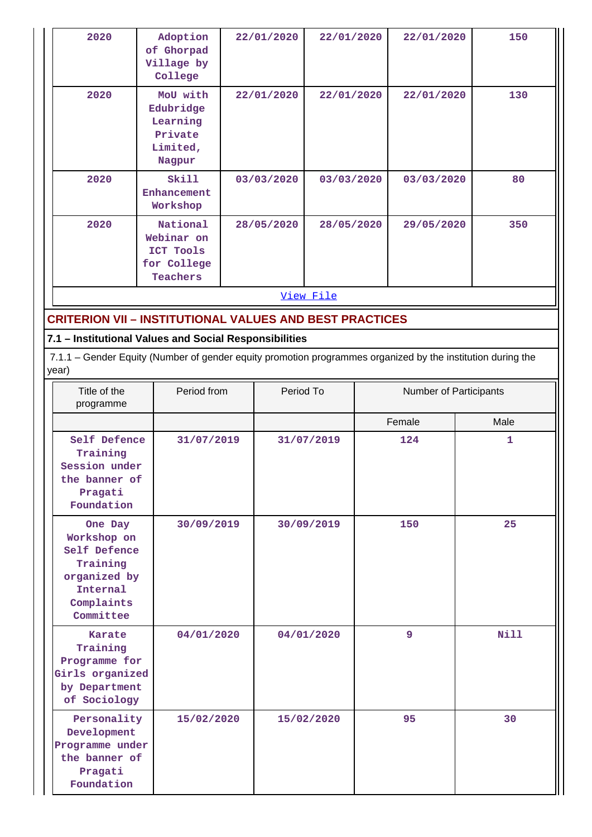| 2020      | Adoption<br>of Ghorpad<br>Village by<br>College                    | 22/01/2020 | 22/01/2020 | 22/01/2020 | 150 |  |  |
|-----------|--------------------------------------------------------------------|------------|------------|------------|-----|--|--|
| 2020      | MoU with<br>Edubridge<br>Learning<br>Private<br>Limited,<br>Nagpur | 22/01/2020 | 22/01/2020 | 22/01/2020 | 130 |  |  |
| 2020      | Skill<br>Enhancement<br>Workshop                                   | 03/03/2020 | 03/03/2020 | 03/03/2020 | 80  |  |  |
| 2020      | National<br>Webinar on<br>ICT Tools<br>for College<br>Teachers     | 28/05/2020 | 28/05/2020 | 29/05/2020 | 350 |  |  |
| View File |                                                                    |            |            |            |     |  |  |

## **CRITERION VII – INSTITUTIONAL VALUES AND BEST PRACTICES**

# **7.1 – Institutional Values and Social Responsibilities**

 7.1.1 – Gender Equity (Number of gender equity promotion programmes organized by the institution during the year)

| Title of the<br>programme                                                                                 | Period from | Period To  | Number of Participants |      |
|-----------------------------------------------------------------------------------------------------------|-------------|------------|------------------------|------|
|                                                                                                           |             |            | Female                 | Male |
| Self Defence<br>Training<br>Session under<br>the banner of<br>Pragati<br>Foundation                       | 31/07/2019  | 31/07/2019 | 124                    | 1    |
| One Day<br>Workshop on<br>Self Defence<br>Training<br>organized by<br>Internal<br>Complaints<br>Committee | 30/09/2019  | 30/09/2019 | 150                    | 25   |
| <b>Karate</b><br>Training<br>Programme for<br>Girls organized<br>by Department<br>of Sociology            | 04/01/2020  | 04/01/2020 | 9                      | Nill |
| Personality<br>Development<br>Programme under<br>the banner of<br>Pragati<br>Foundation                   | 15/02/2020  | 15/02/2020 | 95                     | 30   |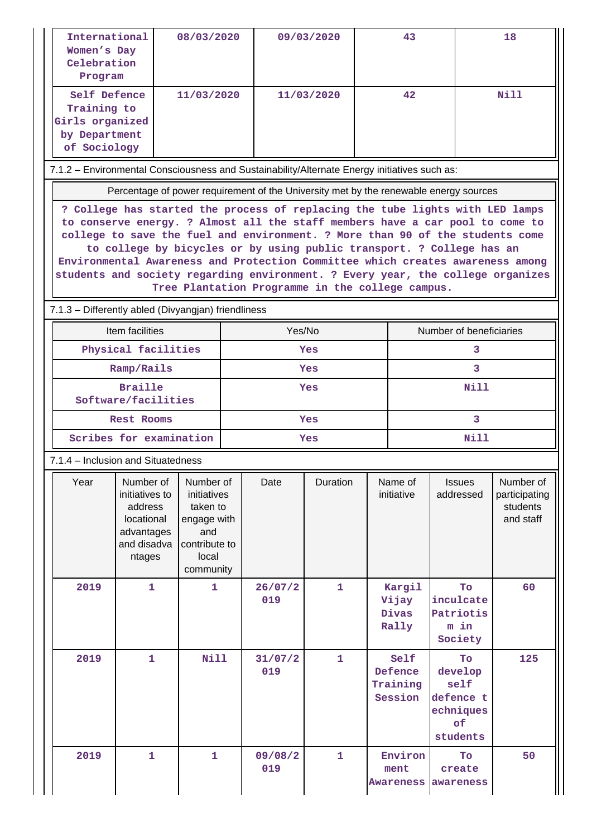| International<br>08/03/2020<br>Women's Day<br>Celebration<br>Program                                                                                                                                                                                                                                                                                                                                                                                                                                                                              |                                                                                             |                                                                                                   |                | 09/03/2020     |              | 43                           |                                        | 18                                                                |                                                     |  |
|---------------------------------------------------------------------------------------------------------------------------------------------------------------------------------------------------------------------------------------------------------------------------------------------------------------------------------------------------------------------------------------------------------------------------------------------------------------------------------------------------------------------------------------------------|---------------------------------------------------------------------------------------------|---------------------------------------------------------------------------------------------------|----------------|----------------|--------------|------------------------------|----------------------------------------|-------------------------------------------------------------------|-----------------------------------------------------|--|
| Self Defence<br>11/03/2020<br>Training to<br>Girls organized<br>by Department<br>of Sociology                                                                                                                                                                                                                                                                                                                                                                                                                                                     |                                                                                             |                                                                                                   | 11/03/2020     |                | 42           |                              | Nill                                   |                                                                   |                                                     |  |
| 7.1.2 - Environmental Consciousness and Sustainability/Alternate Energy initiatives such as:                                                                                                                                                                                                                                                                                                                                                                                                                                                      |                                                                                             |                                                                                                   |                |                |              |                              |                                        |                                                                   |                                                     |  |
| Percentage of power requirement of the University met by the renewable energy sources                                                                                                                                                                                                                                                                                                                                                                                                                                                             |                                                                                             |                                                                                                   |                |                |              |                              |                                        |                                                                   |                                                     |  |
| ? College has started the process of replacing the tube lights with LED lamps<br>to conserve energy. ? Almost all the staff members have a car pool to come to<br>college to save the fuel and environment. ? More than 90 of the students come<br>to college by bicycles or by using public transport. ? College has an<br>Environmental Awareness and Protection Committee which creates awareness among<br>students and society regarding environment. ? Every year, the college organizes<br>Tree Plantation Programme in the college campus. |                                                                                             |                                                                                                   |                |                |              |                              |                                        |                                                                   |                                                     |  |
|                                                                                                                                                                                                                                                                                                                                                                                                                                                                                                                                                   | 7.1.3 - Differently abled (Divyangjan) friendliness                                         |                                                                                                   |                |                |              |                              |                                        |                                                                   |                                                     |  |
|                                                                                                                                                                                                                                                                                                                                                                                                                                                                                                                                                   | Item facilities                                                                             |                                                                                                   |                | Yes/No         |              |                              | Number of beneficiaries                |                                                                   |                                                     |  |
| Physical facilities                                                                                                                                                                                                                                                                                                                                                                                                                                                                                                                               |                                                                                             |                                                                                                   |                | Yes            |              |                              |                                        | 3                                                                 |                                                     |  |
| Ramp/Rails                                                                                                                                                                                                                                                                                                                                                                                                                                                                                                                                        |                                                                                             |                                                                                                   |                | Yes            |              |                              |                                        | 3                                                                 |                                                     |  |
| Braille<br>Software/facilities                                                                                                                                                                                                                                                                                                                                                                                                                                                                                                                    |                                                                                             |                                                                                                   |                | Yes            |              |                              |                                        | Nill                                                              |                                                     |  |
| <b>Rest Rooms</b>                                                                                                                                                                                                                                                                                                                                                                                                                                                                                                                                 |                                                                                             |                                                                                                   |                | Yes            |              |                              |                                        | 3                                                                 |                                                     |  |
| Scribes for examination                                                                                                                                                                                                                                                                                                                                                                                                                                                                                                                           |                                                                                             |                                                                                                   |                |                | Yes          |                              |                                        | Nill                                                              |                                                     |  |
|                                                                                                                                                                                                                                                                                                                                                                                                                                                                                                                                                   | 7.1.4 - Inclusion and Situatedness                                                          |                                                                                                   |                |                |              |                              |                                        |                                                                   |                                                     |  |
| Year                                                                                                                                                                                                                                                                                                                                                                                                                                                                                                                                              | Number of<br>initiatives to<br>address<br>locational<br>advantages<br>and disadva<br>ntages | Number of<br>initiatives<br>taken to<br>engage with<br>and<br>contribute to<br>local<br>community |                | Date           | Duration     |                              | Name of<br>initiative                  | <b>Issues</b><br>addressed                                        | Number of<br>participating<br>students<br>and staff |  |
| 2019                                                                                                                                                                                                                                                                                                                                                                                                                                                                                                                                              | $\mathbf{1}$                                                                                | 1                                                                                                 |                | 26/07/2<br>019 | $\mathbf{1}$ |                              | Kargil<br>Vijay<br>Divas<br>Rally      | To<br>inculcate<br>Patriotis<br>m in<br>Society                   | 60                                                  |  |
| 2019                                                                                                                                                                                                                                                                                                                                                                                                                                                                                                                                              | $\mathbf{1}$                                                                                | <b>Nill</b>                                                                                       |                | 31/07/2<br>019 | $\mathbf{1}$ |                              | Self<br>Defence<br>Training<br>Session | Tо<br>develop<br>self<br>defence t<br>echniques<br>of<br>students | 125                                                 |  |
| 2019<br>$\mathbf{1}$<br>1                                                                                                                                                                                                                                                                                                                                                                                                                                                                                                                         |                                                                                             |                                                                                                   | 09/08/2<br>019 | 1              |              | Environ<br>ment<br>Awareness | To<br>create<br>awareness              | 50                                                                |                                                     |  |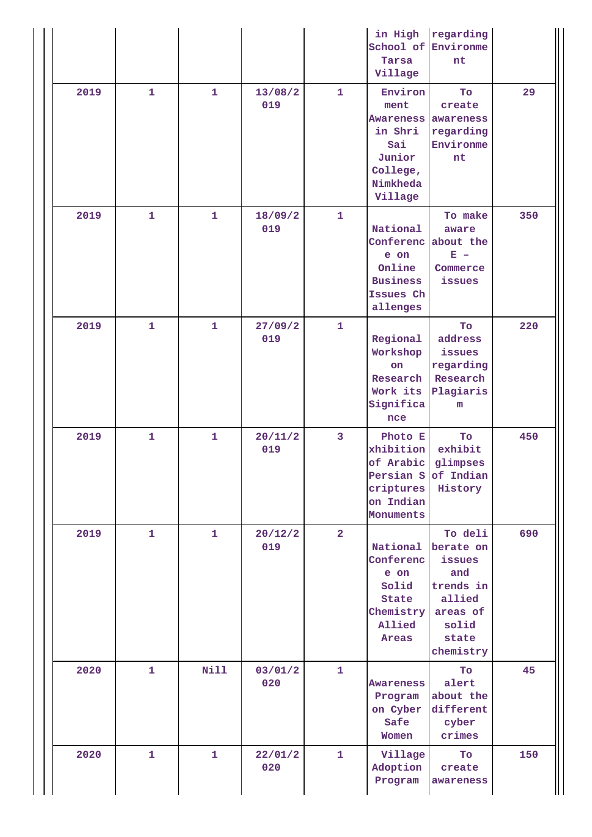|      |              |              |                |                         | in High<br>Tarsa<br>Village                                                                        | regarding<br>School of Environme<br>nt                                                                  |     |
|------|--------------|--------------|----------------|-------------------------|----------------------------------------------------------------------------------------------------|---------------------------------------------------------------------------------------------------------|-----|
| 2019 | $\mathbf{1}$ | $\mathbf{1}$ | 13/08/2<br>019 | $\mathbf{1}$            | Environ<br>ment<br><b>Awareness</b><br>in Shri<br>Sai<br>Junior<br>College,<br>Nimkheda<br>Village | To<br>create<br>awareness<br>regarding<br>Environme<br>nt                                               | 29  |
| 2019 | $\mathbf{1}$ | $\mathbf{1}$ | 18/09/2<br>019 | 1                       | National<br>Conferenc<br>e on<br>Online<br><b>Business</b><br>Issues Ch<br>allenges                | To make<br>aware<br>about the<br>$\mathbf{E}$ =<br>Commerce<br>issues                                   | 350 |
| 2019 | $\mathbf{1}$ | 1            | 27/09/2<br>019 | 1                       | Regional<br>Workshop<br>on<br>Research<br>Work its<br>Significa<br>nce                             | To<br>address<br>issues<br>regarding<br>Research<br>Plagiaris<br>m                                      | 220 |
| 2019 | $\mathbf{1}$ | 1            | 20/11/2<br>019 | $\overline{\mathbf{3}}$ | Photo E<br>xhibition<br>of Arabic<br>criptures<br>on Indian<br>Monuments                           | To<br>exhibit<br>glimpses<br>Persian S of Indian<br>History                                             | 450 |
| 2019 | $\mathbf{1}$ | $\mathbf{1}$ | 20/12/2<br>019 | $\overline{a}$          | National<br>Conferenc<br>e on<br>Solid<br>State<br>Chemistry<br>Allied<br>Areas                    | To deli<br>berate on<br>issues<br>and<br>trends in<br>allied<br>areas of<br>solid<br>state<br>chemistry | 690 |
| 2020 | $\mathbf{1}$ | <b>Nill</b>  | 03/01/2<br>020 | $\mathbf{1}$            | Awareness<br>Program<br>on Cyber<br>Safe<br>Women                                                  | To<br>alert<br>about the<br>different<br>cyber<br>crimes                                                | 45  |
| 2020 | $\mathbf{1}$ | $\mathbf{1}$ | 22/01/2<br>020 | $\mathbf{1}$            | Village<br>Adoption<br>Program                                                                     | To<br>create<br>awareness                                                                               | 150 |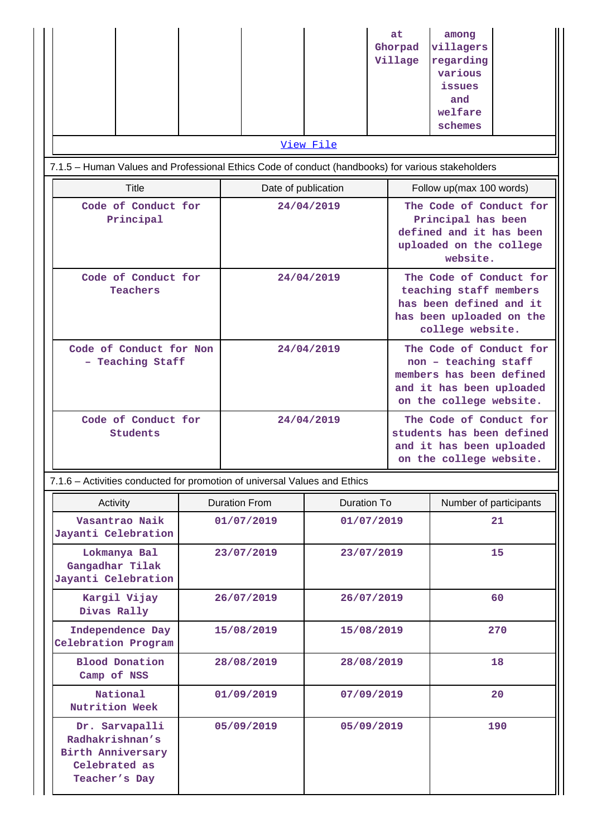|                                                                                                   |  |                     |  |  | at.<br>Ghorpad<br>Village                                                                                                          | among<br>villagers<br>regarding<br>various<br>issues<br>and<br>welfare<br>schemes                           |  |  |
|---------------------------------------------------------------------------------------------------|--|---------------------|--|--|------------------------------------------------------------------------------------------------------------------------------------|-------------------------------------------------------------------------------------------------------------|--|--|
| View File                                                                                         |  |                     |  |  |                                                                                                                                    |                                                                                                             |  |  |
| 7.1.5 - Human Values and Professional Ethics Code of conduct (handbooks) for various stakeholders |  |                     |  |  |                                                                                                                                    |                                                                                                             |  |  |
| Title                                                                                             |  | Date of publication |  |  | Follow up(max 100 words)                                                                                                           |                                                                                                             |  |  |
| Code of Conduct for<br>Principal                                                                  |  | 24/04/2019          |  |  | The Code of Conduct for<br>Principal has been<br>defined and it has been<br>uploaded on the college<br>website.                    |                                                                                                             |  |  |
| Code of Conduct for<br><b>Teachers</b>                                                            |  | 24/04/2019          |  |  | The Code of Conduct for<br>teaching staff members<br>has been defined and it<br>has been uploaded on the<br>college website.       |                                                                                                             |  |  |
| Code of Conduct for Non<br>- Teaching Staff                                                       |  | 24/04/2019          |  |  | The Code of Conduct for<br>non - teaching staff<br>members has been defined<br>and it has been uploaded<br>on the college website. |                                                                                                             |  |  |
| Code of Conduct for<br>Students                                                                   |  | 24/04/2019          |  |  |                                                                                                                                    | The Code of Conduct for<br>students has been defined<br>and it has been uploaded<br>on the college website. |  |  |

7.1.6 – Activities conducted for promotion of universal Values and Ethics

| Activity                                                                                 | <b>Duration From</b> | Duration To | Number of participants |  |
|------------------------------------------------------------------------------------------|----------------------|-------------|------------------------|--|
| Vasantrao Naik<br>Jayanti Celebration                                                    | 01/07/2019           | 01/07/2019  | 21                     |  |
| Lokmanya Bal<br>Gangadhar Tilak<br>Jayanti Celebration                                   | 23/07/2019           | 23/07/2019  | 15                     |  |
| Kargil Vijay<br>Divas Rally                                                              | 26/07/2019           | 26/07/2019  | 60                     |  |
| Independence Day<br>Celebration Program                                                  | 15/08/2019           | 15/08/2019  | 270                    |  |
| <b>Blood Donation</b><br>Camp of NSS                                                     | 28/08/2019           | 28/08/2019  | 18                     |  |
| National<br>Nutrition Week                                                               | 01/09/2019           | 07/09/2019  | 20                     |  |
| Dr. Sarvapalli<br>Radhakrishnan's<br>Birth Anniversary<br>Celebrated as<br>Teacher's Day | 05/09/2019           | 05/09/2019  | 190                    |  |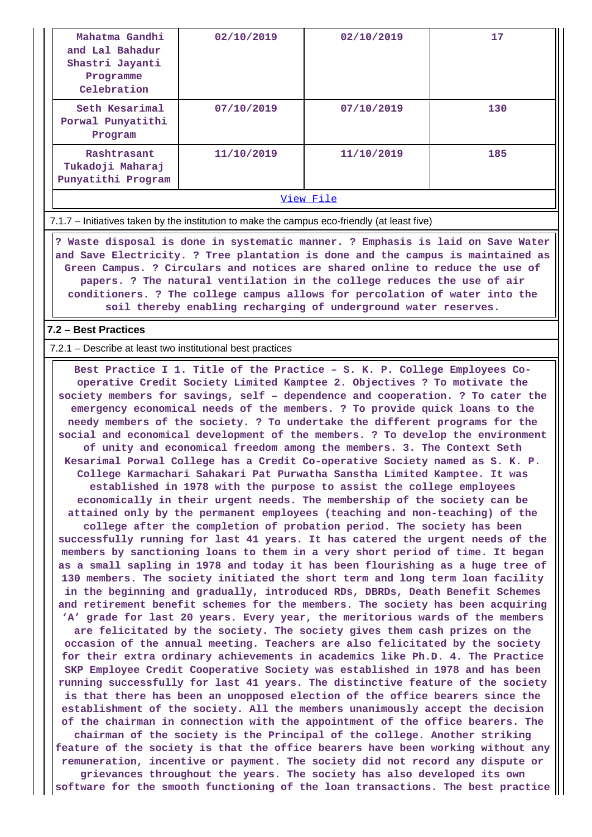| Mahatma Gandhi<br>and Lal Bahadur<br>Shastri Jayanti<br>Programme<br>Celebration | 02/10/2019 | 02/10/2019 | 17  |  |  |  |
|----------------------------------------------------------------------------------|------------|------------|-----|--|--|--|
| Seth Kesarimal<br>Porwal Punyatithi<br>Program                                   | 07/10/2019 | 07/10/2019 | 130 |  |  |  |
| Rashtrasant<br>Tukadoji Maharaj<br>Punyatithi Program                            | 11/10/2019 | 11/10/2019 | 185 |  |  |  |
| View File                                                                        |            |            |     |  |  |  |

7.1.7 – Initiatives taken by the institution to make the campus eco-friendly (at least five)

 **? Waste disposal is done in systematic manner. ? Emphasis is laid on Save Water and Save Electricity. ? Tree plantation is done and the campus is maintained as Green Campus. ? Circulars and notices are shared online to reduce the use of papers. ? The natural ventilation in the college reduces the use of air conditioners. ? The college campus allows for percolation of water into the soil thereby enabling recharging of underground water reserves.**

### **7.2 – Best Practices**

7.2.1 – Describe at least two institutional best practices

 **Best Practice I 1. Title of the Practice – S. K. P. College Employees Cooperative Credit Society Limited Kamptee 2. Objectives ? To motivate the society members for savings, self – dependence and cooperation. ? To cater the emergency economical needs of the members. ? To provide quick loans to the needy members of the society. ? To undertake the different programs for the social and economical development of the members. ? To develop the environment of unity and economical freedom among the members. 3. The Context Seth Kesarimal Porwal College has a Credit Co-operative Society named as S. K. P. College Karmachari Sahakari Pat Purwatha Sanstha Limited Kamptee. It was established in 1978 with the purpose to assist the college employees economically in their urgent needs. The membership of the society can be attained only by the permanent employees (teaching and non-teaching) of the college after the completion of probation period. The society has been successfully running for last 41 years. It has catered the urgent needs of the members by sanctioning loans to them in a very short period of time. It began as a small sapling in 1978 and today it has been flourishing as a huge tree of 130 members. The society initiated the short term and long term loan facility in the beginning and gradually, introduced RDs, DBRDs, Death Benefit Schemes and retirement benefit schemes for the members. The society has been acquiring 'A' grade for last 20 years. Every year, the meritorious wards of the members are felicitated by the society. The society gives them cash prizes on the occasion of the annual meeting. Teachers are also felicitated by the society for their extra ordinary achievements in academics like Ph.D. 4. The Practice SKP Employee Credit Cooperative Society was established in 1978 and has been running successfully for last 41 years. The distinctive feature of the society is that there has been an unopposed election of the office bearers since the establishment of the society. All the members unanimously accept the decision of the chairman in connection with the appointment of the office bearers. The chairman of the society is the Principal of the college. Another striking feature of the society is that the office bearers have been working without any remuneration, incentive or payment. The society did not record any dispute or grievances throughout the years. The society has also developed its own software for the smooth functioning of the loan transactions. The best practice**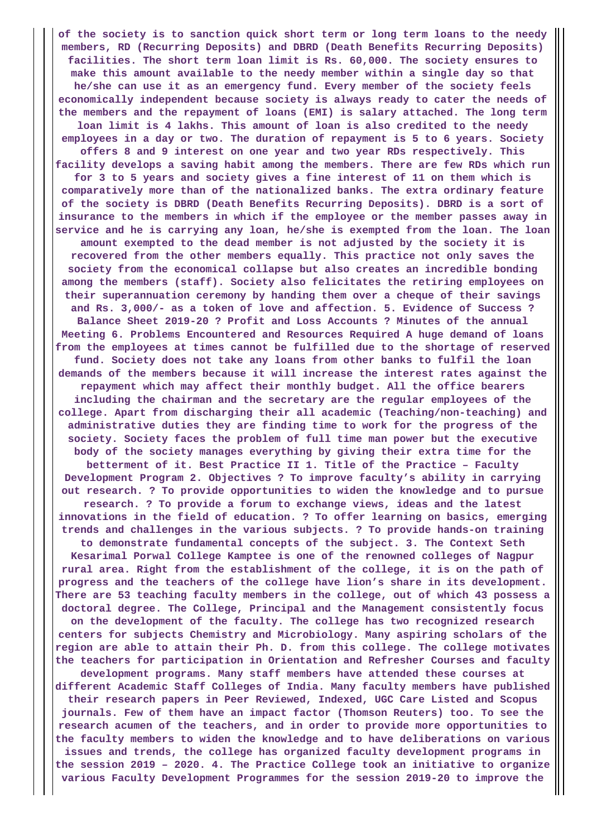**of the society is to sanction quick short term or long term loans to the needy members, RD (Recurring Deposits) and DBRD (Death Benefits Recurring Deposits) facilities. The short term loan limit is Rs. 60,000. The society ensures to make this amount available to the needy member within a single day so that he/she can use it as an emergency fund. Every member of the society feels economically independent because society is always ready to cater the needs of the members and the repayment of loans (EMI) is salary attached. The long term loan limit is 4 lakhs. This amount of loan is also credited to the needy employees in a day or two. The duration of repayment is 5 to 6 years. Society offers 8 and 9 interest on one year and two year RDs respectively. This facility develops a saving habit among the members. There are few RDs which run for 3 to 5 years and society gives a fine interest of 11 on them which is comparatively more than of the nationalized banks. The extra ordinary feature of the society is DBRD (Death Benefits Recurring Deposits). DBRD is a sort of insurance to the members in which if the employee or the member passes away in service and he is carrying any loan, he/she is exempted from the loan. The loan amount exempted to the dead member is not adjusted by the society it is recovered from the other members equally. This practice not only saves the society from the economical collapse but also creates an incredible bonding among the members (staff). Society also felicitates the retiring employees on their superannuation ceremony by handing them over a cheque of their savings and Rs. 3,000/- as a token of love and affection. 5. Evidence of Success ? Balance Sheet 2019-20 ? Profit and Loss Accounts ? Minutes of the annual Meeting 6. Problems Encountered and Resources Required A huge demand of loans from the employees at times cannot be fulfilled due to the shortage of reserved fund. Society does not take any loans from other banks to fulfil the loan demands of the members because it will increase the interest rates against the repayment which may affect their monthly budget. All the office bearers including the chairman and the secretary are the regular employees of the college. Apart from discharging their all academic (Teaching/non-teaching) and administrative duties they are finding time to work for the progress of the society. Society faces the problem of full time man power but the executive body of the society manages everything by giving their extra time for the betterment of it. Best Practice II 1. Title of the Practice – Faculty Development Program 2. Objectives ? To improve faculty's ability in carrying out research. ? To provide opportunities to widen the knowledge and to pursue research. ? To provide a forum to exchange views, ideas and the latest innovations in the field of education. ? To offer learning on basics, emerging trends and challenges in the various subjects. ? To provide hands-on training to demonstrate fundamental concepts of the subject. 3. The Context Seth Kesarimal Porwal College Kamptee is one of the renowned colleges of Nagpur rural area. Right from the establishment of the college, it is on the path of progress and the teachers of the college have lion's share in its development. There are 53 teaching faculty members in the college, out of which 43 possess a doctoral degree. The College, Principal and the Management consistently focus on the development of the faculty. The college has two recognized research centers for subjects Chemistry and Microbiology. Many aspiring scholars of the region are able to attain their Ph. D. from this college. The college motivates the teachers for participation in Orientation and Refresher Courses and faculty development programs. Many staff members have attended these courses at different Academic Staff Colleges of India. Many faculty members have published their research papers in Peer Reviewed, Indexed, UGC Care Listed and Scopus journals. Few of them have an impact factor (Thomson Reuters) too. To see the research acumen of the teachers, and in order to provide more opportunities to the faculty members to widen the knowledge and to have deliberations on various issues and trends, the college has organized faculty development programs in the session 2019 – 2020. 4. The Practice College took an initiative to organize various Faculty Development Programmes for the session 2019-20 to improve the**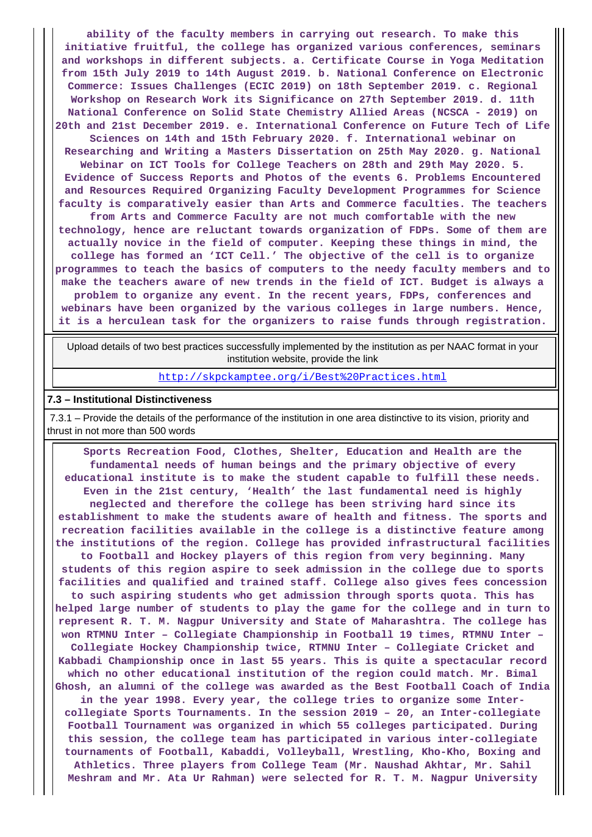**ability of the faculty members in carrying out research. To make this initiative fruitful, the college has organized various conferences, seminars and workshops in different subjects. a. Certificate Course in Yoga Meditation from 15th July 2019 to 14th August 2019. b. National Conference on Electronic Commerce: Issues Challenges (ECIC 2019) on 18th September 2019. c. Regional Workshop on Research Work its Significance on 27th September 2019. d. 11th National Conference on Solid State Chemistry Allied Areas (NCSCA - 2019) on 20th and 21st December 2019. e. International Conference on Future Tech of Life Sciences on 14th and 15th February 2020. f. International webinar on Researching and Writing a Masters Dissertation on 25th May 2020. g. National Webinar on ICT Tools for College Teachers on 28th and 29th May 2020. 5. Evidence of Success Reports and Photos of the events 6. Problems Encountered and Resources Required Organizing Faculty Development Programmes for Science faculty is comparatively easier than Arts and Commerce faculties. The teachers from Arts and Commerce Faculty are not much comfortable with the new technology, hence are reluctant towards organization of FDPs. Some of them are actually novice in the field of computer. Keeping these things in mind, the college has formed an 'ICT Cell.' The objective of the cell is to organize programmes to teach the basics of computers to the needy faculty members and to make the teachers aware of new trends in the field of ICT. Budget is always a problem to organize any event. In the recent years, FDPs, conferences and webinars have been organized by the various colleges in large numbers. Hence, it is a herculean task for the organizers to raise funds through registration.**

 Upload details of two best practices successfully implemented by the institution as per NAAC format in your institution website, provide the link

<http://skpckamptee.org/i/Best%20Practices.html>

### **7.3 – Institutional Distinctiveness**

 7.3.1 – Provide the details of the performance of the institution in one area distinctive to its vision, priority and thrust in not more than 500 words

 **Sports Recreation Food, Clothes, Shelter, Education and Health are the fundamental needs of human beings and the primary objective of every educational institute is to make the student capable to fulfill these needs. Even in the 21st century, 'Health' the last fundamental need is highly neglected and therefore the college has been striving hard since its establishment to make the students aware of health and fitness. The sports and recreation facilities available in the college is a distinctive feature among the institutions of the region. College has provided infrastructural facilities to Football and Hockey players of this region from very beginning. Many students of this region aspire to seek admission in the college due to sports facilities and qualified and trained staff. College also gives fees concession to such aspiring students who get admission through sports quota. This has helped large number of students to play the game for the college and in turn to represent R. T. M. Nagpur University and State of Maharashtra. The college has won RTMNU Inter – Collegiate Championship in Football 19 times, RTMNU Inter – Collegiate Hockey Championship twice, RTMNU Inter – Collegiate Cricket and Kabbadi Championship once in last 55 years. This is quite a spectacular record which no other educational institution of the region could match. Mr. Bimal Ghosh, an alumni of the college was awarded as the Best Football Coach of India in the year 1998. Every year, the college tries to organize some Intercollegiate Sports Tournaments. In the session 2019 – 20, an Inter-collegiate Football Tournament was organized in which 55 colleges participated. During this session, the college team has participated in various inter-collegiate tournaments of Football, Kabaddi, Volleyball, Wrestling, Kho-Kho, Boxing and Athletics. Three players from College Team (Mr. Naushad Akhtar, Mr. Sahil Meshram and Mr. Ata Ur Rahman) were selected for R. T. M. Nagpur University**